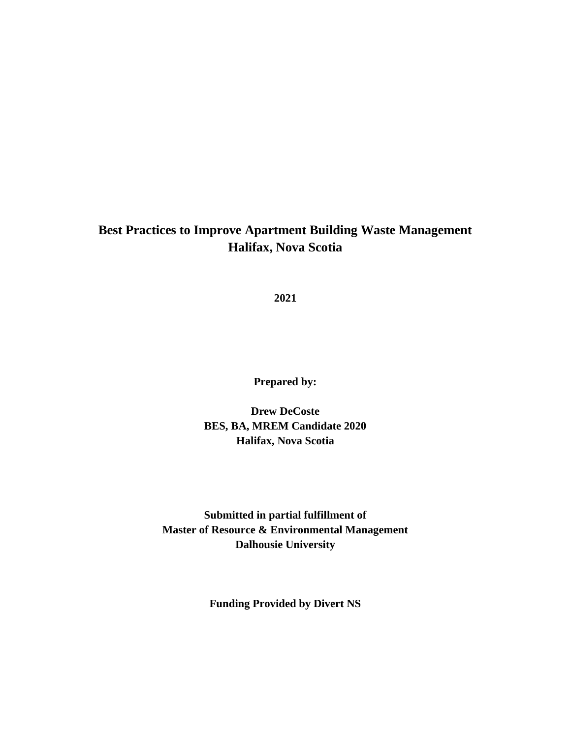## **Best Practices to Improve Apartment Building Waste Management Halifax, Nova Scotia**

**2021**

**Prepared by:**

**Drew DeCoste BES, BA, MREM Candidate 2020 Halifax, Nova Scotia**

**Submitted in partial fulfillment of Master of Resource & Environmental Management Dalhousie University**

**Funding Provided by Divert NS**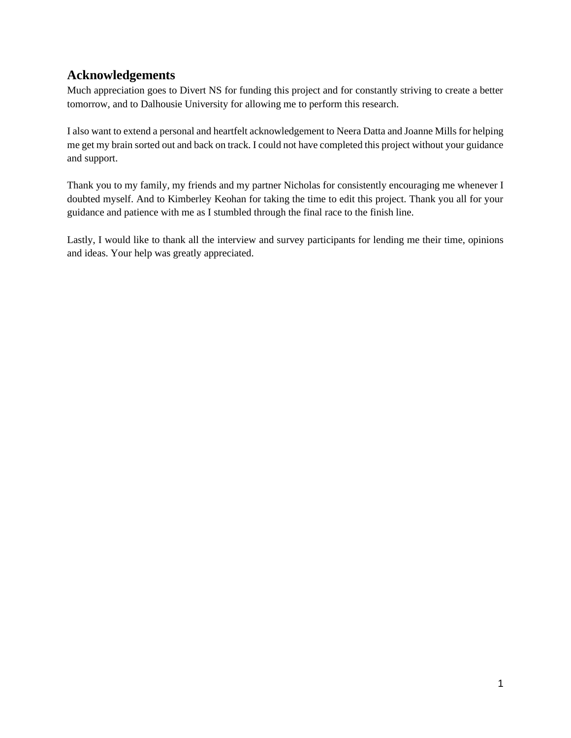## <span id="page-1-0"></span>**Acknowledgements**

Much appreciation goes to Divert NS for funding this project and for constantly striving to create a better tomorrow, and to Dalhousie University for allowing me to perform this research.

I also want to extend a personal and heartfelt acknowledgement to Neera Datta and Joanne Mills for helping me get my brain sorted out and back on track. I could not have completed this project without your guidance and support.

Thank you to my family, my friends and my partner Nicholas for consistently encouraging me whenever I doubted myself. And to Kimberley Keohan for taking the time to edit this project. Thank you all for your guidance and patience with me as I stumbled through the final race to the finish line.

Lastly, I would like to thank all the interview and survey participants for lending me their time, opinions and ideas. Your help was greatly appreciated.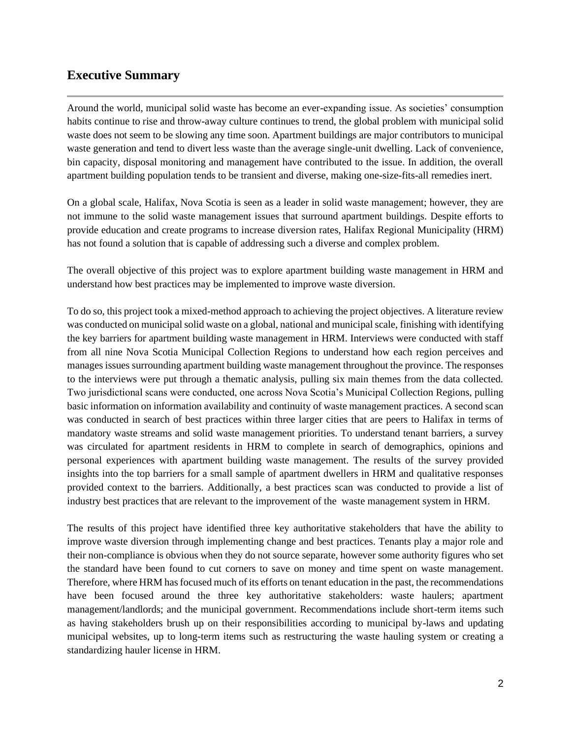## <span id="page-2-0"></span>**Executive Summary**

Around the world, municipal solid waste has become an ever-expanding issue. As societies' consumption habits continue to rise and throw-away culture continues to trend, the global problem with municipal solid waste does not seem to be slowing any time soon. Apartment buildings are major contributors to municipal waste generation and tend to divert less waste than the average single-unit dwelling. Lack of convenience, bin capacity, disposal monitoring and management have contributed to the issue. In addition, the overall apartment building population tends to be transient and diverse, making one-size-fits-all remedies inert.

On a global scale, Halifax, Nova Scotia is seen as a leader in solid waste management; however, they are not immune to the solid waste management issues that surround apartment buildings. Despite efforts to provide education and create programs to increase diversion rates, Halifax Regional Municipality (HRM) has not found a solution that is capable of addressing such a diverse and complex problem.

The overall objective of this project was to explore apartment building waste management in HRM and understand how best practices may be implemented to improve waste diversion.

To do so, this project took a mixed-method approach to achieving the project objectives. A literature review was conducted on municipal solid waste on a global, national and municipal scale, finishing with identifying the key barriers for apartment building waste management in HRM. Interviews were conducted with staff from all nine Nova Scotia Municipal Collection Regions to understand how each region perceives and manages issues surrounding apartment building waste management throughout the province. The responses to the interviews were put through a thematic analysis, pulling six main themes from the data collected. Two jurisdictional scans were conducted, one across Nova Scotia's Municipal Collection Regions, pulling basic information on information availability and continuity of waste management practices. A second scan was conducted in search of best practices within three larger cities that are peers to Halifax in terms of mandatory waste streams and solid waste management priorities. To understand tenant barriers, a survey was circulated for apartment residents in HRM to complete in search of demographics, opinions and personal experiences with apartment building waste management. The results of the survey provided insights into the top barriers for a small sample of apartment dwellers in HRM and qualitative responses provided context to the barriers. Additionally, a best practices scan was conducted to provide a list of industry best practices that are relevant to the improvement of the waste management system in HRM.

The results of this project have identified three key authoritative stakeholders that have the ability to improve waste diversion through implementing change and best practices. Tenants play a major role and their non-compliance is obvious when they do not source separate, however some authority figures who set the standard have been found to cut corners to save on money and time spent on waste management. Therefore, where HRM has focused much of its efforts on tenant education in the past, the recommendations have been focused around the three key authoritative stakeholders: waste haulers; apartment management/landlords; and the municipal government. Recommendations include short-term items such as having stakeholders brush up on their responsibilities according to municipal by-laws and updating municipal websites, up to long-term items such as restructuring the waste hauling system or creating a standardizing hauler license in HRM.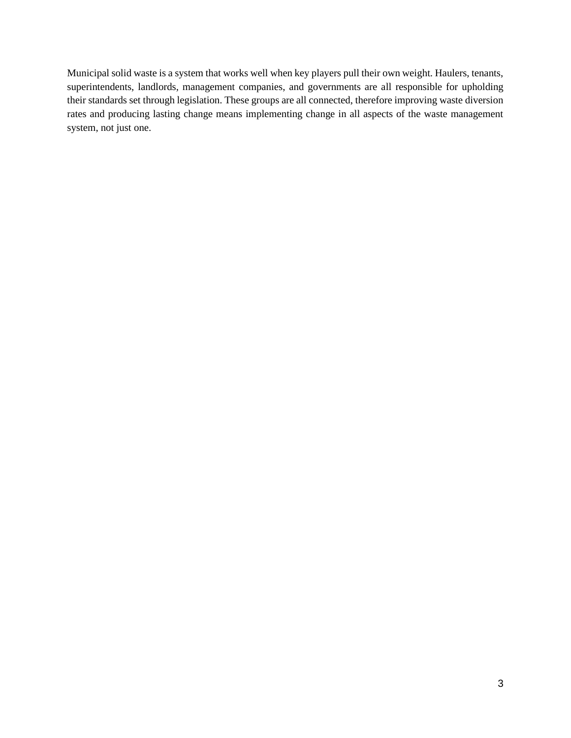Municipal solid waste is a system that works well when key players pull their own weight. Haulers, tenants, superintendents, landlords, management companies, and governments are all responsible for upholding their standards set through legislation. These groups are all connected, therefore improving waste diversion rates and producing lasting change means implementing change in all aspects of the waste management system, not just one.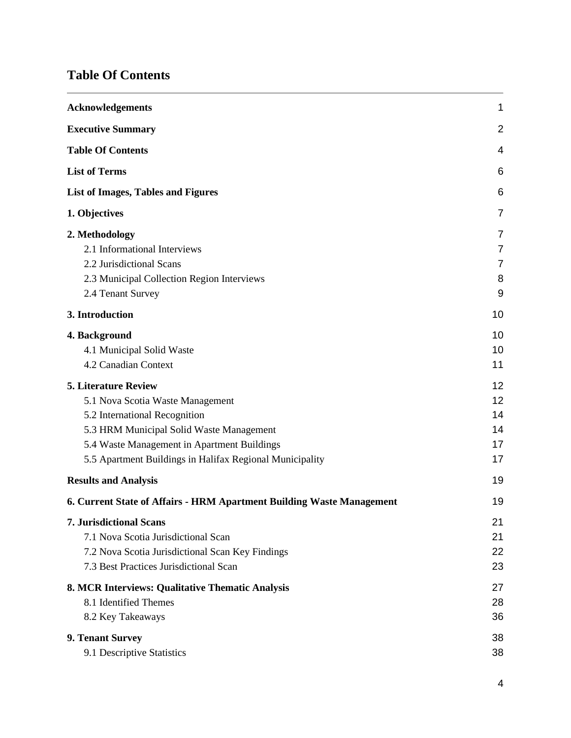# <span id="page-4-0"></span>**Table Of Contents**

| <b>Acknowledgements</b>                                                                                                                                                                                                                                 | 1                                |
|---------------------------------------------------------------------------------------------------------------------------------------------------------------------------------------------------------------------------------------------------------|----------------------------------|
| <b>Executive Summary</b>                                                                                                                                                                                                                                | $\overline{2}$                   |
| <b>Table Of Contents</b>                                                                                                                                                                                                                                | 4                                |
| <b>List of Terms</b>                                                                                                                                                                                                                                    | 6                                |
| <b>List of Images, Tables and Figures</b>                                                                                                                                                                                                               | 6                                |
| 1. Objectives                                                                                                                                                                                                                                           | $\overline{7}$                   |
| 2. Methodology<br>2.1 Informational Interviews<br>2.2 Jurisdictional Scans<br>2.3 Municipal Collection Region Interviews<br>2.4 Tenant Survey                                                                                                           | 7<br>7<br>7<br>8<br>9            |
| 3. Introduction                                                                                                                                                                                                                                         | 10                               |
| 4. Background<br>4.1 Municipal Solid Waste<br>4.2 Canadian Context                                                                                                                                                                                      | 10<br>10<br>11                   |
| <b>5. Literature Review</b><br>5.1 Nova Scotia Waste Management<br>5.2 International Recognition<br>5.3 HRM Municipal Solid Waste Management<br>5.4 Waste Management in Apartment Buildings<br>5.5 Apartment Buildings in Halifax Regional Municipality | 12<br>12<br>14<br>14<br>17<br>17 |
| <b>Results and Analysis</b>                                                                                                                                                                                                                             | 19                               |
| 6. Current State of Affairs - HRM Apartment Building Waste Management                                                                                                                                                                                   | 19                               |
| <b>7. Jurisdictional Scans</b><br>7.1 Nova Scotia Jurisdictional Scan<br>7.2 Nova Scotia Jurisdictional Scan Key Findings<br>7.3 Best Practices Jurisdictional Scan                                                                                     | 21<br>21<br>22<br>23             |
| 8. MCR Interviews: Qualitative Thematic Analysis<br>8.1 Identified Themes<br>8.2 Key Takeaways                                                                                                                                                          | 27<br>28<br>36                   |
| 9. Tenant Survey<br>9.1 Descriptive Statistics                                                                                                                                                                                                          | 38<br>38                         |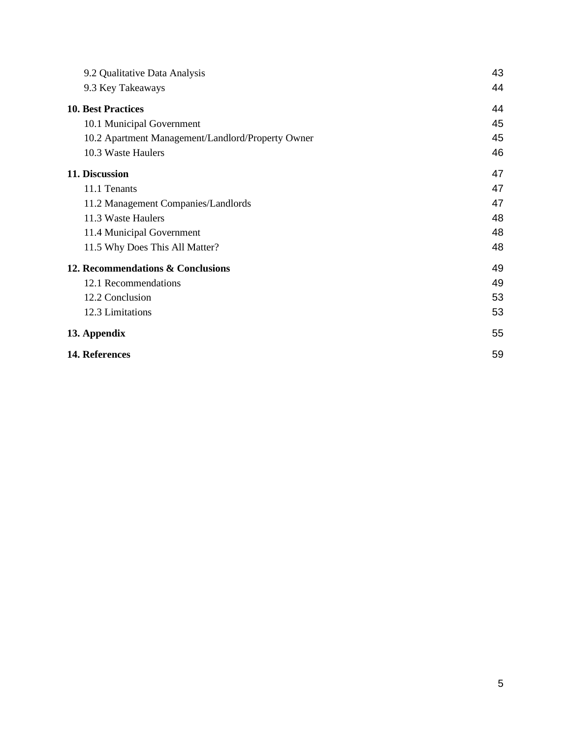| 9.2 Qualitative Data Analysis                     | 43 |
|---------------------------------------------------|----|
| 9.3 Key Takeaways                                 | 44 |
| <b>10. Best Practices</b>                         | 44 |
| 10.1 Municipal Government                         | 45 |
| 10.2 Apartment Management/Landlord/Property Owner | 45 |
| 10.3 Waste Haulers                                | 46 |
| 11. Discussion                                    | 47 |
| 11.1 Tenants                                      | 47 |
| 11.2 Management Companies/Landlords               | 47 |
| 11.3 Waste Haulers                                | 48 |
| 11.4 Municipal Government                         | 48 |
| 11.5 Why Does This All Matter?                    | 48 |
| 12. Recommendations & Conclusions                 | 49 |
| 12.1 Recommendations                              | 49 |
| 12.2 Conclusion                                   | 53 |
| 12.3 Limitations                                  | 53 |
| 13. Appendix                                      | 55 |
| 14. References                                    | 59 |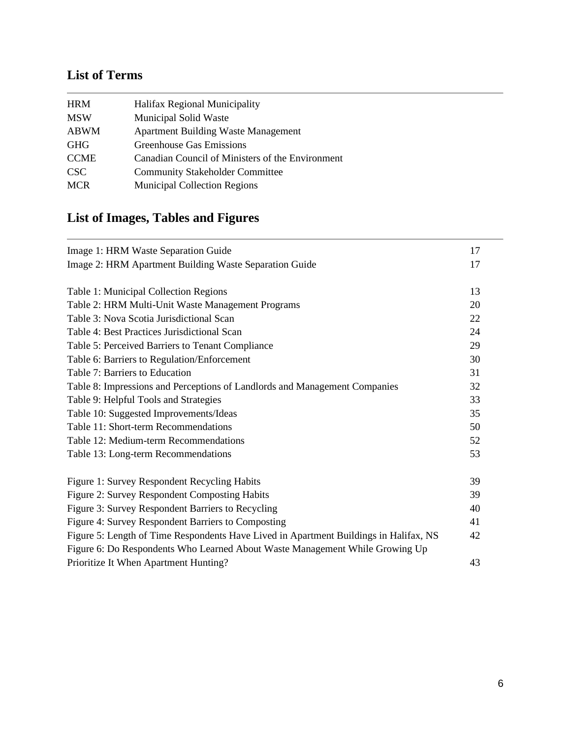# <span id="page-6-0"></span>**List of Terms**

| <b>HRM</b>       | Halifax Regional Municipality                    |
|------------------|--------------------------------------------------|
| <b>MSW</b>       | <b>Municipal Solid Waste</b>                     |
| <b>ABWM</b>      | <b>Apartment Building Waste Management</b>       |
| <b>GHG</b>       | <b>Greenhouse Gas Emissions</b>                  |
| <b>CCME</b>      | Canadian Council of Ministers of the Environment |
| CSC <sup>-</sup> | <b>Community Stakeholder Committee</b>           |
| <b>MCR</b>       | <b>Municipal Collection Regions</b>              |

# <span id="page-6-1"></span>**List of Images, Tables and Figures**

| Image 1: HRM Waste Separation Guide                                                   | 17 |
|---------------------------------------------------------------------------------------|----|
| Image 2: HRM Apartment Building Waste Separation Guide                                | 17 |
| Table 1: Municipal Collection Regions                                                 | 13 |
| Table 2: HRM Multi-Unit Waste Management Programs                                     | 20 |
| Table 3: Nova Scotia Jurisdictional Scan                                              | 22 |
| Table 4: Best Practices Jurisdictional Scan                                           | 24 |
| Table 5: Perceived Barriers to Tenant Compliance                                      | 29 |
| Table 6: Barriers to Regulation/Enforcement                                           | 30 |
| Table 7: Barriers to Education                                                        | 31 |
| Table 8: Impressions and Perceptions of Landlords and Management Companies            | 32 |
| Table 9: Helpful Tools and Strategies                                                 | 33 |
| Table 10: Suggested Improvements/Ideas                                                | 35 |
| Table 11: Short-term Recommendations                                                  | 50 |
| Table 12: Medium-term Recommendations                                                 | 52 |
| Table 13: Long-term Recommendations                                                   | 53 |
| Figure 1: Survey Respondent Recycling Habits                                          | 39 |
| Figure 2: Survey Respondent Composting Habits                                         | 39 |
| Figure 3: Survey Respondent Barriers to Recycling                                     | 40 |
| Figure 4: Survey Respondent Barriers to Composting                                    | 41 |
| Figure 5: Length of Time Respondents Have Lived in Apartment Buildings in Halifax, NS | 42 |
| Figure 6: Do Respondents Who Learned About Waste Management While Growing Up          |    |
| Prioritize It When Apartment Hunting?                                                 | 43 |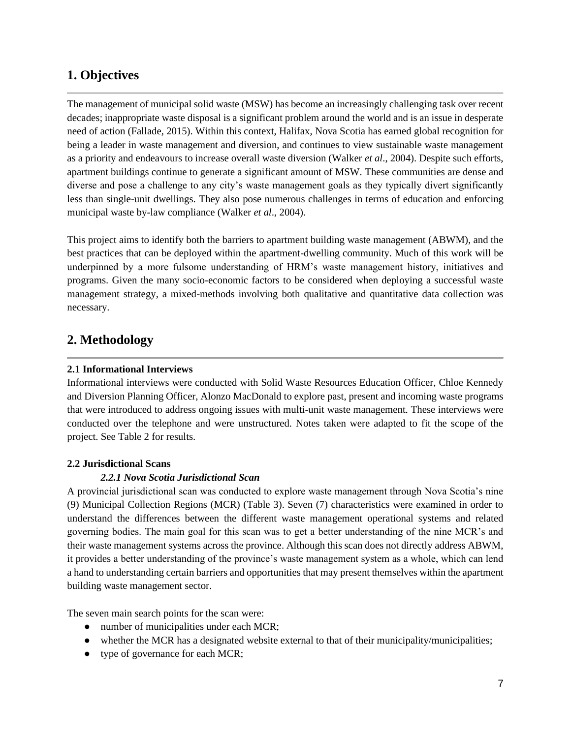## <span id="page-7-0"></span>**1. Objectives**

The management of municipal solid waste (MSW) has become an increasingly challenging task over recent decades; inappropriate waste disposal is a significant problem around the world and is an issue in desperate need of action (Fallade, 2015). Within this context, Halifax, Nova Scotia has earned global recognition for being a leader in waste management and diversion, and continues to view sustainable waste management as a priority and endeavours to increase overall waste diversion (Walker *et al*., 2004). Despite such efforts, apartment buildings continue to generate a significant amount of MSW. These communities are dense and diverse and pose a challenge to any city's waste management goals as they typically divert significantly less than single-unit dwellings. They also pose numerous challenges in terms of education and enforcing municipal waste by-law compliance (Walker *et al*., 2004).

This project aims to identify both the barriers to apartment building waste management (ABWM), and the best practices that can be deployed within the apartment-dwelling community. Much of this work will be underpinned by a more fulsome understanding of HRM's waste management history, initiatives and programs. Given the many socio-economic factors to be considered when deploying a successful waste management strategy, a mixed-methods involving both qualitative and quantitative data collection was necessary.

## <span id="page-7-1"></span>**2. Methodology**

### <span id="page-7-2"></span>**2.1 Informational Interviews**

Informational interviews were conducted with Solid Waste Resources Education Officer, Chloe Kennedy and Diversion Planning Officer, Alonzo MacDonald to explore past, present and incoming waste programs that were introduced to address ongoing issues with multi-unit waste management. These interviews were conducted over the telephone and were unstructured. Notes taken were adapted to fit the scope of the project. See Table 2 for results.

#### <span id="page-7-3"></span>**2.2 Jurisdictional Scans**

## *2.2.1 Nova Scotia Jurisdictional Scan*

A provincial jurisdictional scan was conducted to explore waste management through Nova Scotia's nine (9) Municipal Collection Regions (MCR) (Table 3). Seven (7) characteristics were examined in order to understand the differences between the different waste management operational systems and related governing bodies. The main goal for this scan was to get a better understanding of the nine MCR's and their waste management systems across the province. Although this scan does not directly address ABWM, it provides a better understanding of the province's waste management system as a whole, which can lend a hand to understanding certain barriers and opportunities that may present themselves within the apartment building waste management sector.

The seven main search points for the scan were:

- number of municipalities under each MCR;
- whether the MCR has a designated website external to that of their municipality/municipalities;
- type of governance for each MCR;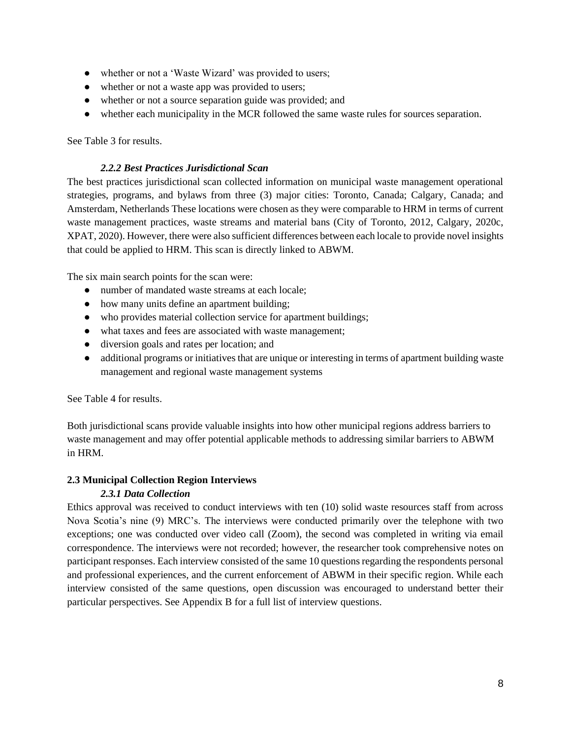- whether or not a 'Waste Wizard' was provided to users;
- whether or not a waste app was provided to users;
- whether or not a source separation guide was provided; and
- whether each municipality in the MCR followed the same waste rules for sources separation.

See Table 3 for results.

#### *2.2.2 Best Practices Jurisdictional Scan*

The best practices jurisdictional scan collected information on municipal waste management operational strategies, programs, and bylaws from three (3) major cities: Toronto, Canada; Calgary, Canada; and Amsterdam, Netherlands These locations were chosen as they were comparable to HRM in terms of current waste management practices, waste streams and material bans (City of Toronto, 2012, Calgary, 2020c, XPAT, 2020). However, there were also sufficient differences between each locale to provide novel insights that could be applied to HRM. This scan is directly linked to ABWM.

The six main search points for the scan were:

- number of mandated waste streams at each locale;
- how many units define an apartment building;
- who provides material collection service for apartment buildings;
- what taxes and fees are associated with waste management;
- diversion goals and rates per location; and
- additional programs or initiatives that are unique or interesting in terms of apartment building waste management and regional waste management systems

See Table 4 for results.

Both jurisdictional scans provide valuable insights into how other municipal regions address barriers to waste management and may offer potential applicable methods to addressing similar barriers to ABWM in HRM.

#### <span id="page-8-0"></span>**2.3 Municipal Collection Region Interviews**

## *2.3.1 Data Collection*

Ethics approval was received to conduct interviews with ten (10) solid waste resources staff from across Nova Scotia's nine (9) MRC's. The interviews were conducted primarily over the telephone with two exceptions; one was conducted over video call (Zoom), the second was completed in writing via email correspondence. The interviews were not recorded; however, the researcher took comprehensive notes on participant responses. Each interview consisted of the same 10 questions regarding the respondents personal and professional experiences, and the current enforcement of ABWM in their specific region. While each interview consisted of the same questions, open discussion was encouraged to understand better their particular perspectives. See Appendix B for a full list of interview questions.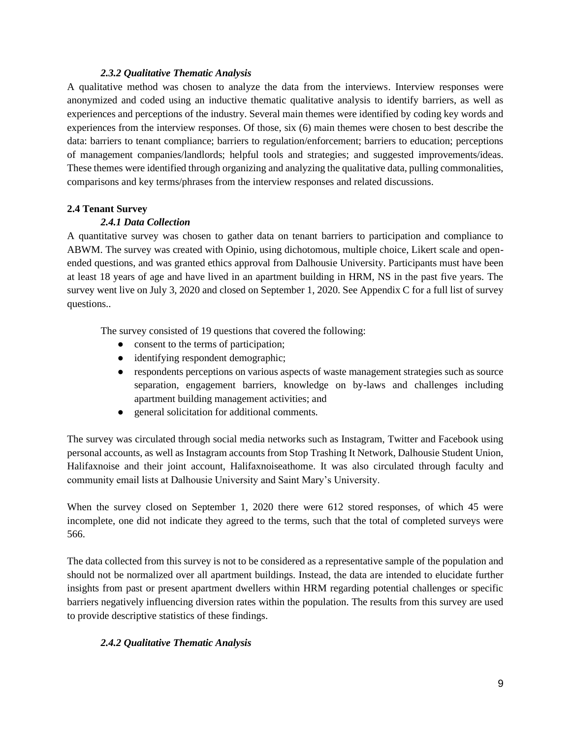### *2.3.2 Qualitative Thematic Analysis*

A qualitative method was chosen to analyze the data from the interviews. Interview responses were anonymized and coded using an inductive thematic qualitative analysis to identify barriers, as well as experiences and perceptions of the industry. Several main themes were identified by coding key words and experiences from the interview responses. Of those, six (6) main themes were chosen to best describe the data: barriers to tenant compliance; barriers to regulation/enforcement; barriers to education; perceptions of management companies/landlords; helpful tools and strategies; and suggested improvements/ideas. These themes were identified through organizing and analyzing the qualitative data, pulling commonalities, comparisons and key terms/phrases from the interview responses and related discussions.

### <span id="page-9-0"></span>**2.4 Tenant Survey**

## *2.4.1 Data Collection*

A quantitative survey was chosen to gather data on tenant barriers to participation and compliance to ABWM. The survey was created with Opinio, using dichotomous, multiple choice, Likert scale and openended questions, and was granted ethics approval from Dalhousie University. Participants must have been at least 18 years of age and have lived in an apartment building in HRM, NS in the past five years. The survey went live on July 3, 2020 and closed on September 1, 2020. See Appendix C for a full list of survey questions..

The survey consisted of 19 questions that covered the following:

- consent to the terms of participation;
- identifying respondent demographic;
- respondents perceptions on various aspects of waste management strategies such as source separation, engagement barriers, knowledge on by-laws and challenges including apartment building management activities; and
- general solicitation for additional comments.

The survey was circulated through social media networks such as Instagram, Twitter and Facebook using personal accounts, as well as Instagram accounts from Stop Trashing It Network, Dalhousie Student Union, Halifaxnoise and their joint account, Halifaxnoiseathome. It was also circulated through faculty and community email lists at Dalhousie University and Saint Mary's University.

When the survey closed on September 1, 2020 there were 612 stored responses, of which 45 were incomplete, one did not indicate they agreed to the terms, such that the total of completed surveys were 566.

The data collected from this survey is not to be considered as a representative sample of the population and should not be normalized over all apartment buildings. Instead, the data are intended to elucidate further insights from past or present apartment dwellers within HRM regarding potential challenges or specific barriers negatively influencing diversion rates within the population. The results from this survey are used to provide descriptive statistics of these findings.

## *2.4.2 Qualitative Thematic Analysis*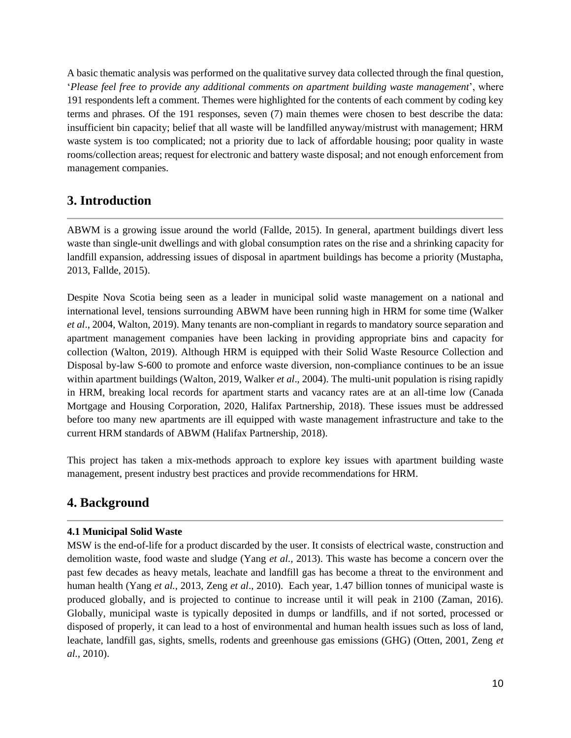A basic thematic analysis was performed on the qualitative survey data collected through the final question, '*Please feel free to provide any additional comments on apartment building waste management*', where 191 respondents left a comment. Themes were highlighted for the contents of each comment by coding key terms and phrases. Of the 191 responses, seven (7) main themes were chosen to best describe the data: insufficient bin capacity; belief that all waste will be landfilled anyway/mistrust with management; HRM waste system is too complicated; not a priority due to lack of affordable housing; poor quality in waste rooms/collection areas; request for electronic and battery waste disposal; and not enough enforcement from management companies.

## <span id="page-10-0"></span>**3. Introduction**

ABWM is a growing issue around the world (Fallde, 2015). In general, apartment buildings divert less waste than single-unit dwellings and with global consumption rates on the rise and a shrinking capacity for landfill expansion, addressing issues of disposal in apartment buildings has become a priority (Mustapha, 2013, Fallde, 2015).

Despite Nova Scotia being seen as a leader in municipal solid waste management on a national and international level, tensions surrounding ABWM have been running high in HRM for some time (Walker *et al*., 2004, Walton, 2019). Many tenants are non-compliant in regards to mandatory source separation and apartment management companies have been lacking in providing appropriate bins and capacity for collection (Walton, 2019). Although HRM is equipped with their Solid Waste Resource Collection and Disposal by-law S-600 to promote and enforce waste diversion, non-compliance continues to be an issue within apartment buildings (Walton, 2019, Walker *et al*., 2004). The multi-unit population is rising rapidly in HRM, breaking local records for apartment starts and vacancy rates are at an all-time low (Canada Mortgage and Housing Corporation, 2020, Halifax Partnership, 2018). These issues must be addressed before too many new apartments are ill equipped with waste management infrastructure and take to the current HRM standards of ABWM (Halifax Partnership, 2018).

This project has taken a mix-methods approach to explore key issues with apartment building waste management, present industry best practices and provide recommendations for HRM.

## <span id="page-10-1"></span>**4. Background**

#### <span id="page-10-2"></span>**4.1 Municipal Solid Waste**

MSW is the end-of-life for a product discarded by the user. It consists of electrical waste, construction and demolition waste, food waste and sludge (Yang *et al.,* 2013). This waste has become a concern over the past few decades as heavy metals, leachate and landfill gas has become a threat to the environment and human health (Yang *et al.,* 2013, Zeng *et al*., 2010). Each year, 1.47 billion tonnes of municipal waste is produced globally, and is projected to continue to increase until it will peak in 2100 (Zaman, 2016). Globally, municipal waste is typically deposited in dumps or landfills, and if not sorted, processed or disposed of properly, it can lead to a host of environmental and human health issues such as loss of land, leachate, landfill gas, sights, smells, rodents and greenhouse gas emissions (GHG) (Otten, 2001, Zeng *et al.,* 2010).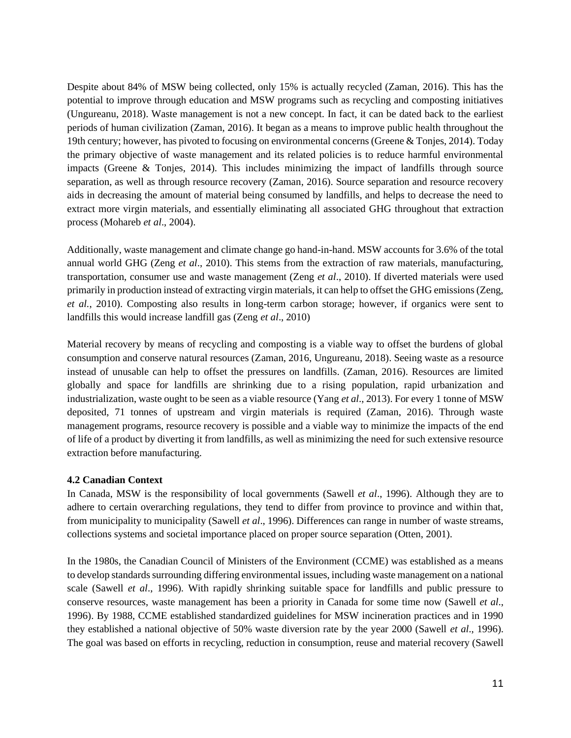Despite about 84% of MSW being collected, only 15% is actually recycled (Zaman, 2016). This has the potential to improve through education and MSW programs such as recycling and composting initiatives (Ungureanu, 2018). Waste management is not a new concept. In fact, it can be dated back to the earliest periods of human civilization (Zaman, 2016). It began as a means to improve public health throughout the 19th century; however, has pivoted to focusing on environmental concerns (Greene & Tonjes, 2014). Today the primary objective of waste management and its related policies is to reduce harmful environmental impacts (Greene & Tonjes, 2014). This includes minimizing the impact of landfills through source separation, as well as through resource recovery (Zaman, 2016). Source separation and resource recovery aids in decreasing the amount of material being consumed by landfills, and helps to decrease the need to extract more virgin materials, and essentially eliminating all associated GHG throughout that extraction process (Mohareb *et al*., 2004).

Additionally, waste management and climate change go hand-in-hand. MSW accounts for 3.6% of the total annual world GHG (Zeng *et al*., 2010). This stems from the extraction of raw materials, manufacturing, transportation, consumer use and waste management (Zeng *et al*., 2010). If diverted materials were used primarily in production instead of extracting virgin materials, it can help to offset the GHG emissions (Zeng, *et al.*, 2010). Composting also results in long-term carbon storage; however, if organics were sent to landfills this would increase landfill gas (Zeng *et al*., 2010)

Material recovery by means of recycling and composting is a viable way to offset the burdens of global consumption and conserve natural resources (Zaman, 2016, Ungureanu, 2018). Seeing waste as a resource instead of unusable can help to offset the pressures on landfills. (Zaman, 2016). Resources are limited globally and space for landfills are shrinking due to a rising population, rapid urbanization and industrialization, waste ought to be seen as a viable resource (Yang *et al*., 2013). For every 1 tonne of MSW deposited, 71 tonnes of upstream and virgin materials is required (Zaman, 2016). Through waste management programs, resource recovery is possible and a viable way to minimize the impacts of the end of life of a product by diverting it from landfills, as well as minimizing the need for such extensive resource extraction before manufacturing.

#### <span id="page-11-0"></span>**4.2 Canadian Context**

In Canada, MSW is the responsibility of local governments (Sawell *et al*., 1996). Although they are to adhere to certain overarching regulations, they tend to differ from province to province and within that, from municipality to municipality (Sawell *et al*., 1996). Differences can range in number of waste streams, collections systems and societal importance placed on proper source separation (Otten, 2001).

In the 1980s, the Canadian Council of Ministers of the Environment (CCME) was established as a means to develop standards surrounding differing environmental issues, including waste management on a national scale (Sawell *et al*., 1996). With rapidly shrinking suitable space for landfills and public pressure to conserve resources, waste management has been a priority in Canada for some time now (Sawell *et al*., 1996). By 1988, CCME established standardized guidelines for MSW incineration practices and in 1990 they established a national objective of 50% waste diversion rate by the year 2000 (Sawell *et al*., 1996). The goal was based on efforts in recycling, reduction in consumption, reuse and material recovery (Sawell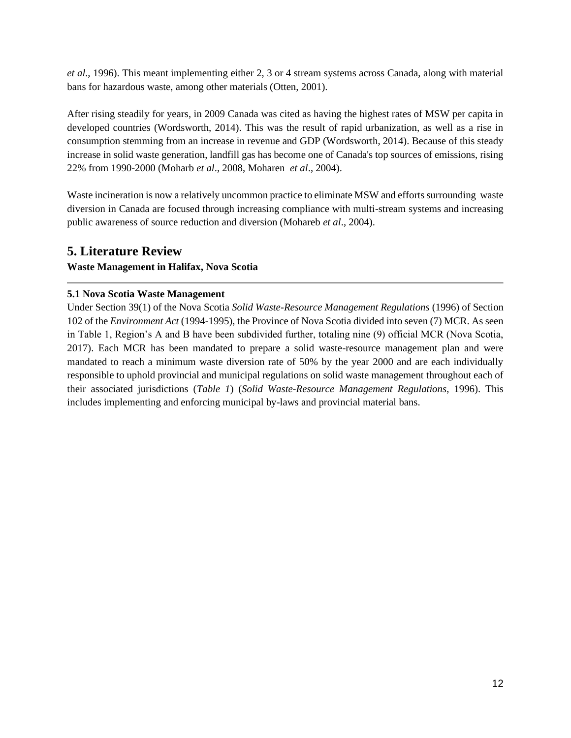*et al*., 1996). This meant implementing either 2, 3 or 4 stream systems across Canada, along with material bans for hazardous waste, among other materials (Otten, 2001).

After rising steadily for years, in 2009 Canada was cited as having the highest rates of MSW per capita in developed countries (Wordsworth, 2014). This was the result of rapid urbanization, as well as a rise in consumption stemming from an increase in revenue and GDP (Wordsworth, 2014). Because of this steady increase in solid waste generation, landfill gas has become one of Canada's top sources of emissions, rising 22% from 1990-2000 (Moharb *et al*., 2008, Moharen *et al*., 2004).

Waste incineration is now a relatively uncommon practice to eliminate MSW and efforts surrounding waste diversion in Canada are focused through increasing compliance with multi-stream systems and increasing public awareness of source reduction and diversion (Mohareb *et al*., 2004).

## <span id="page-12-0"></span>**5. Literature Review**

## **Waste Management in Halifax, Nova Scotia**

## <span id="page-12-1"></span>**5.1 Nova Scotia Waste Management**

Under Section 39(1) of the Nova Scotia *Solid Waste-Resource Management Regulations* (1996) of Section 102 of the *Environment Act* (1994-1995), the Province of Nova Scotia divided into seven (7) MCR. As seen in Table 1, Region's A and B have been subdivided further, totaling nine (9) official MCR (Nova Scotia, 2017). Each MCR has been mandated to prepare a solid waste-resource management plan and were mandated to reach a minimum waste diversion rate of 50% by the year 2000 and are each individually responsible to uphold provincial and municipal regulations on solid waste management throughout each of their associated jurisdictions (*Table 1*) (*Solid Waste-Resource Management Regulations*, 1996). This includes implementing and enforcing municipal by-laws and provincial material bans.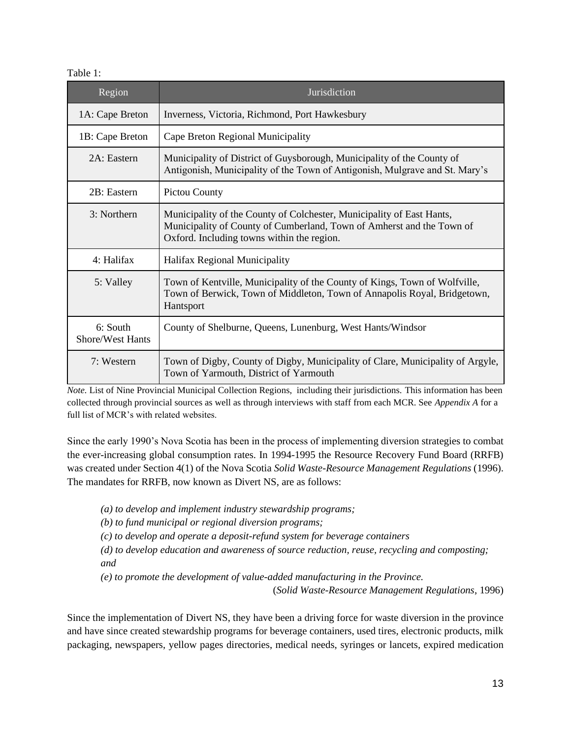#### Table 1:

| Region                              | Jurisdiction                                                                                                                                                                                 |
|-------------------------------------|----------------------------------------------------------------------------------------------------------------------------------------------------------------------------------------------|
| 1A: Cape Breton                     | Inverness, Victoria, Richmond, Port Hawkesbury                                                                                                                                               |
| 1B: Cape Breton                     | Cape Breton Regional Municipality                                                                                                                                                            |
| 2A: Eastern                         | Municipality of District of Guysborough, Municipality of the County of<br>Antigonish, Municipality of the Town of Antigonish, Mulgrave and St. Mary's                                        |
| 2B: Eastern                         | Pictou County                                                                                                                                                                                |
| 3: Northern                         | Municipality of the County of Colchester, Municipality of East Hants,<br>Municipality of County of Cumberland, Town of Amherst and the Town of<br>Oxford. Including towns within the region. |
| 4: Halifax                          | Halifax Regional Municipality                                                                                                                                                                |
| 5: Valley                           | Town of Kentville, Municipality of the County of Kings, Town of Wolfville,<br>Town of Berwick, Town of Middleton, Town of Annapolis Royal, Bridgetown,<br>Hantsport                          |
| 6: South<br><b>Shore/West Hants</b> | County of Shelburne, Queens, Lunenburg, West Hants/Windsor                                                                                                                                   |
| 7: Western                          | Town of Digby, County of Digby, Municipality of Clare, Municipality of Argyle,<br>Town of Yarmouth, District of Yarmouth                                                                     |

*Note.* List of Nine Provincial Municipal Collection Regions, including their jurisdictions. This information has been collected through provincial sources as well as through interviews with staff from each MCR. See *Appendix A* for a full list of MCR's with related websites.

Since the early 1990's Nova Scotia has been in the process of implementing diversion strategies to combat the ever-increasing global consumption rates. In 1994-1995 the Resource Recovery Fund Board (RRFB) was created under Section 4(1) of the Nova Scotia *Solid Waste-Resource Management Regulations* (1996). The mandates for RRFB, now known as Divert NS, are as follows:

*(a) to develop and implement industry stewardship programs;*

*(b) to fund municipal or regional diversion programs;*

*(c) to develop and operate a deposit-refund system for beverage containers*

*(d) to develop education and awareness of source reduction, reuse, recycling and composting; and*

*(e) to promote the development of value-added manufacturing in the Province.*

(*Solid Waste-Resource Management Regulations*, 1996)

Since the implementation of Divert NS, they have been a driving force for waste diversion in the province and have since created stewardship programs for beverage containers, used tires, electronic products, milk packaging, newspapers, yellow pages directories, medical needs, syringes or lancets, expired medication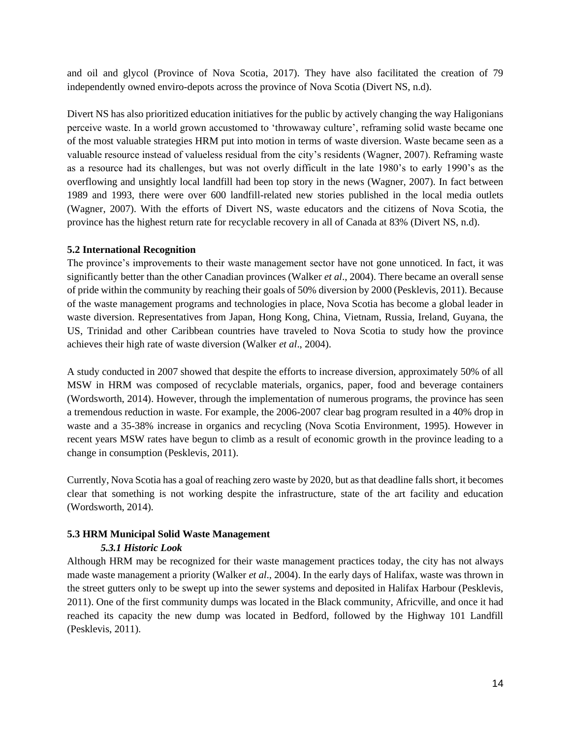and oil and glycol (Province of Nova Scotia, 2017). They have also facilitated the creation of 79 independently owned enviro-depots across the province of Nova Scotia (Divert NS, n.d).

Divert NS has also prioritized education initiatives for the public by actively changing the way Haligonians perceive waste. In a world grown accustomed to 'throwaway culture', reframing solid waste became one of the most valuable strategies HRM put into motion in terms of waste diversion. Waste became seen as a valuable resource instead of valueless residual from the city's residents (Wagner, 2007). Reframing waste as a resource had its challenges, but was not overly difficult in the late 1980's to early 1990's as the overflowing and unsightly local landfill had been top story in the news (Wagner, 2007). In fact between 1989 and 1993, there were over 600 landfill-related new stories published in the local media outlets (Wagner, 2007). With the efforts of Divert NS, waste educators and the citizens of Nova Scotia, the province has the highest return rate for recyclable recovery in all of Canada at 83% (Divert NS, n.d).

#### <span id="page-14-0"></span>**5.2 International Recognition**

The province's improvements to their waste management sector have not gone unnoticed. In fact, it was significantly better than the other Canadian provinces (Walker *et al*., 2004). There became an overall sense of pride within the community by reaching their goals of 50% diversion by 2000 (Pesklevis, 2011). Because of the waste management programs and technologies in place, Nova Scotia has become a global leader in waste diversion. Representatives from Japan, Hong Kong, China, Vietnam, Russia, Ireland, Guyana, the US, Trinidad and other Caribbean countries have traveled to Nova Scotia to study how the province achieves their high rate of waste diversion (Walker *et al*., 2004).

A study conducted in 2007 showed that despite the efforts to increase diversion, approximately 50% of all MSW in HRM was composed of recyclable materials, organics, paper, food and beverage containers (Wordsworth, 2014). However, through the implementation of numerous programs, the province has seen a tremendous reduction in waste. For example, the 2006-2007 clear bag program resulted in a 40% drop in waste and a 35-38% increase in organics and recycling (Nova Scotia Environment, 1995). However in recent years MSW rates have begun to climb as a result of economic growth in the province leading to a change in consumption (Pesklevis, 2011).

Currently, Nova Scotia has a goal of reaching zero waste by 2020, but as that deadline falls short, it becomes clear that something is not working despite the infrastructure, state of the art facility and education (Wordsworth, 2014).

#### <span id="page-14-1"></span>**5.3 HRM Municipal Solid Waste Management**

#### *5.3.1 Historic Look*

Although HRM may be recognized for their waste management practices today, the city has not always made waste management a priority (Walker *et al*., 2004). In the early days of Halifax, waste was thrown in the street gutters only to be swept up into the sewer systems and deposited in Halifax Harbour (Pesklevis, 2011). One of the first community dumps was located in the Black community, Africville, and once it had reached its capacity the new dump was located in Bedford, followed by the Highway 101 Landfill (Pesklevis, 2011).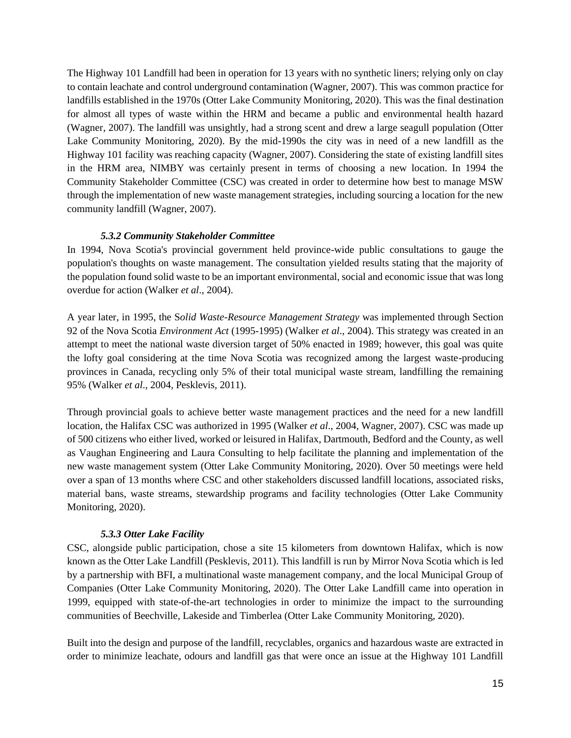The Highway 101 Landfill had been in operation for 13 years with no synthetic liners; relying only on clay to contain leachate and control underground contamination (Wagner, 2007). This was common practice for landfills established in the 1970s (Otter Lake Community Monitoring, 2020). This was the final destination for almost all types of waste within the HRM and became a public and environmental health hazard (Wagner, 2007). The landfill was unsightly, had a strong scent and drew a large seagull population (Otter Lake Community Monitoring, 2020). By the mid-1990s the city was in need of a new landfill as the Highway 101 facility was reaching capacity (Wagner, 2007). Considering the state of existing landfill sites in the HRM area, NIMBY was certainly present in terms of choosing a new location. In 1994 the Community Stakeholder Committee (CSC) was created in order to determine how best to manage MSW through the implementation of new waste management strategies, including sourcing a location for the new community landfill (Wagner, 2007).

#### *5.3.2 Community Stakeholder Committee*

In 1994, Nova Scotia's provincial government held province-wide public consultations to gauge the population's thoughts on waste management. The consultation yielded results stating that the majority of the population found solid waste to be an important environmental, social and economic issue that was long overdue for action (Walker *et al*., 2004).

A year later, in 1995, the S*olid Waste-Resource Management Strategy* was implemented through Section 92 of the Nova Scotia *Environment Act* (1995-1995) (Walker *et al*., 2004). This strategy was created in an attempt to meet the national waste diversion target of 50% enacted in 1989; however, this goal was quite the lofty goal considering at the time Nova Scotia was recognized among the largest waste-producing provinces in Canada, recycling only 5% of their total municipal waste stream, landfilling the remaining 95% (Walker *et al*., 2004, Pesklevis, 2011).

Through provincial goals to achieve better waste management practices and the need for a new landfill location, the Halifax CSC was authorized in 1995 (Walker *et al*., 2004, Wagner, 2007). CSC was made up of 500 citizens who either lived, worked or leisured in Halifax, Dartmouth, Bedford and the County, as well as Vaughan Engineering and Laura Consulting to help facilitate the planning and implementation of the new waste management system (Otter Lake Community Monitoring, 2020). Over 50 meetings were held over a span of 13 months where CSC and other stakeholders discussed landfill locations, associated risks, material bans, waste streams, stewardship programs and facility technologies (Otter Lake Community Monitoring, 2020).

#### *5.3.3 Otter Lake Facility*

CSC, alongside public participation, chose a site 15 kilometers from downtown Halifax, which is now known as the Otter Lake Landfill (Pesklevis, 2011). This landfill is run by Mirror Nova Scotia which is led by a partnership with BFI, a multinational waste management company, and the local Municipal Group of Companies (Otter Lake Community Monitoring, 2020). The Otter Lake Landfill came into operation in 1999, equipped with state-of-the-art technologies in order to minimize the impact to the surrounding communities of Beechville, Lakeside and Timberlea (Otter Lake Community Monitoring, 2020).

Built into the design and purpose of the landfill, recyclables, organics and hazardous waste are extracted in order to minimize leachate, odours and landfill gas that were once an issue at the Highway 101 Landfill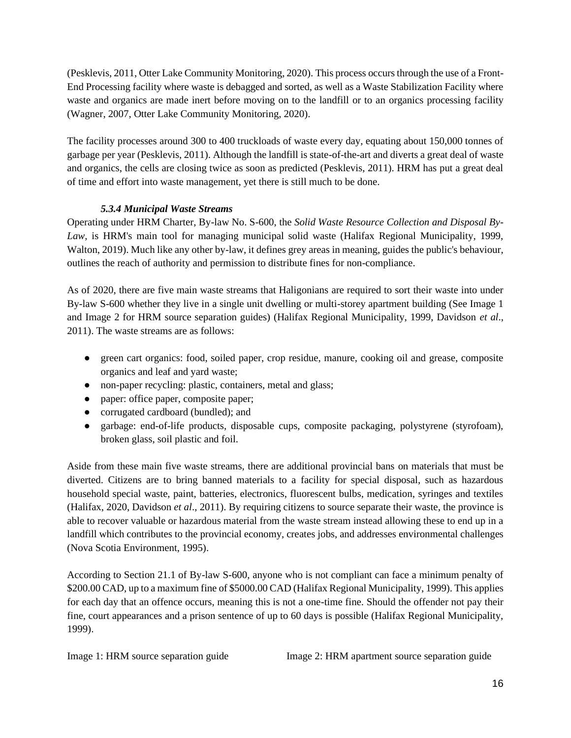(Pesklevis, 2011, Otter Lake Community Monitoring, 2020). This process occurs through the use of a Front-End Processing facility where waste is debagged and sorted, as well as a Waste Stabilization Facility where waste and organics are made inert before moving on to the landfill or to an organics processing facility (Wagner, 2007, Otter Lake Community Monitoring, 2020).

The facility processes around 300 to 400 truckloads of waste every day, equating about 150,000 tonnes of garbage per year (Pesklevis, 2011). Although the landfill is state-of-the-art and diverts a great deal of waste and organics, the cells are closing twice as soon as predicted (Pesklevis, 2011). HRM has put a great deal of time and effort into waste management, yet there is still much to be done.

## *5.3.4 Municipal Waste Streams*

Operating under HRM Charter, By-law No. S-600, the *Solid Waste Resource Collection and Disposal By-Law,* is HRM's main tool for managing municipal solid waste (Halifax Regional Municipality, 1999, Walton, 2019). Much like any other by-law, it defines grey areas in meaning, guides the public's behaviour, outlines the reach of authority and permission to distribute fines for non-compliance.

As of 2020, there are five main waste streams that Haligonians are required to sort their waste into under By-law S-600 whether they live in a single unit dwelling or multi-storey apartment building (See Image 1 and Image 2 for HRM source separation guides) (Halifax Regional Municipality, 1999, Davidson *et al*., 2011). The waste streams are as follows:

- green cart organics: food, soiled paper, crop residue, manure, cooking oil and grease, composite organics and leaf and yard waste;
- non-paper recycling: plastic, containers, metal and glass;
- paper: office paper, composite paper;
- corrugated cardboard (bundled); and
- garbage: end-of-life products, disposable cups, composite packaging, polystyrene (styrofoam), broken glass, soil plastic and foil.

Aside from these main five waste streams, there are additional provincial bans on materials that must be diverted. Citizens are to bring banned materials to a facility for special disposal, such as hazardous household special waste, paint, batteries, electronics, fluorescent bulbs, medication, syringes and textiles (Halifax, 2020, Davidson *et al*., 2011). By requiring citizens to source separate their waste, the province is able to recover valuable or hazardous material from the waste stream instead allowing these to end up in a landfill which contributes to the provincial economy, creates jobs, and addresses environmental challenges (Nova Scotia Environment, 1995).

According to Section 21.1 of By-law S-600, anyone who is not compliant can face a minimum penalty of \$200.00 CAD, up to a maximum fine of \$5000.00 CAD (Halifax Regional Municipality, 1999). This applies for each day that an offence occurs, meaning this is not a one-time fine. Should the offender not pay their fine, court appearances and a prison sentence of up to 60 days is possible (Halifax Regional Municipality, 1999).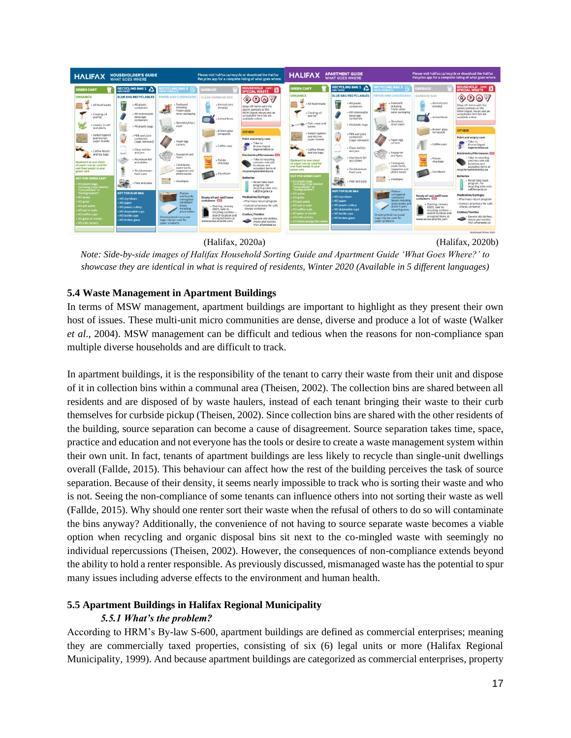

(Halifax, 2020a) (Halifax, 2020b)

*Note: Side-by-side images of Halifax Household Sorting Guide and Apartment Guide 'What Goes Where?' to showcase they are identical in what is required of residents, Winter 2020 (Available in 5 different languages)*

## <span id="page-17-0"></span>**5.4 Waste Management in Apartment Buildings**

In terms of MSW management, apartment buildings are important to highlight as they present their own host of issues. These multi-unit micro communities are dense, diverse and produce a lot of waste (Walker *et al*., 2004). MSW management can be difficult and tedious when the reasons for non-compliance span multiple diverse households and are difficult to track.

In apartment buildings, it is the responsibility of the tenant to carry their waste from their unit and dispose of it in collection bins within a communal area (Theisen, 2002). The collection bins are shared between all residents and are disposed of by waste haulers, instead of each tenant bringing their waste to their curb themselves for curbside pickup (Theisen, 2002). Since collection bins are shared with the other residents of the building, source separation can become a cause of disagreement. Source separation takes time, space, practice and education and not everyone has the tools or desire to create a waste management system within their own unit. In fact, tenants of apartment buildings are less likely to recycle than single-unit dwellings overall (Fallde, 2015). This behaviour can affect how the rest of the building perceives the task of source separation. Because of their density, it seems nearly impossible to track who is sorting their waste and who is not. Seeing the non-compliance of some tenants can influence others into not sorting their waste as well (Fallde, 2015). Why should one renter sort their waste when the refusal of others to do so will contaminate the bins anyway? Additionally, the convenience of not having to source separate waste becomes a viable option when recycling and organic disposal bins sit next to the co-mingled waste with seemingly no individual repercussions (Theisen, 2002). However, the consequences of non-compliance extends beyond the ability to hold a renter responsible. As previously discussed, mismanaged waste has the potential to spur many issues including adverse effects to the environment and human health.

## <span id="page-17-1"></span>**5.5 Apartment Buildings in Halifax Regional Municipality**

## *5.5.1 What's the problem?*

According to HRM's By-law S-600, apartment buildings are defined as commercial enterprises; meaning they are commercially taxed properties, consisting of six (6) legal units or more (Halifax Regional Municipality, 1999). And because apartment buildings are categorized as commercial enterprises, property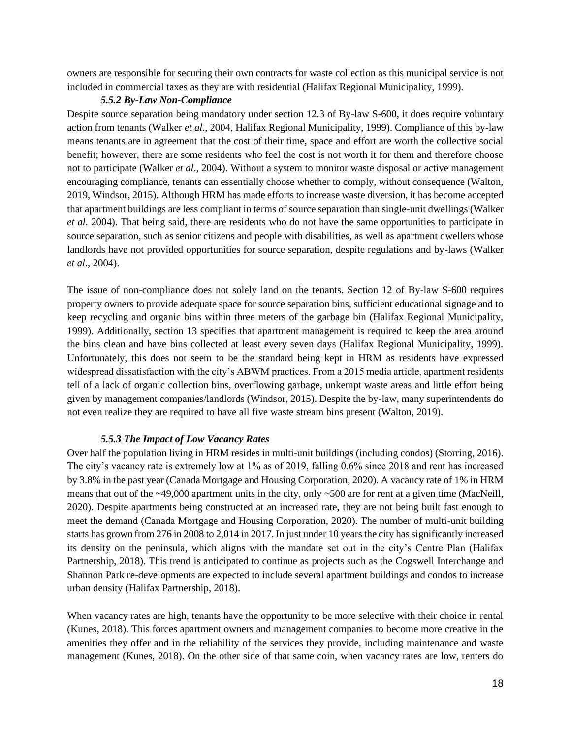owners are responsible for securing their own contracts for waste collection as this municipal service is not included in commercial taxes as they are with residential (Halifax Regional Municipality, 1999).

#### *5.5.2 By-Law Non-Compliance*

Despite source separation being mandatory under section 12.3 of By-law S-600, it does require voluntary action from tenants (Walker *et al*., 2004, Halifax Regional Municipality, 1999). Compliance of this by-law means tenants are in agreement that the cost of their time, space and effort are worth the collective social benefit; however, there are some residents who feel the cost is not worth it for them and therefore choose not to participate (Walker *et al*., 2004). Without a system to monitor waste disposal or active management encouraging compliance, tenants can essentially choose whether to comply, without consequence (Walton, 2019, Windsor, 2015). Although HRM has made efforts to increase waste diversion, it has become accepted that apartment buildings are less compliant in terms of source separation than single-unit dwellings (Walker *et al.* 2004). That being said, there are residents who do not have the same opportunities to participate in source separation, such as senior citizens and people with disabilities, as well as apartment dwellers whose landlords have not provided opportunities for source separation, despite regulations and by-laws (Walker *et al*., 2004).

The issue of non-compliance does not solely land on the tenants. Section 12 of By-law S-600 requires property owners to provide adequate space for source separation bins, sufficient educational signage and to keep recycling and organic bins within three meters of the garbage bin (Halifax Regional Municipality, 1999). Additionally, section 13 specifies that apartment management is required to keep the area around the bins clean and have bins collected at least every seven days (Halifax Regional Municipality, 1999). Unfortunately, this does not seem to be the standard being kept in HRM as residents have expressed widespread dissatisfaction with the city's ABWM practices. From a 2015 media article, apartment residents tell of a lack of organic collection bins, overflowing garbage, unkempt waste areas and little effort being given by management companies/landlords (Windsor, 2015). Despite the by-law, many superintendents do not even realize they are required to have all five waste stream bins present (Walton, 2019).

#### *5.5.3 The Impact of Low Vacancy Rates*

Over half the population living in HRM resides in multi-unit buildings (including condos) (Storring, 2016). The city's vacancy rate is extremely low at 1% as of 2019, falling 0.6% since 2018 and rent has increased by 3.8% in the past year (Canada Mortgage and Housing Corporation, 2020). A vacancy rate of 1% in HRM means that out of the  $\sim$ 49,000 apartment units in the city, only  $\sim$ 500 are for rent at a given time (MacNeill, 2020). Despite apartments being constructed at an increased rate, they are not being built fast enough to meet the demand (Canada Mortgage and Housing Corporation, 2020). The number of multi-unit building starts has grown from 276 in 2008 to 2,014 in 2017. In just under 10 years the city has significantly increased its density on the peninsula, which aligns with the mandate set out in the city's Centre Plan (Halifax Partnership, 2018). This trend is anticipated to continue as projects such as the Cogswell Interchange and Shannon Park re-developments are expected to include several apartment buildings and condos to increase urban density (Halifax Partnership, 2018).

When vacancy rates are high, tenants have the opportunity to be more selective with their choice in rental (Kunes, 2018). This forces apartment owners and management companies to become more creative in the amenities they offer and in the reliability of the services they provide, including maintenance and waste management (Kunes, 2018). On the other side of that same coin, when vacancy rates are low, renters do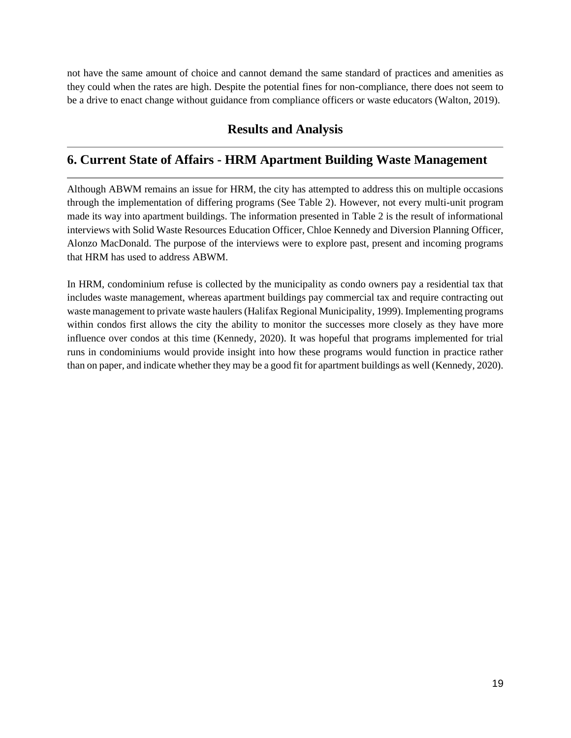not have the same amount of choice and cannot demand the same standard of practices and amenities as they could when the rates are high. Despite the potential fines for non-compliance, there does not seem to be a drive to enact change without guidance from compliance officers or waste educators (Walton, 2019).

## **Results and Analysis**

## <span id="page-19-1"></span><span id="page-19-0"></span>**6. Current State of Affairs - HRM Apartment Building Waste Management**

Although ABWM remains an issue for HRM, the city has attempted to address this on multiple occasions through the implementation of differing programs (See Table 2). However, not every multi-unit program made its way into apartment buildings. The information presented in Table 2 is the result of informational interviews with Solid Waste Resources Education Officer, Chloe Kennedy and Diversion Planning Officer, Alonzo MacDonald. The purpose of the interviews were to explore past, present and incoming programs that HRM has used to address ABWM.

In HRM, condominium refuse is collected by the municipality as condo owners pay a residential tax that includes waste management, whereas apartment buildings pay commercial tax and require contracting out waste management to private waste haulers (Halifax Regional Municipality, 1999). Implementing programs within condos first allows the city the ability to monitor the successes more closely as they have more influence over condos at this time (Kennedy, 2020). It was hopeful that programs implemented for trial runs in condominiums would provide insight into how these programs would function in practice rather than on paper, and indicate whether they may be a good fit for apartment buildings as well (Kennedy, 2020).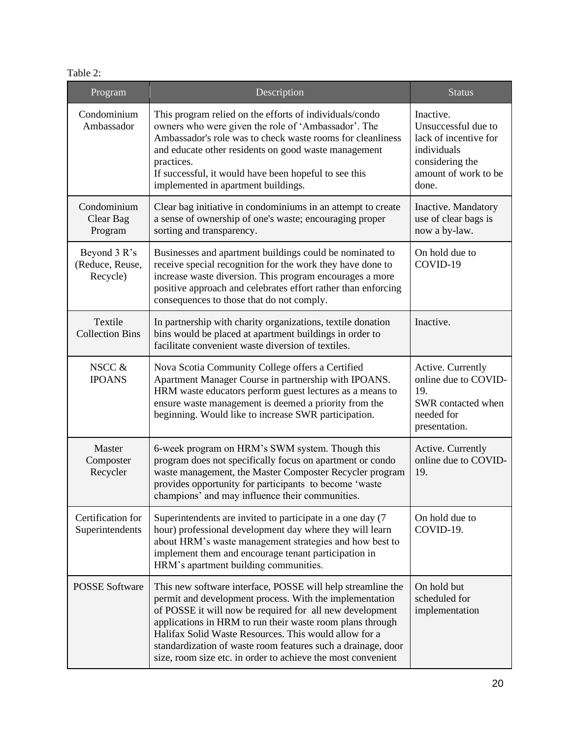|  |  | abie |  |
|--|--|------|--|
|--|--|------|--|

| Program                                     | Description                                                                                                                                                                                                                                                                                                                                                                                                                              | <b>Status</b>                                                                                                                |
|---------------------------------------------|------------------------------------------------------------------------------------------------------------------------------------------------------------------------------------------------------------------------------------------------------------------------------------------------------------------------------------------------------------------------------------------------------------------------------------------|------------------------------------------------------------------------------------------------------------------------------|
| Condominium<br>Ambassador                   | This program relied on the efforts of individuals/condo<br>owners who were given the role of 'Ambassador'. The<br>Ambassador's role was to check waste rooms for cleanliness<br>and educate other residents on good waste management<br>practices.<br>If successful, it would have been hopeful to see this<br>implemented in apartment buildings.                                                                                       | Inactive.<br>Unsuccessful due to<br>lack of incentive for<br>individuals<br>considering the<br>amount of work to be<br>done. |
| Condominium<br>Clear Bag<br>Program         | Clear bag initiative in condominiums in an attempt to create<br>a sense of ownership of one's waste; encouraging proper<br>sorting and transparency.                                                                                                                                                                                                                                                                                     | Inactive. Mandatory<br>use of clear bags is<br>now a by-law.                                                                 |
| Beyond 3 R's<br>(Reduce, Reuse,<br>Recycle) | Businesses and apartment buildings could be nominated to<br>receive special recognition for the work they have done to<br>increase waste diversion. This program encourages a more<br>positive approach and celebrates effort rather than enforcing<br>consequences to those that do not comply.                                                                                                                                         | On hold due to<br>COVID-19                                                                                                   |
| Textile<br><b>Collection Bins</b>           | In partnership with charity organizations, textile donation<br>bins would be placed at apartment buildings in order to<br>facilitate convenient waste diversion of textiles.                                                                                                                                                                                                                                                             | Inactive.                                                                                                                    |
| NSCC &<br><b>IPOANS</b>                     | Nova Scotia Community College offers a Certified<br>Apartment Manager Course in partnership with IPOANS.<br>HRM waste educators perform guest lectures as a means to<br>ensure waste management is deemed a priority from the<br>beginning. Would like to increase SWR participation.                                                                                                                                                    | Active. Currently<br>online due to COVID-<br>19.<br>SWR contacted when<br>needed for<br>presentation.                        |
| Master<br>Composter<br>Recycler             | 6-week program on HRM's SWM system. Though this<br>program does not specifically focus on apartment or condo<br>waste management, the Master Composter Recycler program<br>provides opportunity for participants to become 'waste<br>champions' and may influence their communities.                                                                                                                                                     | Active. Currently<br>online due to COVID-<br>19.                                                                             |
| Certification for<br>Superintendents        | Superintendents are invited to participate in a one day (7)<br>hour) professional development day where they will learn<br>about HRM's waste management strategies and how best to<br>implement them and encourage tenant participation in<br>HRM's apartment building communities.                                                                                                                                                      | On hold due to<br>COVID-19.                                                                                                  |
| <b>POSSE Software</b>                       | This new software interface, POSSE will help streamline the<br>permit and development process. With the implementation<br>of POSSE it will now be required for all new development<br>applications in HRM to run their waste room plans through<br>Halifax Solid Waste Resources. This would allow for a<br>standardization of waste room features such a drainage, door<br>size, room size etc. in order to achieve the most convenient | On hold but<br>scheduled for<br>implementation                                                                               |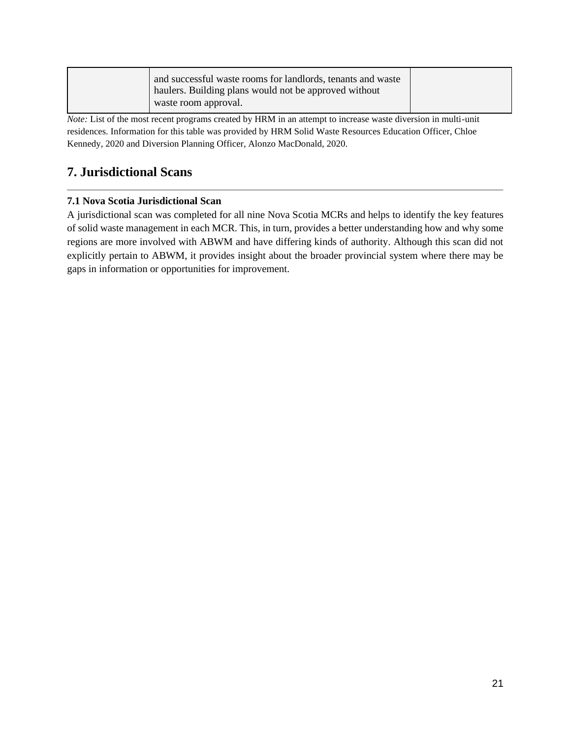| waste room approval. |  | and successful waste rooms for landlords, tenants and waste<br>haulers. Building plans would not be approved without |  |
|----------------------|--|----------------------------------------------------------------------------------------------------------------------|--|
|----------------------|--|----------------------------------------------------------------------------------------------------------------------|--|

*Note:* List of the most recent programs created by HRM in an attempt to increase waste diversion in multi-unit residences. Information for this table was provided by HRM Solid Waste Resources Education Officer, Chloe Kennedy, 2020 and Diversion Planning Officer, Alonzo MacDonald, 2020.

## <span id="page-21-0"></span>**7. Jurisdictional Scans**

## <span id="page-21-1"></span>**7.1 Nova Scotia Jurisdictional Scan**

A jurisdictional scan was completed for all nine Nova Scotia MCRs and helps to identify the key features of solid waste management in each MCR. This, in turn, provides a better understanding how and why some regions are more involved with ABWM and have differing kinds of authority. Although this scan did not explicitly pertain to ABWM, it provides insight about the broader provincial system where there may be gaps in information or opportunities for improvement.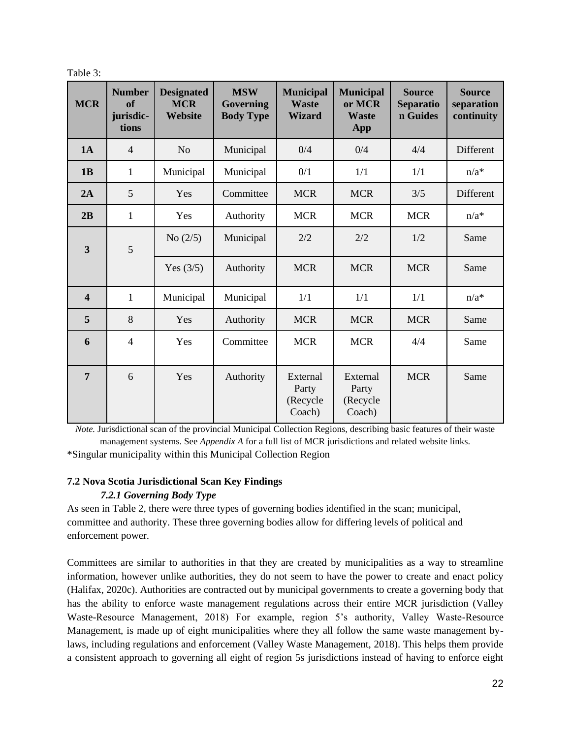| apie |  |  |
|------|--|--|
|      |  |  |

| <b>MCR</b>              | <b>Number</b><br>of<br>jurisdic-<br>tions | <b>Designated</b><br><b>MCR</b><br>Website | <b>MSW</b><br><b>Governing</b><br><b>Body Type</b> | <b>Municipal</b><br><b>Waste</b><br><b>Wizard</b> | <b>Municipal</b><br>or MCR<br><b>Waste</b><br><b>App</b> | <b>Source</b><br><b>Separatio</b><br>n Guides | <b>Source</b><br>separation<br>continuity |
|-------------------------|-------------------------------------------|--------------------------------------------|----------------------------------------------------|---------------------------------------------------|----------------------------------------------------------|-----------------------------------------------|-------------------------------------------|
| 1A                      | $\overline{4}$                            | N <sub>0</sub>                             | Municipal                                          | 0/4                                               | 0/4                                                      | 4/4                                           | Different                                 |
| 1B                      | $\mathbf{1}$                              | Municipal                                  | Municipal                                          | 0/1                                               | 1/1                                                      | 1/1                                           | $n/a^*$                                   |
| 2A                      | 5                                         | Yes                                        | Committee                                          | <b>MCR</b>                                        | <b>MCR</b>                                               | 3/5                                           | Different                                 |
| 2B                      | $\mathbf{1}$                              | Yes                                        | Authority                                          | <b>MCR</b>                                        | <b>MCR</b>                                               | <b>MCR</b>                                    | $n/a^*$                                   |
| $\overline{\mathbf{3}}$ | 5                                         | No $(2/5)$                                 | Municipal                                          | 2/2                                               | 2/2                                                      | 1/2                                           | Same                                      |
|                         |                                           | Yes $(3/5)$                                | Authority                                          | <b>MCR</b>                                        | <b>MCR</b>                                               | <b>MCR</b>                                    | Same                                      |
| $\overline{\mathbf{4}}$ | $\mathbf{1}$                              | Municipal                                  | Municipal                                          | 1/1                                               | 1/1                                                      | 1/1                                           | $n/a^*$                                   |
| 5                       | 8                                         | Yes                                        | Authority                                          | <b>MCR</b>                                        | <b>MCR</b>                                               | <b>MCR</b>                                    | Same                                      |
| 6                       | $\overline{4}$                            | Yes                                        | Committee                                          | <b>MCR</b>                                        | <b>MCR</b>                                               | 4/4                                           | Same                                      |
| $\overline{7}$          | 6                                         | Yes                                        | Authority                                          | External<br>Party<br>(Recycle<br>Coach)           | External<br>Party<br>(Recycle<br>Coach)                  | <b>MCR</b>                                    | Same                                      |

*Note.* Jurisdictional scan of the provincial Municipal Collection Regions, describing basic features of their waste management systems. See *Appendix A* for a full list of MCR jurisdictions and related website links. \*Singular municipality within this Municipal Collection Region

### <span id="page-22-0"></span>**7.2 Nova Scotia Jurisdictional Scan Key Findings**  *7.2.1 Governing Body Type*

As seen in Table 2, there were three types of governing bodies identified in the scan; municipal, committee and authority. These three governing bodies allow for differing levels of political and enforcement power.

Committees are similar to authorities in that they are created by municipalities as a way to streamline information, however unlike authorities, they do not seem to have the power to create and enact policy (Halifax, 2020c). Authorities are contracted out by municipal governments to create a governing body that has the ability to enforce waste management regulations across their entire MCR jurisdiction (Valley Waste-Resource Management, 2018) For example, region 5's authority, Valley Waste-Resource Management, is made up of eight municipalities where they all follow the same waste management bylaws, including regulations and enforcement (Valley Waste Management, 2018). This helps them provide a consistent approach to governing all eight of region 5s jurisdictions instead of having to enforce eight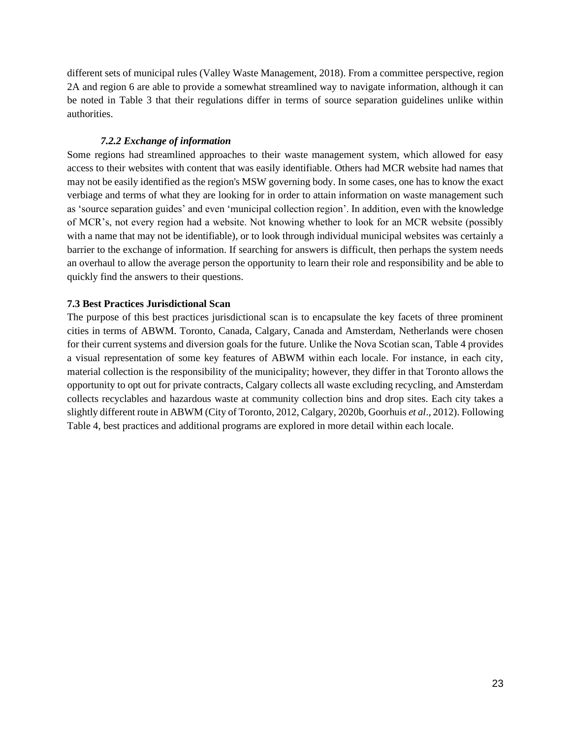different sets of municipal rules (Valley Waste Management, 2018). From a committee perspective, region 2A and region 6 are able to provide a somewhat streamlined way to navigate information, although it can be noted in Table 3 that their regulations differ in terms of source separation guidelines unlike within authorities.

#### *7.2.2 Exchange of information*

Some regions had streamlined approaches to their waste management system, which allowed for easy access to their websites with content that was easily identifiable. Others had MCR website had names that may not be easily identified as the region's MSW governing body. In some cases, one has to know the exact verbiage and terms of what they are looking for in order to attain information on waste management such as 'source separation guides' and even 'municipal collection region'. In addition, even with the knowledge of MCR's, not every region had a website. Not knowing whether to look for an MCR website (possibly with a name that may not be identifiable), or to look through individual municipal websites was certainly a barrier to the exchange of information. If searching for answers is difficult, then perhaps the system needs an overhaul to allow the average person the opportunity to learn their role and responsibility and be able to quickly find the answers to their questions.

#### <span id="page-23-0"></span>**7.3 Best Practices Jurisdictional Scan**

The purpose of this best practices jurisdictional scan is to encapsulate the key facets of three prominent cities in terms of ABWM. Toronto, Canada, Calgary, Canada and Amsterdam, Netherlands were chosen for their current systems and diversion goals for the future. Unlike the Nova Scotian scan, Table 4 provides a visual representation of some key features of ABWM within each locale. For instance, in each city, material collection is the responsibility of the municipality; however, they differ in that Toronto allows the opportunity to opt out for private contracts, Calgary collects all waste excluding recycling, and Amsterdam collects recyclables and hazardous waste at community collection bins and drop sites. Each city takes a slightly different route in ABWM (City of Toronto, 2012, Calgary, 2020b, Goorhuis *et al*., 2012). Following Table 4, best practices and additional programs are explored in more detail within each locale.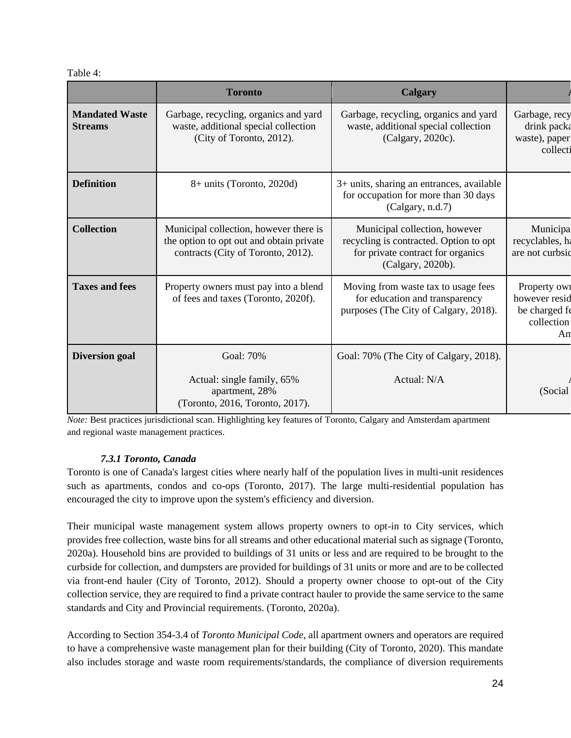Table 4:

|                                         | <b>Toronto</b>                                                                                                           | <b>Calgary</b>                                                                                                                    |                                                                    |
|-----------------------------------------|--------------------------------------------------------------------------------------------------------------------------|-----------------------------------------------------------------------------------------------------------------------------------|--------------------------------------------------------------------|
| <b>Mandated Waste</b><br><b>Streams</b> | Garbage, recycling, organics and yard<br>waste, additional special collection<br>(City of Toronto, 2012).                | Garbage, recycling, organics and yard<br>waste, additional special collection<br>(Calgary, 2020c).                                | Garbage, recy<br>drink packa<br>waste), paper<br>collecti          |
| <b>Definition</b>                       | $8+$ units (Toronto, 2020d)                                                                                              | 3+ units, sharing an entrances, available<br>for occupation for more than 30 days<br>(Calgary, n.d.7)                             |                                                                    |
| <b>Collection</b>                       | Municipal collection, however there is<br>the option to opt out and obtain private<br>contracts (City of Toronto, 2012). | Municipal collection, however<br>recycling is contracted. Option to opt<br>for private contract for organics<br>(Calgary, 2020b). | Municipa<br>recyclables, ha<br>are not curbsic                     |
| <b>Taxes and fees</b>                   | Property owners must pay into a blend<br>of fees and taxes (Toronto, 2020f).                                             | Moving from waste tax to usage fees<br>for education and transparency<br>purposes (The City of Calgary, 2018).                    | Property own<br>however resid<br>be charged fo<br>collection<br>An |
| <b>Diversion goal</b>                   | Goal: 70%                                                                                                                | Goal: 70% (The City of Calgary, 2018).                                                                                            |                                                                    |
|                                         | Actual: single family, 65%<br>apartment, 28%<br>(Toronto, 2016, Toronto, 2017).                                          | Actual: N/A                                                                                                                       | (Social                                                            |

*Note:* Best practices jurisdictional scan. Highlighting key features of Toronto, Calgary and Amsterdam apartment and regional waste management practices.

## *7.3.1 Toronto, Canada*

Toronto is one of Canada's largest cities where nearly half of the population lives in multi-unit residences such as apartments, condos and co-ops (Toronto, 2017). The large multi-residential population has encouraged the city to improve upon the system's efficiency and diversion.

Their municipal waste management system allows property owners to opt-in to City services, which provides free collection, waste bins for all streams and other educational material such as signage (Toronto, 2020a). Household bins are provided to buildings of 31 units or less and are required to be brought to the curbside for collection, and dumpsters are provided for buildings of 31 units or more and are to be collected via front-end hauler (City of Toronto, 2012). Should a property owner choose to opt-out of the City collection service, they are required to find a private contract hauler to provide the same service to the same standards and City and Provincial requirements. (Toronto, 2020a).

According to Section 354-3.4 of *Toronto Municipal Code*, all apartment owners and operators are required to have a comprehensive waste management plan for their building (City of Toronto, 2020). This mandate also includes storage and waste room requirements/standards, the compliance of diversion requirements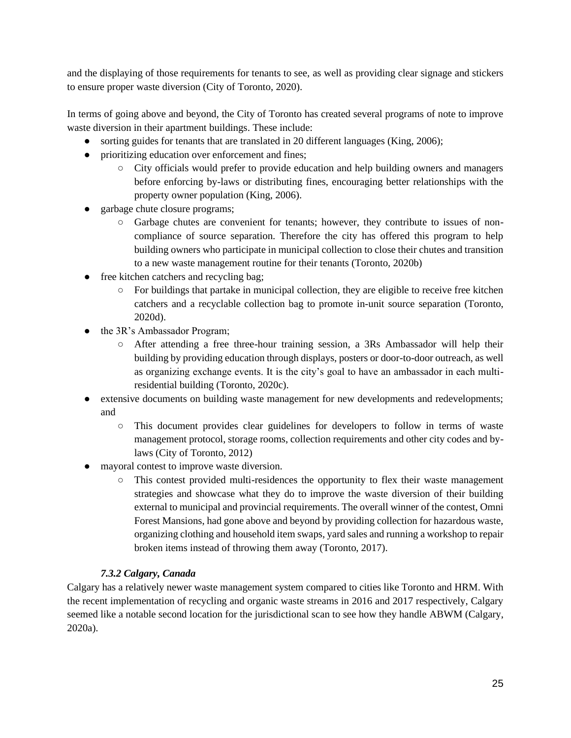and the displaying of those requirements for tenants to see, as well as providing clear signage and stickers to ensure proper waste diversion (City of Toronto, 2020).

In terms of going above and beyond, the City of Toronto has created several programs of note to improve waste diversion in their apartment buildings. These include:

- sorting guides for tenants that are translated in 20 different languages (King, 2006);
- prioritizing education over enforcement and fines;
	- City officials would prefer to provide education and help building owners and managers before enforcing by-laws or distributing fines, encouraging better relationships with the property owner population (King, 2006).
- garbage chute closure programs;
	- Garbage chutes are convenient for tenants; however, they contribute to issues of noncompliance of source separation. Therefore the city has offered this program to help building owners who participate in municipal collection to close their chutes and transition to a new waste management routine for their tenants (Toronto, 2020b)
- free kitchen catchers and recycling bag;
	- For buildings that partake in municipal collection, they are eligible to receive free kitchen catchers and a recyclable collection bag to promote in-unit source separation (Toronto, 2020d).
- the 3R's Ambassador Program;
	- After attending a free three-hour training session, a 3Rs Ambassador will help their building by providing education through displays, posters or door-to-door outreach, as well as organizing exchange events. It is the city's goal to have an ambassador in each multiresidential building (Toronto, 2020c).
- extensive documents on building waste management for new developments and redevelopments; and
	- This document provides clear guidelines for developers to follow in terms of waste management protocol, storage rooms, collection requirements and other city codes and bylaws (City of Toronto, 2012)
- mayoral contest to improve waste diversion.
	- This contest provided multi-residences the opportunity to flex their waste management strategies and showcase what they do to improve the waste diversion of their building external to municipal and provincial requirements. The overall winner of the contest, Omni Forest Mansions, had gone above and beyond by providing collection for hazardous waste, organizing clothing and household item swaps, yard sales and running a workshop to repair broken items instead of throwing them away (Toronto, 2017).

## *7.3.2 Calgary, Canada*

Calgary has a relatively newer waste management system compared to cities like Toronto and HRM. With the recent implementation of recycling and organic waste streams in 2016 and 2017 respectively, Calgary seemed like a notable second location for the jurisdictional scan to see how they handle ABWM (Calgary, 2020a).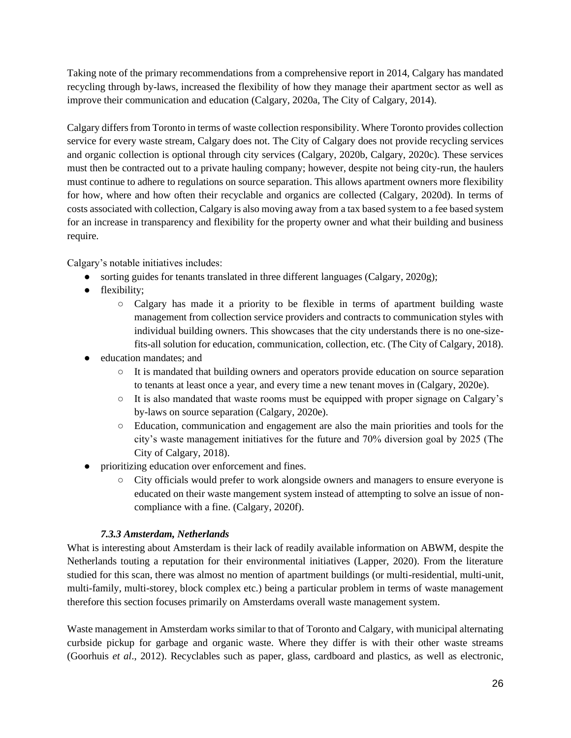Taking note of the primary recommendations from a comprehensive report in 2014, Calgary has mandated recycling through by-laws, increased the flexibility of how they manage their apartment sector as well as improve their communication and education (Calgary, 2020a, The City of Calgary, 2014).

Calgary differs from Toronto in terms of waste collection responsibility. Where Toronto provides collection service for every waste stream, Calgary does not. The City of Calgary does not provide recycling services and organic collection is optional through city services (Calgary, 2020b, Calgary, 2020c). These services must then be contracted out to a private hauling company; however, despite not being city-run, the haulers must continue to adhere to regulations on source separation. This allows apartment owners more flexibility for how, where and how often their recyclable and organics are collected (Calgary, 2020d). In terms of costs associated with collection, Calgary is also moving away from a tax based system to a fee based system for an increase in transparency and flexibility for the property owner and what their building and business require.

Calgary's notable initiatives includes:

- sorting guides for tenants translated in three different languages (Calgary, 2020g);
- flexibility;
	- Calgary has made it a priority to be flexible in terms of apartment building waste management from collection service providers and contracts to communication styles with individual building owners. This showcases that the city understands there is no one-sizefits-all solution for education, communication, collection, etc. (The City of Calgary, 2018).
- education mandates; and
	- It is mandated that building owners and operators provide education on source separation to tenants at least once a year, and every time a new tenant moves in (Calgary, 2020e).
	- It is also mandated that waste rooms must be equipped with proper signage on Calgary's by-laws on source separation (Calgary, 2020e).
	- Education, communication and engagement are also the main priorities and tools for the city's waste management initiatives for the future and 70% diversion goal by 2025 (The City of Calgary, 2018).
- prioritizing education over enforcement and fines.
	- City officials would prefer to work alongside owners and managers to ensure everyone is educated on their waste mangement system instead of attempting to solve an issue of noncompliance with a fine. (Calgary, 2020f).

## *7.3.3 Amsterdam, Netherlands*

What is interesting about Amsterdam is their lack of readily available information on ABWM, despite the Netherlands touting a reputation for their environmental initiatives (Lapper, 2020). From the literature studied for this scan, there was almost no mention of apartment buildings (or multi-residential, multi-unit, multi-family, multi-storey, block complex etc.) being a particular problem in terms of waste management therefore this section focuses primarily on Amsterdams overall waste management system.

Waste management in Amsterdam works similar to that of Toronto and Calgary, with municipal alternating curbside pickup for garbage and organic waste. Where they differ is with their other waste streams (Goorhuis *et al*., 2012). Recyclables such as paper, glass, cardboard and plastics, as well as electronic,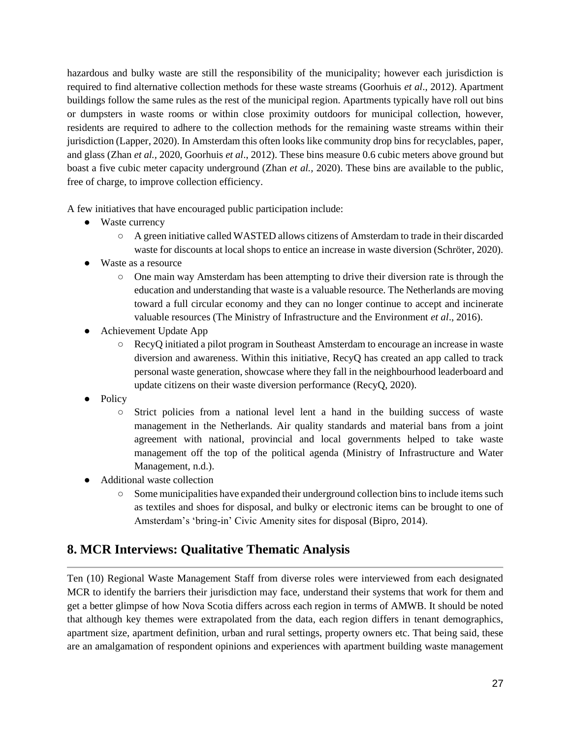hazardous and bulky waste are still the responsibility of the municipality; however each jurisdiction is required to find alternative collection methods for these waste streams (Goorhuis *et al*., 2012). Apartment buildings follow the same rules as the rest of the municipal region. Apartments typically have roll out bins or dumpsters in waste rooms or within close proximity outdoors for municipal collection, however, residents are required to adhere to the collection methods for the remaining waste streams within their jurisdiction (Lapper, 2020). In Amsterdam this often looks like community drop bins for recyclables, paper, and glass (Zhan *et al.,* 2020, Goorhuis *et al*., 2012). These bins measure 0.6 cubic meters above ground but boast a five cubic meter capacity underground (Zhan *et al.,* 2020). These bins are available to the public, free of charge, to improve collection efficiency.

A few initiatives that have encouraged public participation include:

- Waste currency
	- A green initiative called WASTED allows citizens of Amsterdam to trade in their discarded waste for discounts at local shops to entice an increase in waste diversion (Schröter, 2020).
- Waste as a resource
	- One main way Amsterdam has been attempting to drive their diversion rate is through the education and understanding that waste is a valuable resource. The Netherlands are moving toward a full circular economy and they can no longer continue to accept and incinerate valuable resources (The Ministry of Infrastructure and the Environment *et al*., 2016).
- Achievement Update App
	- RecyQ initiated a pilot program in Southeast Amsterdam to encourage an increase in waste diversion and awareness. Within this initiative, RecyQ has created an app called to track personal waste generation, showcase where they fall in the neighbourhood leaderboard and update citizens on their waste diversion performance (RecyQ, 2020).
- Policy
	- Strict policies from a national level lent a hand in the building success of waste management in the Netherlands. Air quality standards and material bans from a joint agreement with national, provincial and local governments helped to take waste management off the top of the political agenda (Ministry of Infrastructure and Water Management, n.d.).
- Additional waste collection
	- Some municipalities have expanded their underground collection bins to include items such as textiles and shoes for disposal, and bulky or electronic items can be brought to one of Amsterdam's 'bring-in' Civic Amenity sites for disposal (Bipro, 2014).

## <span id="page-27-0"></span>**8. MCR Interviews: Qualitative Thematic Analysis**

Ten (10) Regional Waste Management Staff from diverse roles were interviewed from each designated MCR to identify the barriers their jurisdiction may face, understand their systems that work for them and get a better glimpse of how Nova Scotia differs across each region in terms of AMWB. It should be noted that although key themes were extrapolated from the data, each region differs in tenant demographics, apartment size, apartment definition, urban and rural settings, property owners etc. That being said, these are an amalgamation of respondent opinions and experiences with apartment building waste management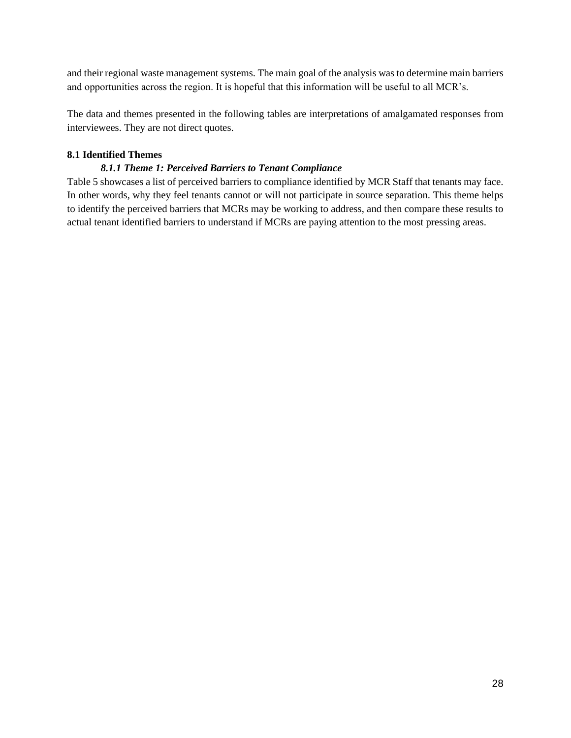and their regional waste management systems. The main goal of the analysis was to determine main barriers and opportunities across the region. It is hopeful that this information will be useful to all MCR's.

The data and themes presented in the following tables are interpretations of amalgamated responses from interviewees. They are not direct quotes.

### <span id="page-28-0"></span>**8.1 Identified Themes**

### *8.1.1 Theme 1: Perceived Barriers to Tenant Compliance*

Table 5 showcases a list of perceived barriers to compliance identified by MCR Staff that tenants may face. In other words, why they feel tenants cannot or will not participate in source separation. This theme helps to identify the perceived barriers that MCRs may be working to address, and then compare these results to actual tenant identified barriers to understand if MCRs are paying attention to the most pressing areas.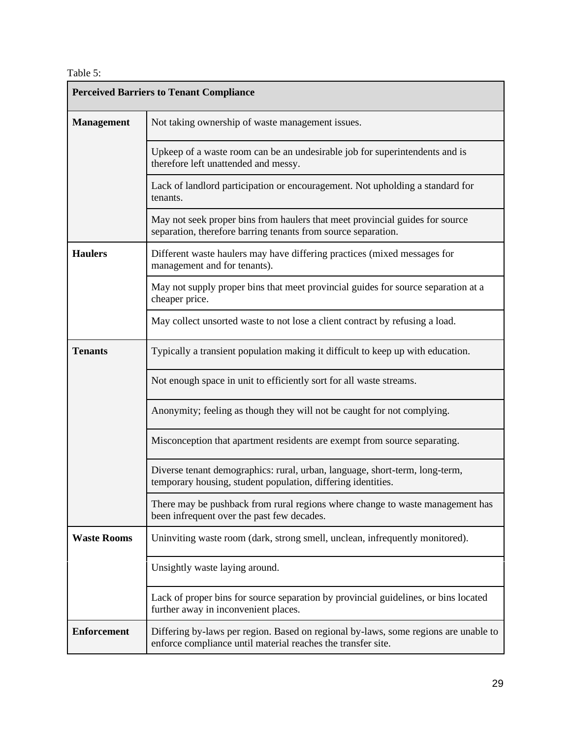Table 5:

| <b>Perceived Barriers to Tenant Compliance</b> |                                                                                                                                                     |  |  |  |
|------------------------------------------------|-----------------------------------------------------------------------------------------------------------------------------------------------------|--|--|--|
| <b>Management</b>                              | Not taking ownership of waste management issues.                                                                                                    |  |  |  |
|                                                | Upkeep of a waste room can be an undesirable job for superintendents and is<br>therefore left unattended and messy.                                 |  |  |  |
|                                                | Lack of landlord participation or encouragement. Not upholding a standard for<br>tenants.                                                           |  |  |  |
|                                                | May not seek proper bins from haulers that meet provincial guides for source<br>separation, therefore barring tenants from source separation.       |  |  |  |
| <b>Haulers</b>                                 | Different waste haulers may have differing practices (mixed messages for<br>management and for tenants).                                            |  |  |  |
|                                                | May not supply proper bins that meet provincial guides for source separation at a<br>cheaper price.                                                 |  |  |  |
|                                                | May collect unsorted waste to not lose a client contract by refusing a load.                                                                        |  |  |  |
| <b>Tenants</b>                                 | Typically a transient population making it difficult to keep up with education.                                                                     |  |  |  |
|                                                | Not enough space in unit to efficiently sort for all waste streams.                                                                                 |  |  |  |
|                                                | Anonymity; feeling as though they will not be caught for not complying.                                                                             |  |  |  |
|                                                | Misconception that apartment residents are exempt from source separating.                                                                           |  |  |  |
|                                                | Diverse tenant demographics: rural, urban, language, short-term, long-term,<br>temporary housing, student population, differing identities.         |  |  |  |
|                                                | There may be pushback from rural regions where change to waste management has<br>been infrequent over the past few decades.                         |  |  |  |
| <b>Waste Rooms</b>                             | Uninviting waste room (dark, strong smell, unclean, infrequently monitored).                                                                        |  |  |  |
|                                                | Unsightly waste laying around.                                                                                                                      |  |  |  |
|                                                | Lack of proper bins for source separation by provincial guidelines, or bins located<br>further away in inconvenient places.                         |  |  |  |
| <b>Enforcement</b>                             | Differing by-laws per region. Based on regional by-laws, some regions are unable to<br>enforce compliance until material reaches the transfer site. |  |  |  |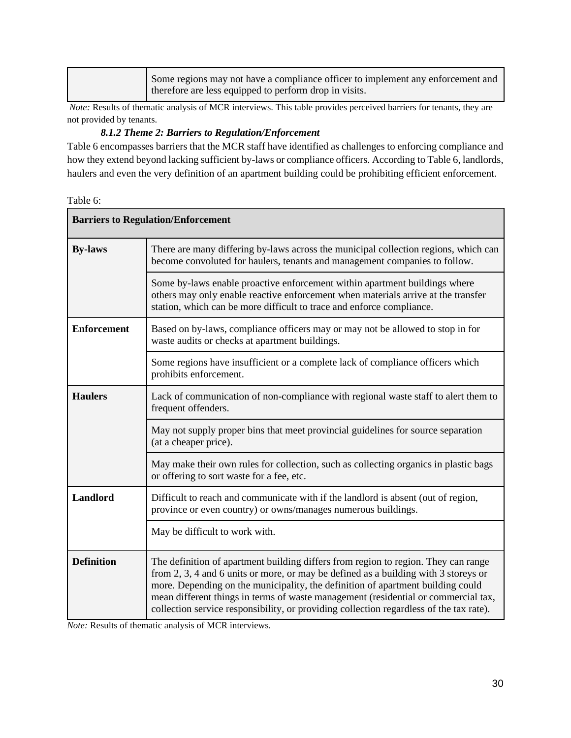| Some regions may not have a compliance officer to implement any enforcement and<br>therefore are less equipped to perform drop in visits. |
|-------------------------------------------------------------------------------------------------------------------------------------------|
|-------------------------------------------------------------------------------------------------------------------------------------------|

*Note:* Results of thematic analysis of MCR interviews. This table provides perceived barriers for tenants, they are not provided by tenants.

## *8.1.2 Theme 2: Barriers to Regulation/Enforcement*

Table 6 encompasses barriers that the MCR staff have identified as challenges to enforcing compliance and how they extend beyond lacking sufficient by-laws or compliance officers. According to Table 6, landlords, haulers and even the very definition of an apartment building could be prohibiting efficient enforcement.

| Table 6: |  |
|----------|--|
|----------|--|

| <b>Barriers to Regulation/Enforcement</b>                                                                                                              |                                                                                                                                                                                                                                                                                                                                                                                                                                               |  |
|--------------------------------------------------------------------------------------------------------------------------------------------------------|-----------------------------------------------------------------------------------------------------------------------------------------------------------------------------------------------------------------------------------------------------------------------------------------------------------------------------------------------------------------------------------------------------------------------------------------------|--|
| <b>By-laws</b>                                                                                                                                         | There are many differing by-laws across the municipal collection regions, which can<br>become convoluted for haulers, tenants and management companies to follow.                                                                                                                                                                                                                                                                             |  |
|                                                                                                                                                        | Some by-laws enable proactive enforcement within apartment buildings where<br>others may only enable reactive enforcement when materials arrive at the transfer<br>station, which can be more difficult to trace and enforce compliance.                                                                                                                                                                                                      |  |
| <b>Enforcement</b><br>Based on by-laws, compliance officers may or may not be allowed to stop in for<br>waste audits or checks at apartment buildings. |                                                                                                                                                                                                                                                                                                                                                                                                                                               |  |
|                                                                                                                                                        | Some regions have insufficient or a complete lack of compliance officers which<br>prohibits enforcement.                                                                                                                                                                                                                                                                                                                                      |  |
| <b>Haulers</b>                                                                                                                                         | Lack of communication of non-compliance with regional waste staff to alert them to<br>frequent offenders.                                                                                                                                                                                                                                                                                                                                     |  |
|                                                                                                                                                        | May not supply proper bins that meet provincial guidelines for source separation<br>(at a cheaper price).                                                                                                                                                                                                                                                                                                                                     |  |
|                                                                                                                                                        | May make their own rules for collection, such as collecting organics in plastic bags<br>or offering to sort waste for a fee, etc.                                                                                                                                                                                                                                                                                                             |  |
| <b>Landlord</b>                                                                                                                                        | Difficult to reach and communicate with if the landlord is absent (out of region,<br>province or even country) or owns/manages numerous buildings.                                                                                                                                                                                                                                                                                            |  |
| May be difficult to work with.                                                                                                                         |                                                                                                                                                                                                                                                                                                                                                                                                                                               |  |
| <b>Definition</b>                                                                                                                                      | The definition of apartment building differs from region to region. They can range<br>from 2, 3, 4 and 6 units or more, or may be defined as a building with 3 storeys or<br>more. Depending on the municipality, the definition of apartment building could<br>mean different things in terms of waste management (residential or commercial tax,<br>collection service responsibility, or providing collection regardless of the tax rate). |  |

*Note:* Results of thematic analysis of MCR interviews.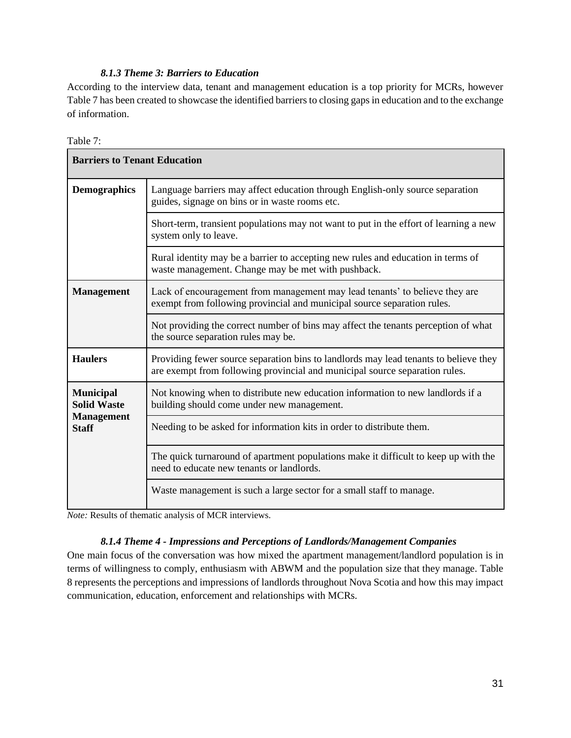## *8.1.3 Theme 3: Barriers to Education*

According to the interview data, tenant and management education is a top priority for MCRs, however Table 7 has been created to showcase the identified barriers to closing gaps in education and to the exchange of information.

| anie |  |
|------|--|

| <b>Barriers to Tenant Education</b>                                         |                                                                                                                                                                     |  |
|-----------------------------------------------------------------------------|---------------------------------------------------------------------------------------------------------------------------------------------------------------------|--|
| <b>Demographics</b>                                                         | Language barriers may affect education through English-only source separation<br>guides, signage on bins or in waste rooms etc.                                     |  |
|                                                                             | Short-term, transient populations may not want to put in the effort of learning a new<br>system only to leave.                                                      |  |
|                                                                             | Rural identity may be a barrier to accepting new rules and education in terms of<br>waste management. Change may be met with pushback.                              |  |
| <b>Management</b>                                                           | Lack of encouragement from management may lead tenants' to believe they are<br>exempt from following provincial and municipal source separation rules.              |  |
|                                                                             | Not providing the correct number of bins may affect the tenants perception of what<br>the source separation rules may be.                                           |  |
| <b>Haulers</b>                                                              | Providing fewer source separation bins to landlords may lead tenants to believe they<br>are exempt from following provincial and municipal source separation rules. |  |
| <b>Municipal</b><br><b>Solid Waste</b><br><b>Management</b><br><b>Staff</b> | Not knowing when to distribute new education information to new landlords if a<br>building should come under new management.                                        |  |
|                                                                             | Needing to be asked for information kits in order to distribute them.                                                                                               |  |
|                                                                             | The quick turnaround of apartment populations make it difficult to keep up with the<br>need to educate new tenants or landlords.                                    |  |
|                                                                             | Waste management is such a large sector for a small staff to manage.                                                                                                |  |

*Note:* Results of thematic analysis of MCR interviews.

## *8.1.4 Theme 4 - Impressions and Perceptions of Landlords/Management Companies*

One main focus of the conversation was how mixed the apartment management/landlord population is in terms of willingness to comply, enthusiasm with ABWM and the population size that they manage. Table 8 represents the perceptions and impressions of landlords throughout Nova Scotia and how this may impact communication, education, enforcement and relationships with MCRs.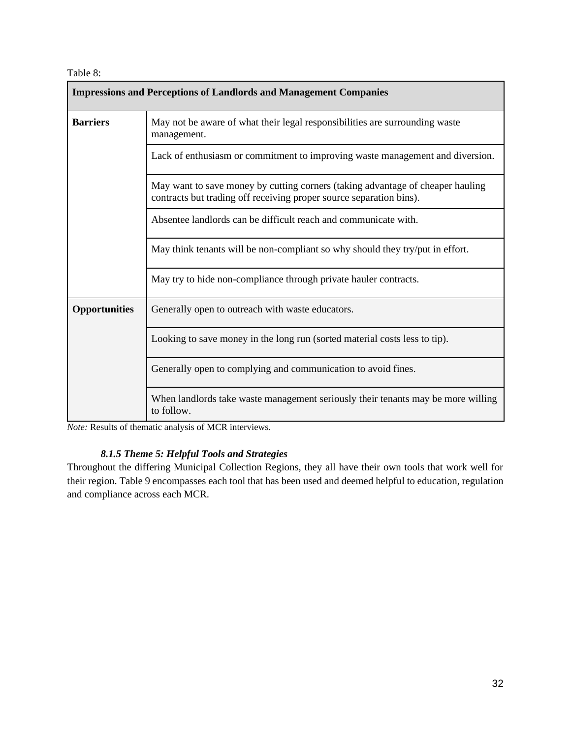Table 8:

| <b>Impressions and Perceptions of Landlords and Management Companies</b>      |                                                                                                                                                       |  |  |
|-------------------------------------------------------------------------------|-------------------------------------------------------------------------------------------------------------------------------------------------------|--|--|
| <b>Barriers</b>                                                               | May not be aware of what their legal responsibilities are surrounding waste<br>management.                                                            |  |  |
|                                                                               | Lack of enthusiasm or commitment to improving waste management and diversion.                                                                         |  |  |
|                                                                               | May want to save money by cutting corners (taking advantage of cheaper hauling<br>contracts but trading off receiving proper source separation bins). |  |  |
|                                                                               | Absentee landlords can be difficult reach and communicate with.                                                                                       |  |  |
| May think tenants will be non-compliant so why should they try/put in effort. |                                                                                                                                                       |  |  |
|                                                                               | May try to hide non-compliance through private hauler contracts.                                                                                      |  |  |
| <b>Opportunities</b>                                                          | Generally open to outreach with waste educators.                                                                                                      |  |  |
| Looking to save money in the long run (sorted material costs less to tip).    |                                                                                                                                                       |  |  |
|                                                                               | Generally open to complying and communication to avoid fines.                                                                                         |  |  |
|                                                                               | When landlords take waste management seriously their tenants may be more willing<br>to follow.                                                        |  |  |

*Note:* Results of thematic analysis of MCR interviews.

## *8.1.5 Theme 5: Helpful Tools and Strategies*

Throughout the differing Municipal Collection Regions, they all have their own tools that work well for their region. Table 9 encompasses each tool that has been used and deemed helpful to education, regulation and compliance across each MCR.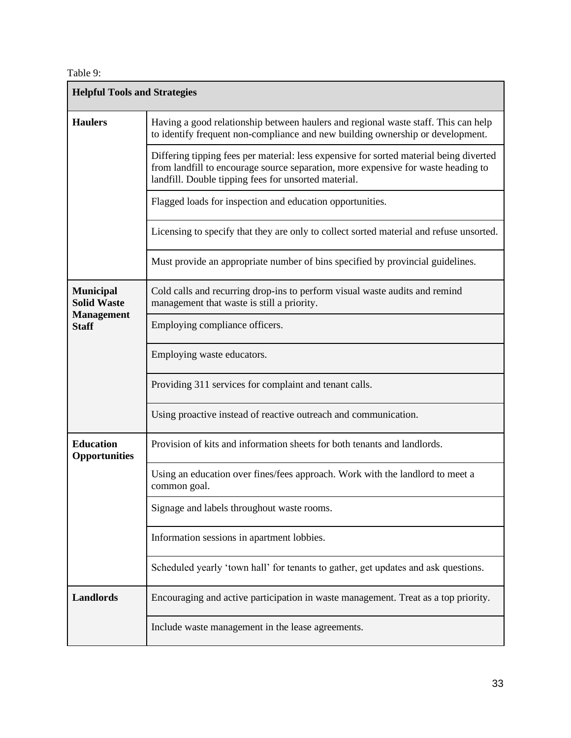Table 9:

| <b>Helpful Tools and Strategies</b>                    |                                                                                                                                                                                                                                     |  |  |  |
|--------------------------------------------------------|-------------------------------------------------------------------------------------------------------------------------------------------------------------------------------------------------------------------------------------|--|--|--|
| <b>Haulers</b>                                         | Having a good relationship between haulers and regional waste staff. This can help<br>to identify frequent non-compliance and new building ownership or development.                                                                |  |  |  |
|                                                        | Differing tipping fees per material: less expensive for sorted material being diverted<br>from landfill to encourage source separation, more expensive for waste heading to<br>landfill. Double tipping fees for unsorted material. |  |  |  |
|                                                        | Flagged loads for inspection and education opportunities.                                                                                                                                                                           |  |  |  |
|                                                        | Licensing to specify that they are only to collect sorted material and refuse unsorted.                                                                                                                                             |  |  |  |
|                                                        | Must provide an appropriate number of bins specified by provincial guidelines.                                                                                                                                                      |  |  |  |
| <b>Municipal</b><br><b>Solid Waste</b>                 | Cold calls and recurring drop-ins to perform visual waste audits and remind<br>management that waste is still a priority.                                                                                                           |  |  |  |
| <b>Management</b><br><b>Staff</b>                      | Employing compliance officers.                                                                                                                                                                                                      |  |  |  |
|                                                        | Employing waste educators.                                                                                                                                                                                                          |  |  |  |
| Providing 311 services for complaint and tenant calls. |                                                                                                                                                                                                                                     |  |  |  |
|                                                        | Using proactive instead of reactive outreach and communication.                                                                                                                                                                     |  |  |  |
| <b>Education</b><br><b>Opportunities</b>               | Provision of kits and information sheets for both tenants and landlords.                                                                                                                                                            |  |  |  |
|                                                        | Using an education over fines/fees approach. Work with the landlord to meet a<br>common goal.                                                                                                                                       |  |  |  |
|                                                        | Signage and labels throughout waste rooms.                                                                                                                                                                                          |  |  |  |
|                                                        | Information sessions in apartment lobbies.                                                                                                                                                                                          |  |  |  |
|                                                        | Scheduled yearly 'town hall' for tenants to gather, get updates and ask questions.                                                                                                                                                  |  |  |  |
| <b>Landlords</b>                                       | Encouraging and active participation in waste management. Treat as a top priority.                                                                                                                                                  |  |  |  |
|                                                        | Include waste management in the lease agreements.                                                                                                                                                                                   |  |  |  |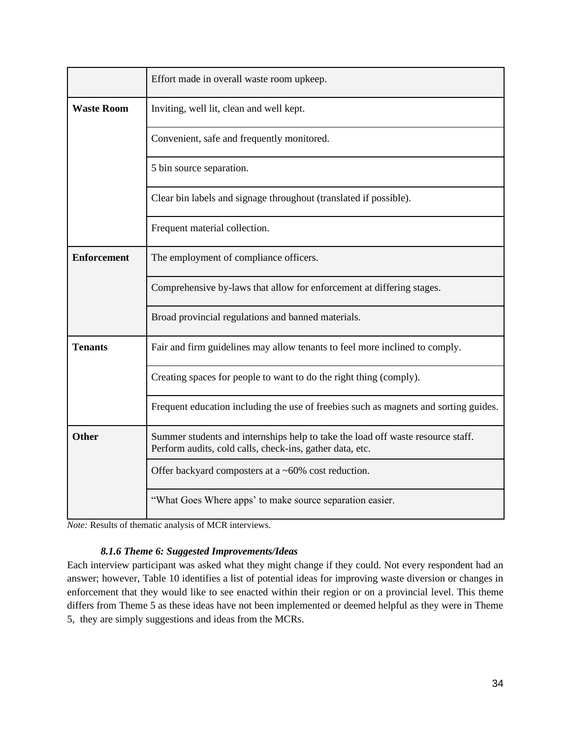|                    | Effort made in overall waste room upkeep.                                                                                                   |  |
|--------------------|---------------------------------------------------------------------------------------------------------------------------------------------|--|
| <b>Waste Room</b>  | Inviting, well lit, clean and well kept.                                                                                                    |  |
|                    | Convenient, safe and frequently monitored.                                                                                                  |  |
|                    | 5 bin source separation.                                                                                                                    |  |
|                    | Clear bin labels and signage throughout (translated if possible).                                                                           |  |
|                    | Frequent material collection.                                                                                                               |  |
| <b>Enforcement</b> | The employment of compliance officers.                                                                                                      |  |
|                    | Comprehensive by-laws that allow for enforcement at differing stages.                                                                       |  |
|                    | Broad provincial regulations and banned materials.                                                                                          |  |
| <b>Tenants</b>     | Fair and firm guidelines may allow tenants to feel more inclined to comply.                                                                 |  |
|                    | Creating spaces for people to want to do the right thing (comply).                                                                          |  |
|                    | Frequent education including the use of freebies such as magnets and sorting guides.                                                        |  |
| <b>Other</b>       | Summer students and internships help to take the load off waste resource staff.<br>Perform audits, cold calls, check-ins, gather data, etc. |  |
|                    | Offer backyard composters at a ~60% cost reduction.                                                                                         |  |
|                    | "What Goes Where apps' to make source separation easier.                                                                                    |  |

*Note:* Results of thematic analysis of MCR interviews.

## *8.1.6 Theme 6: Suggested Improvements/Ideas*

Each interview participant was asked what they might change if they could. Not every respondent had an answer; however, Table 10 identifies a list of potential ideas for improving waste diversion or changes in enforcement that they would like to see enacted within their region or on a provincial level. This theme differs from Theme 5 as these ideas have not been implemented or deemed helpful as they were in Theme 5, they are simply suggestions and ideas from the MCRs.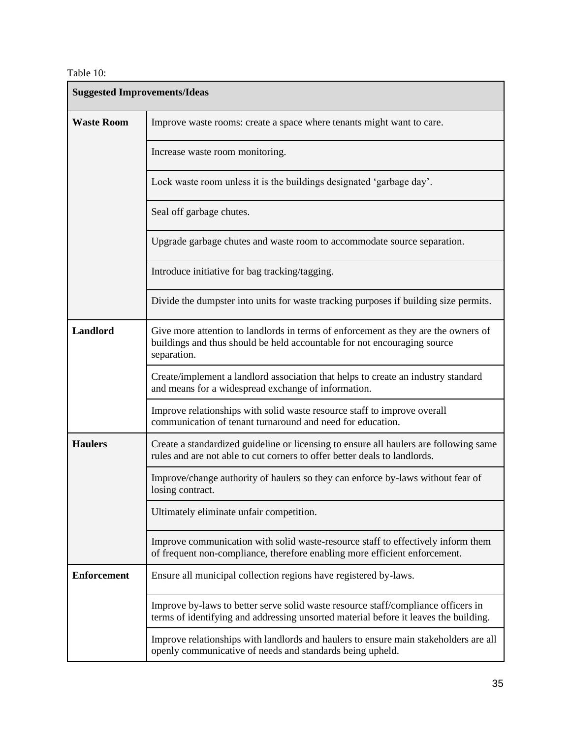## Table 10:

| <b>Suggested Improvements/Ideas</b> |                                                                                                                                                                               |  |  |  |
|-------------------------------------|-------------------------------------------------------------------------------------------------------------------------------------------------------------------------------|--|--|--|
| <b>Waste Room</b>                   | Improve waste rooms: create a space where tenants might want to care.                                                                                                         |  |  |  |
|                                     | Increase waste room monitoring.                                                                                                                                               |  |  |  |
|                                     | Lock waste room unless it is the buildings designated 'garbage day'.                                                                                                          |  |  |  |
|                                     | Seal off garbage chutes.                                                                                                                                                      |  |  |  |
|                                     | Upgrade garbage chutes and waste room to accommodate source separation.                                                                                                       |  |  |  |
|                                     | Introduce initiative for bag tracking/tagging.                                                                                                                                |  |  |  |
|                                     | Divide the dumpster into units for waste tracking purposes if building size permits.                                                                                          |  |  |  |
| Landlord                            | Give more attention to landlords in terms of enforcement as they are the owners of<br>buildings and thus should be held accountable for not encouraging source<br>separation. |  |  |  |
|                                     | Create/implement a landlord association that helps to create an industry standard<br>and means for a widespread exchange of information.                                      |  |  |  |
|                                     | Improve relationships with solid waste resource staff to improve overall<br>communication of tenant turnaround and need for education.                                        |  |  |  |
| <b>Haulers</b>                      | Create a standardized guideline or licensing to ensure all haulers are following same<br>rules and are not able to cut corners to offer better deals to landlords.            |  |  |  |
|                                     | Improve/change authority of haulers so they can enforce by-laws without fear of<br>losing contract.                                                                           |  |  |  |
|                                     | Ultimately eliminate unfair competition.                                                                                                                                      |  |  |  |
|                                     | Improve communication with solid waste-resource staff to effectively inform them<br>of frequent non-compliance, therefore enabling more efficient enforcement.                |  |  |  |
| <b>Enforcement</b>                  | Ensure all municipal collection regions have registered by-laws.                                                                                                              |  |  |  |
|                                     | Improve by-laws to better serve solid waste resource staff/compliance officers in<br>terms of identifying and addressing unsorted material before it leaves the building.     |  |  |  |
|                                     | Improve relationships with landlords and haulers to ensure main stakeholders are all<br>openly communicative of needs and standards being upheld.                             |  |  |  |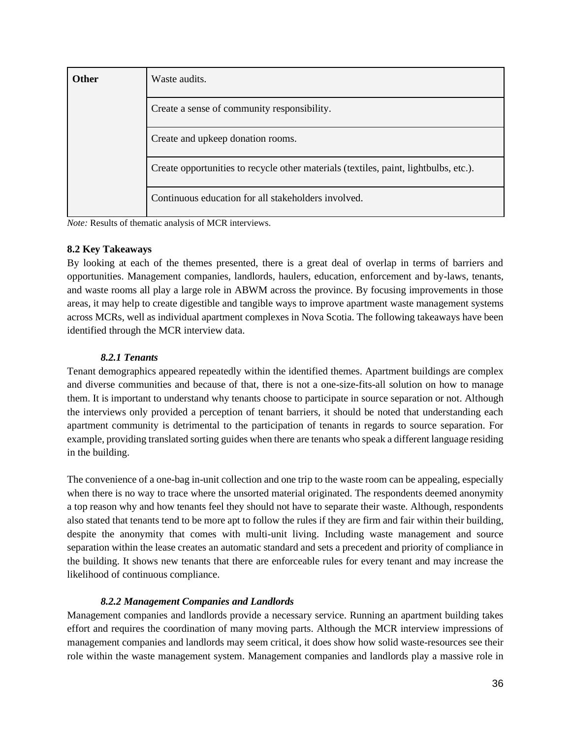| <b>Other</b>                                                                         | Waste audits.                                       |  |
|--------------------------------------------------------------------------------------|-----------------------------------------------------|--|
| Create a sense of community responsibility.                                          |                                                     |  |
| Create and upkeep donation rooms.                                                    |                                                     |  |
| Create opportunities to recycle other materials (textiles, paint, lightbulbs, etc.). |                                                     |  |
|                                                                                      | Continuous education for all stakeholders involved. |  |

*Note:* Results of thematic analysis of MCR interviews.

### <span id="page-36-0"></span>**8.2 Key Takeaways**

By looking at each of the themes presented, there is a great deal of overlap in terms of barriers and opportunities. Management companies, landlords, haulers, education, enforcement and by-laws, tenants, and waste rooms all play a large role in ABWM across the province. By focusing improvements in those areas, it may help to create digestible and tangible ways to improve apartment waste management systems across MCRs, well as individual apartment complexes in Nova Scotia. The following takeaways have been identified through the MCR interview data.

## *8.2.1 Tenants*

Tenant demographics appeared repeatedly within the identified themes. Apartment buildings are complex and diverse communities and because of that, there is not a one-size-fits-all solution on how to manage them. It is important to understand why tenants choose to participate in source separation or not. Although the interviews only provided a perception of tenant barriers, it should be noted that understanding each apartment community is detrimental to the participation of tenants in regards to source separation. For example, providing translated sorting guides when there are tenants who speak a different language residing in the building.

The convenience of a one-bag in-unit collection and one trip to the waste room can be appealing, especially when there is no way to trace where the unsorted material originated. The respondents deemed anonymity a top reason why and how tenants feel they should not have to separate their waste. Although, respondents also stated that tenants tend to be more apt to follow the rules if they are firm and fair within their building, despite the anonymity that comes with multi-unit living. Including waste management and source separation within the lease creates an automatic standard and sets a precedent and priority of compliance in the building. It shows new tenants that there are enforceable rules for every tenant and may increase the likelihood of continuous compliance.

## *8.2.2 Management Companies and Landlords*

Management companies and landlords provide a necessary service. Running an apartment building takes effort and requires the coordination of many moving parts. Although the MCR interview impressions of management companies and landlords may seem critical, it does show how solid waste-resources see their role within the waste management system. Management companies and landlords play a massive role in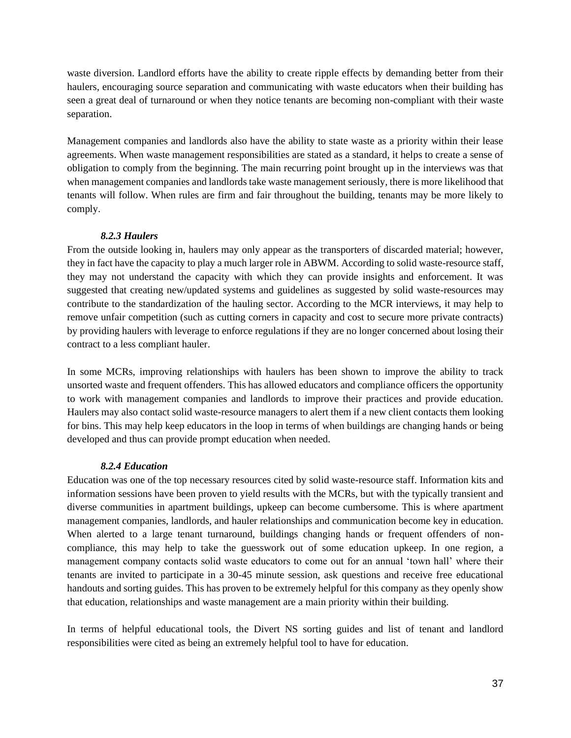waste diversion. Landlord efforts have the ability to create ripple effects by demanding better from their haulers, encouraging source separation and communicating with waste educators when their building has seen a great deal of turnaround or when they notice tenants are becoming non-compliant with their waste separation.

Management companies and landlords also have the ability to state waste as a priority within their lease agreements. When waste management responsibilities are stated as a standard, it helps to create a sense of obligation to comply from the beginning. The main recurring point brought up in the interviews was that when management companies and landlords take waste management seriously, there is more likelihood that tenants will follow. When rules are firm and fair throughout the building, tenants may be more likely to comply.

### *8.2.3 Haulers*

From the outside looking in, haulers may only appear as the transporters of discarded material; however, they in fact have the capacity to play a much larger role in ABWM. According to solid waste-resource staff, they may not understand the capacity with which they can provide insights and enforcement. It was suggested that creating new/updated systems and guidelines as suggested by solid waste-resources may contribute to the standardization of the hauling sector. According to the MCR interviews, it may help to remove unfair competition (such as cutting corners in capacity and cost to secure more private contracts) by providing haulers with leverage to enforce regulations if they are no longer concerned about losing their contract to a less compliant hauler.

In some MCRs, improving relationships with haulers has been shown to improve the ability to track unsorted waste and frequent offenders. This has allowed educators and compliance officers the opportunity to work with management companies and landlords to improve their practices and provide education. Haulers may also contact solid waste-resource managers to alert them if a new client contacts them looking for bins. This may help keep educators in the loop in terms of when buildings are changing hands or being developed and thus can provide prompt education when needed.

#### *8.2.4 Education*

Education was one of the top necessary resources cited by solid waste-resource staff. Information kits and information sessions have been proven to yield results with the MCRs, but with the typically transient and diverse communities in apartment buildings, upkeep can become cumbersome. This is where apartment management companies, landlords, and hauler relationships and communication become key in education. When alerted to a large tenant turnaround, buildings changing hands or frequent offenders of noncompliance, this may help to take the guesswork out of some education upkeep. In one region, a management company contacts solid waste educators to come out for an annual 'town hall' where their tenants are invited to participate in a 30-45 minute session, ask questions and receive free educational handouts and sorting guides. This has proven to be extremely helpful for this company as they openly show that education, relationships and waste management are a main priority within their building.

In terms of helpful educational tools, the Divert NS sorting guides and list of tenant and landlord responsibilities were cited as being an extremely helpful tool to have for education.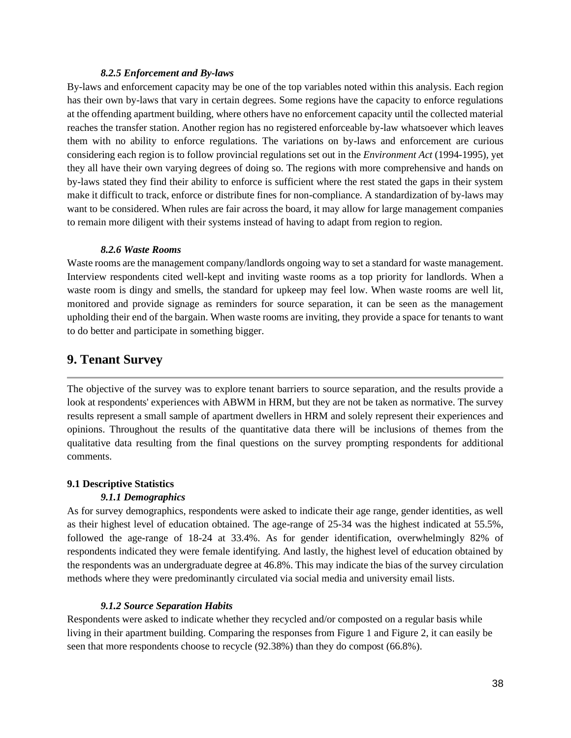#### *8.2.5 Enforcement and By-laws*

By-laws and enforcement capacity may be one of the top variables noted within this analysis. Each region has their own by-laws that vary in certain degrees. Some regions have the capacity to enforce regulations at the offending apartment building, where others have no enforcement capacity until the collected material reaches the transfer station. Another region has no registered enforceable by-law whatsoever which leaves them with no ability to enforce regulations. The variations on by-laws and enforcement are curious considering each region is to follow provincial regulations set out in the *Environment Act* (1994-1995)*,* yet they all have their own varying degrees of doing so. The regions with more comprehensive and hands on by-laws stated they find their ability to enforce is sufficient where the rest stated the gaps in their system make it difficult to track, enforce or distribute fines for non-compliance. A standardization of by-laws may want to be considered. When rules are fair across the board, it may allow for large management companies to remain more diligent with their systems instead of having to adapt from region to region.

#### *8.2.6 Waste Rooms*

Waste rooms are the management company/landlords ongoing way to set a standard for waste management. Interview respondents cited well-kept and inviting waste rooms as a top priority for landlords. When a waste room is dingy and smells, the standard for upkeep may feel low. When waste rooms are well lit, monitored and provide signage as reminders for source separation, it can be seen as the management upholding their end of the bargain. When waste rooms are inviting, they provide a space for tenants to want to do better and participate in something bigger.

## <span id="page-38-0"></span>**9. Tenant Survey**

The objective of the survey was to explore tenant barriers to source separation, and the results provide a look at respondents' experiences with ABWM in HRM, but they are not be taken as normative. The survey results represent a small sample of apartment dwellers in HRM and solely represent their experiences and opinions. Throughout the results of the quantitative data there will be inclusions of themes from the qualitative data resulting from the final questions on the survey prompting respondents for additional comments.

#### <span id="page-38-1"></span>**9.1 Descriptive Statistics**

#### *9.1.1 Demographics*

As for survey demographics, respondents were asked to indicate their age range, gender identities, as well as their highest level of education obtained. The age-range of 25-34 was the highest indicated at 55.5%, followed the age-range of 18-24 at 33.4%. As for gender identification, overwhelmingly 82% of respondents indicated they were female identifying. And lastly, the highest level of education obtained by the respondents was an undergraduate degree at 46.8%. This may indicate the bias of the survey circulation methods where they were predominantly circulated via social media and university email lists.

#### *9.1.2 Source Separation Habits*

Respondents were asked to indicate whether they recycled and/or composted on a regular basis while living in their apartment building. Comparing the responses from Figure 1 and Figure 2, it can easily be seen that more respondents choose to recycle (92.38%) than they do compost (66.8%).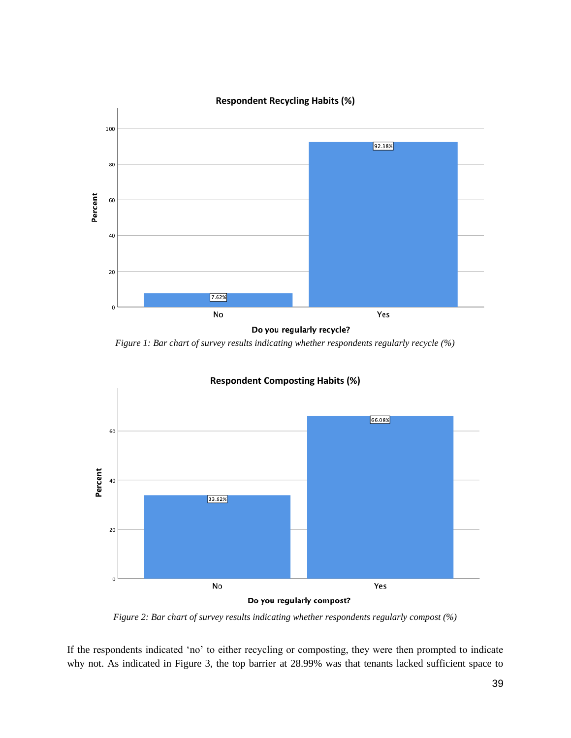

*Figure 1: Bar chart of survey results indicating whether respondents regularly recycle (%)*



*Figure 2: Bar chart of survey results indicating whether respondents regularly compost (%)*

If the respondents indicated 'no' to either recycling or composting, they were then prompted to indicate why not. As indicated in Figure 3, the top barrier at 28.99% was that tenants lacked sufficient space to

39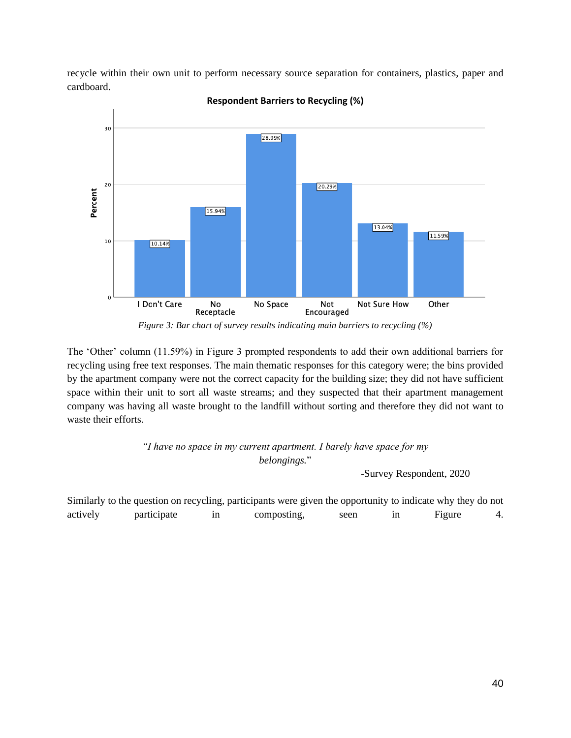recycle within their own unit to perform necessary source separation for containers, plastics, paper and cardboard.



**Respondent Barriers to Recycling (%)**

*Figure 3: Bar chart of survey results indicating main barriers to recycling (%)*

The 'Other' column (11.59%) in Figure 3 prompted respondents to add their own additional barriers for recycling using free text responses. The main thematic responses for this category were; the bins provided by the apartment company were not the correct capacity for the building size; they did not have sufficient space within their unit to sort all waste streams; and they suspected that their apartment management company was having all waste brought to the landfill without sorting and therefore they did not want to waste their efforts.

> *"I have no space in my current apartment. I barely have space for my belongings.*"

> > -Survey Respondent, 2020

Similarly to the question on recycling, participants were given the opportunity to indicate why they do not actively participate in composting, seen in Figure 4.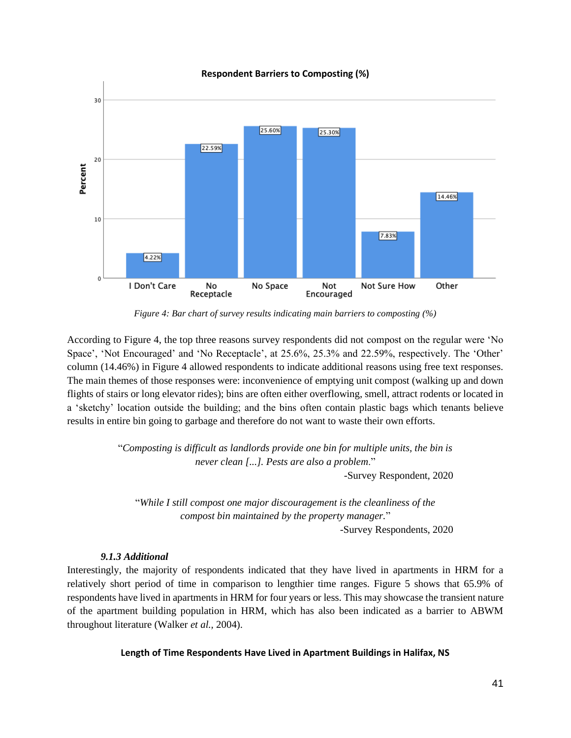

**Respondent Barriers to Composting (%)**

*Figure 4: Bar chart of survey results indicating main barriers to composting (%)*

According to Figure 4, the top three reasons survey respondents did not compost on the regular were 'No Space', 'Not Encouraged' and 'No Receptacle', at 25.6%, 25.3% and 22.59%, respectively. The 'Other' column (14.46%) in Figure 4 allowed respondents to indicate additional reasons using free text responses. The main themes of those responses were: inconvenience of emptying unit compost (walking up and down flights of stairs or long elevator rides); bins are often either overflowing, smell, attract rodents or located in a 'sketchy' location outside the building; and the bins often contain plastic bags which tenants believe results in entire bin going to garbage and therefore do not want to waste their own efforts.

> "*Composting is difficult as landlords provide one bin for multiple units, the bin is never clean [...]. Pests are also a problem*."

-Survey Respondent, 2020

"*While I still compost one major discouragement is the cleanliness of the compost bin maintained by the property manager.*"

-Survey Respondents, 2020

#### *9.1.3 Additional*

Interestingly, the majority of respondents indicated that they have lived in apartments in HRM for a relatively short period of time in comparison to lengthier time ranges. Figure 5 shows that 65.9% of respondents have lived in apartments in HRM for four years or less. This may showcase the transient nature of the apartment building population in HRM, which has also been indicated as a barrier to ABWM throughout literature (Walker *et al.,* 2004).

#### **Length of Time Respondents Have Lived in Apartment Buildings in Halifax, NS**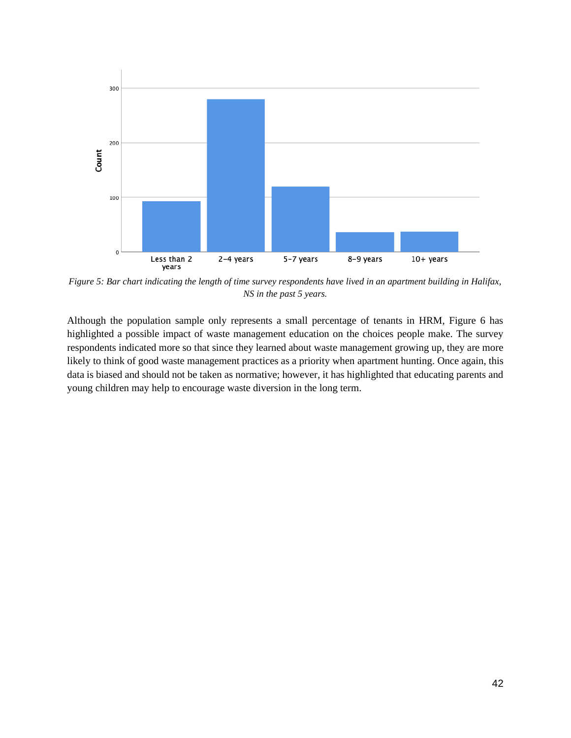

*Figure 5: Bar chart indicating the length of time survey respondents have lived in an apartment building in Halifax, NS in the past 5 years.* 

Although the population sample only represents a small percentage of tenants in HRM, Figure 6 has highlighted a possible impact of waste management education on the choices people make. The survey respondents indicated more so that since they learned about waste management growing up, they are more likely to think of good waste management practices as a priority when apartment hunting. Once again, this data is biased and should not be taken as normative; however, it has highlighted that educating parents and young children may help to encourage waste diversion in the long term.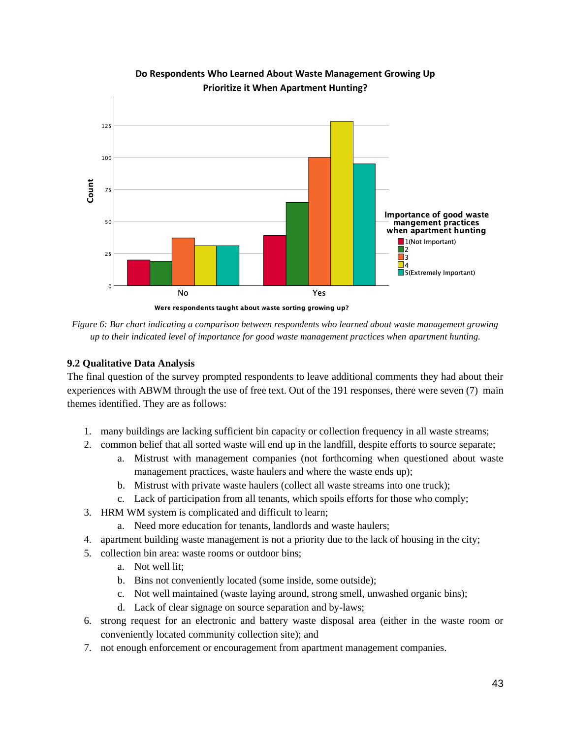

**Do Respondents Who Learned About Waste Management Growing Up Prioritize it When Apartment Hunting?** 

*Figure 6: Bar chart indicating a comparison between respondents who learned about waste management growing up to their indicated level of importance for good waste management practices when apartment hunting.*

## <span id="page-43-0"></span>**9.2 Qualitative Data Analysis**

The final question of the survey prompted respondents to leave additional comments they had about their experiences with ABWM through the use of free text. Out of the 191 responses, there were seven (7) main themes identified. They are as follows:

- 1. many buildings are lacking sufficient bin capacity or collection frequency in all waste streams;
- 2. common belief that all sorted waste will end up in the landfill, despite efforts to source separate;
	- a. Mistrust with management companies (not forthcoming when questioned about waste management practices, waste haulers and where the waste ends up);
	- b. Mistrust with private waste haulers (collect all waste streams into one truck);
	- c. Lack of participation from all tenants, which spoils efforts for those who comply;
- 3. HRM WM system is complicated and difficult to learn;
	- a. Need more education for tenants, landlords and waste haulers;
- 4. apartment building waste management is not a priority due to the lack of housing in the city;
- 5. collection bin area: waste rooms or outdoor bins;
	- a. Not well lit;
	- b. Bins not conveniently located (some inside, some outside);
	- c. Not well maintained (waste laying around, strong smell, unwashed organic bins);
	- d. Lack of clear signage on source separation and by-laws;
- 6. strong request for an electronic and battery waste disposal area (either in the waste room or conveniently located community collection site); and
- 7. not enough enforcement or encouragement from apartment management companies.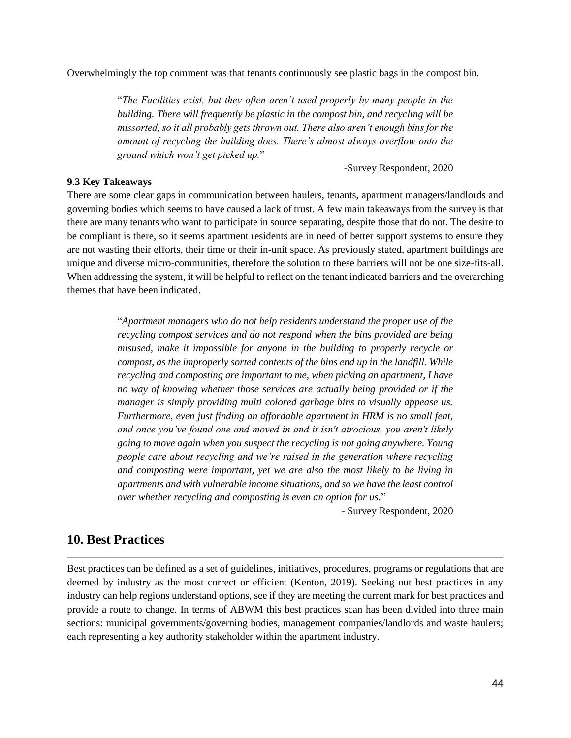Overwhelmingly the top comment was that tenants continuously see plastic bags in the compost bin.

"*The Facilities exist, but they often aren't used properly by many people in the building. There will frequently be plastic in the compost bin, and recycling will be missorted, so it all probably gets thrown out. There also aren't enough bins for the amount of recycling the building does. There's almost always overflow onto the ground which won't get picked up.*"

#### -Survey Respondent, 2020

#### <span id="page-44-0"></span>**9.3 Key Takeaways**

There are some clear gaps in communication between haulers, tenants, apartment managers/landlords and governing bodies which seems to have caused a lack of trust. A few main takeaways from the survey is that there are many tenants who want to participate in source separating, despite those that do not. The desire to be compliant is there, so it seems apartment residents are in need of better support systems to ensure they are not wasting their efforts, their time or their in-unit space. As previously stated, apartment buildings are unique and diverse micro-communities, therefore the solution to these barriers will not be one size-fits-all. When addressing the system, it will be helpful to reflect on the tenant indicated barriers and the overarching themes that have been indicated.

> "*Apartment managers who do not help residents understand the proper use of the recycling compost services and do not respond when the bins provided are being misused, make it impossible for anyone in the building to properly recycle or compost, as the improperly sorted contents of the bins end up in the landfill. While recycling and composting are important to me, when picking an apartment, I have no way of knowing whether those services are actually being provided or if the manager is simply providing multi colored garbage bins to visually appease us. Furthermore, even just finding an affordable apartment in HRM is no small feat, and once you've found one and moved in and it isn't atrocious, you aren't likely going to move again when you suspect the recycling is not going anywhere. Young people care about recycling and we're raised in the generation where recycling and composting were important, yet we are also the most likely to be living in apartments and with vulnerable income situations, and so we have the least control over whether recycling and composting is even an option for us.*"

> > - Survey Respondent, 2020

## <span id="page-44-1"></span>**10. Best Practices**

Best practices can be defined as a set of guidelines, initiatives, procedures, programs or regulations that are deemed by industry as the most correct or efficient (Kenton, 2019). Seeking out best practices in any industry can help regions understand options, see if they are meeting the current mark for best practices and provide a route to change. In terms of ABWM this best practices scan has been divided into three main sections: municipal governments/governing bodies, management companies/landlords and waste haulers; each representing a key authority stakeholder within the apartment industry.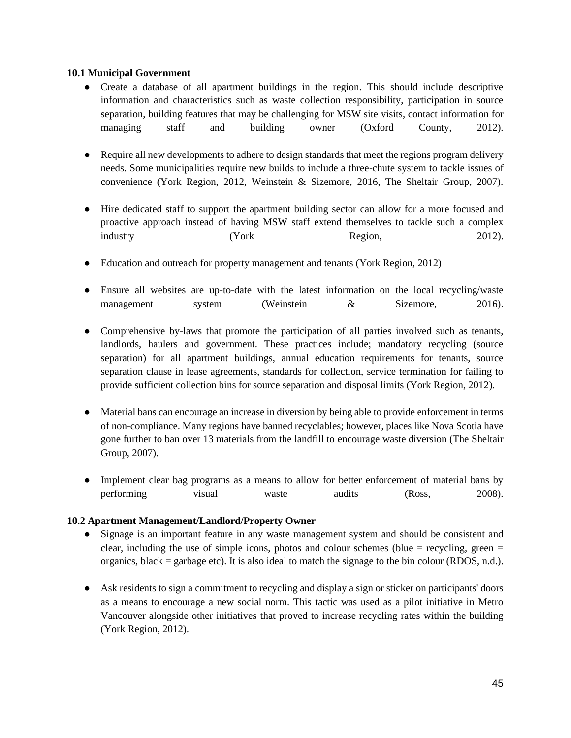#### <span id="page-45-0"></span>**10.1 Municipal Government**

- Create a database of all apartment buildings in the region. This should include descriptive information and characteristics such as waste collection responsibility, participation in source separation, building features that may be challenging for MSW site visits, contact information for managing staff and building owner (Oxford County, 2012).
- Require all new developments to adhere to design standards that meet the regions program delivery needs. Some municipalities require new builds to include a three-chute system to tackle issues of convenience (York Region, 2012, Weinstein & Sizemore, 2016, The Sheltair Group, 2007).
- Hire dedicated staff to support the apartment building sector can allow for a more focused and proactive approach instead of having MSW staff extend themselves to tackle such a complex industry (York Region, 2012).
- Education and outreach for property management and tenants (York Region, 2012)
- Ensure all websites are up-to-date with the latest information on the local recycling/waste management system (Weinstein & Sizemore, 2016).
- Comprehensive by-laws that promote the participation of all parties involved such as tenants, landlords, haulers and government. These practices include; mandatory recycling (source separation) for all apartment buildings, annual education requirements for tenants, source separation clause in lease agreements, standards for collection, service termination for failing to provide sufficient collection bins for source separation and disposal limits (York Region, 2012).
- Material bans can encourage an increase in diversion by being able to provide enforcement in terms of non-compliance. Many regions have banned recyclables; however, places like Nova Scotia have gone further to ban over 13 materials from the landfill to encourage waste diversion (The Sheltair Group, 2007).
- Implement clear bag programs as a means to allow for better enforcement of material bans by performing visual waste audits (Ross, 2008).

## <span id="page-45-1"></span>**10.2 Apartment Management/Landlord/Property Owner**

- Signage is an important feature in any waste management system and should be consistent and clear, including the use of simple icons, photos and colour schemes (blue  $=$  recycling, green  $=$ organics, black = garbage etc). It is also ideal to match the signage to the bin colour (RDOS, n.d.).
- Ask residents to sign a commitment to recycling and display a sign or sticker on participants' doors as a means to encourage a new social norm. This tactic was used as a pilot initiative in Metro Vancouver alongside other initiatives that proved to increase recycling rates within the building (York Region, 2012).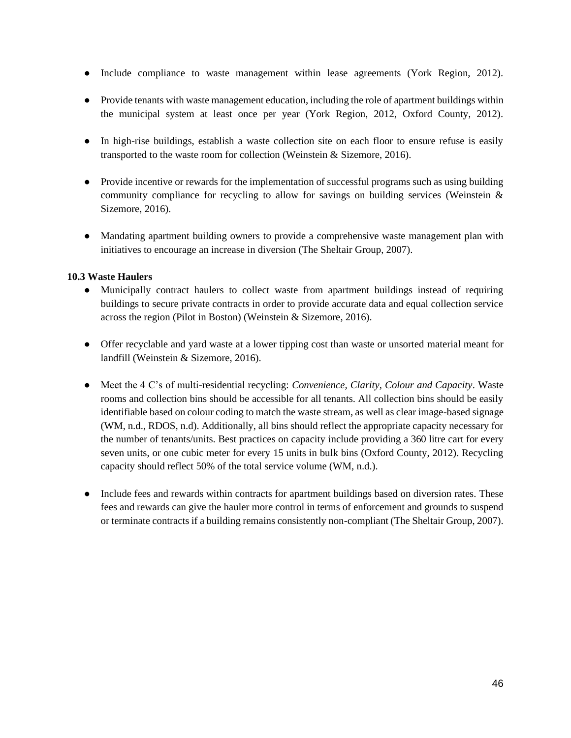- Include compliance to waste management within lease agreements (York Region, 2012).
- Provide tenants with waste management education, including the role of apartment buildings within the municipal system at least once per year (York Region, 2012, Oxford County, 2012).
- In high-rise buildings, establish a waste collection site on each floor to ensure refuse is easily transported to the waste room for collection (Weinstein & Sizemore, 2016).
- Provide incentive or rewards for the implementation of successful programs such as using building community compliance for recycling to allow for savings on building services (Weinstein & Sizemore, 2016).
- Mandating apartment building owners to provide a comprehensive waste management plan with initiatives to encourage an increase in diversion (The Sheltair Group, 2007).

### <span id="page-46-0"></span>**10.3 Waste Haulers**

- Municipally contract haulers to collect waste from apartment buildings instead of requiring buildings to secure private contracts in order to provide accurate data and equal collection service across the region (Pilot in Boston) (Weinstein & Sizemore, 2016).
- Offer recyclable and yard waste at a lower tipping cost than waste or unsorted material meant for landfill (Weinstein & Sizemore, 2016).
- Meet the 4 C's of multi-residential recycling: *Convenience, Clarity, Colour and Capacity*. Waste rooms and collection bins should be accessible for all tenants. All collection bins should be easily identifiable based on colour coding to match the waste stream, as well as clear image-based signage (WM, n.d., RDOS, n.d). Additionally, all bins should reflect the appropriate capacity necessary for the number of tenants/units. Best practices on capacity include providing a 360 litre cart for every seven units, or one cubic meter for every 15 units in bulk bins (Oxford County, 2012). Recycling capacity should reflect 50% of the total service volume (WM, n.d.).
- Include fees and rewards within contracts for apartment buildings based on diversion rates. These fees and rewards can give the hauler more control in terms of enforcement and grounds to suspend or terminate contracts if a building remains consistently non-compliant (The Sheltair Group, 2007).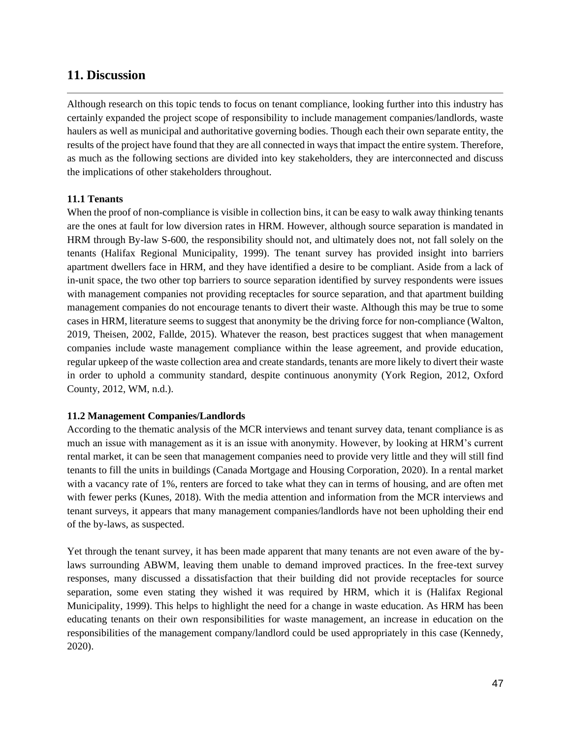## <span id="page-47-0"></span>**11. Discussion**

Although research on this topic tends to focus on tenant compliance, looking further into this industry has certainly expanded the project scope of responsibility to include management companies/landlords, waste haulers as well as municipal and authoritative governing bodies. Though each their own separate entity, the results of the project have found that they are all connected in ways that impact the entire system. Therefore, as much as the following sections are divided into key stakeholders, they are interconnected and discuss the implications of other stakeholders throughout.

### <span id="page-47-1"></span>**11.1 Tenants**

When the proof of non-compliance is visible in collection bins, it can be easy to walk away thinking tenants are the ones at fault for low diversion rates in HRM. However, although source separation is mandated in HRM through By-law S-600, the responsibility should not, and ultimately does not, not fall solely on the tenants (Halifax Regional Municipality, 1999). The tenant survey has provided insight into barriers apartment dwellers face in HRM, and they have identified a desire to be compliant. Aside from a lack of in-unit space, the two other top barriers to source separation identified by survey respondents were issues with management companies not providing receptacles for source separation, and that apartment building management companies do not encourage tenants to divert their waste. Although this may be true to some cases in HRM, literature seems to suggest that anonymity be the driving force for non-compliance (Walton, 2019, Theisen, 2002, Fallde, 2015). Whatever the reason, best practices suggest that when management companies include waste management compliance within the lease agreement, and provide education, regular upkeep of the waste collection area and create standards, tenants are more likely to divert their waste in order to uphold a community standard, despite continuous anonymity (York Region, 2012, Oxford County, 2012, WM, n.d.).

#### <span id="page-47-2"></span>**11.2 Management Companies/Landlords**

According to the thematic analysis of the MCR interviews and tenant survey data, tenant compliance is as much an issue with management as it is an issue with anonymity. However, by looking at HRM's current rental market, it can be seen that management companies need to provide very little and they will still find tenants to fill the units in buildings (Canada Mortgage and Housing Corporation, 2020). In a rental market with a vacancy rate of 1%, renters are forced to take what they can in terms of housing, and are often met with fewer perks (Kunes, 2018). With the media attention and information from the MCR interviews and tenant surveys, it appears that many management companies/landlords have not been upholding their end of the by-laws, as suspected.

Yet through the tenant survey, it has been made apparent that many tenants are not even aware of the bylaws surrounding ABWM, leaving them unable to demand improved practices. In the free-text survey responses, many discussed a dissatisfaction that their building did not provide receptacles for source separation, some even stating they wished it was required by HRM, which it is (Halifax Regional Municipality, 1999). This helps to highlight the need for a change in waste education. As HRM has been educating tenants on their own responsibilities for waste management, an increase in education on the responsibilities of the management company/landlord could be used appropriately in this case (Kennedy, 2020).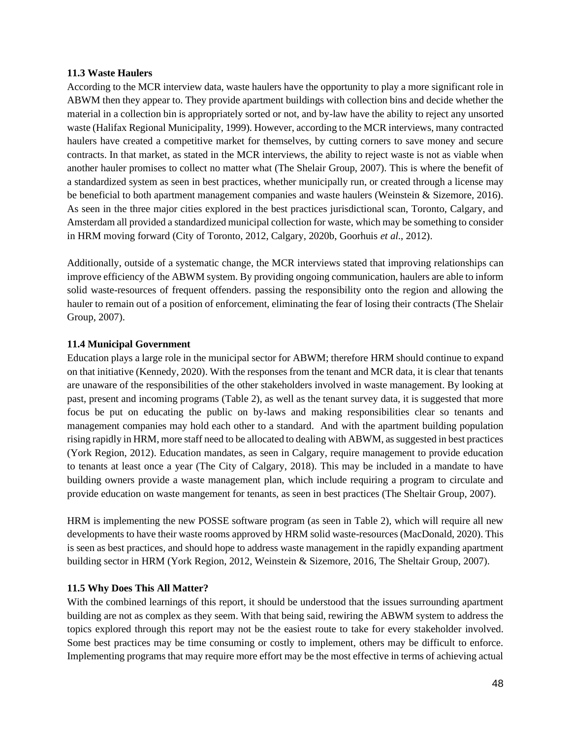#### <span id="page-48-0"></span>**11.3 Waste Haulers**

According to the MCR interview data, waste haulers have the opportunity to play a more significant role in ABWM then they appear to. They provide apartment buildings with collection bins and decide whether the material in a collection bin is appropriately sorted or not, and by-law have the ability to reject any unsorted waste (Halifax Regional Municipality, 1999). However, according to the MCR interviews, many contracted haulers have created a competitive market for themselves, by cutting corners to save money and secure contracts. In that market, as stated in the MCR interviews, the ability to reject waste is not as viable when another hauler promises to collect no matter what (The Shelair Group, 2007). This is where the benefit of a standardized system as seen in best practices, whether municipally run, or created through a license may be beneficial to both apartment management companies and waste haulers (Weinstein & Sizemore, 2016). As seen in the three major cities explored in the best practices jurisdictional scan, Toronto, Calgary, and Amsterdam all provided a standardized municipal collection for waste, which may be something to consider in HRM moving forward (City of Toronto, 2012, Calgary, 2020b, Goorhuis *et al*., 2012).

Additionally, outside of a systematic change, the MCR interviews stated that improving relationships can improve efficiency of the ABWM system. By providing ongoing communication, haulers are able to inform solid waste-resources of frequent offenders. passing the responsibility onto the region and allowing the hauler to remain out of a position of enforcement, eliminating the fear of losing their contracts (The Shelair Group, 2007).

### <span id="page-48-1"></span>**11.4 Municipal Government**

Education plays a large role in the municipal sector for ABWM; therefore HRM should continue to expand on that initiative (Kennedy, 2020). With the responses from the tenant and MCR data, it is clear that tenants are unaware of the responsibilities of the other stakeholders involved in waste management. By looking at past, present and incoming programs (Table 2), as well as the tenant survey data, it is suggested that more focus be put on educating the public on by-laws and making responsibilities clear so tenants and management companies may hold each other to a standard. And with the apartment building population rising rapidly in HRM, more staff need to be allocated to dealing with ABWM, as suggested in best practices (York Region, 2012). Education mandates, as seen in Calgary, require management to provide education to tenants at least once a year (The City of Calgary, 2018). This may be included in a mandate to have building owners provide a waste management plan, which include requiring a program to circulate and provide education on waste mangement for tenants, as seen in best practices (The Sheltair Group, 2007).

HRM is implementing the new POSSE software program (as seen in Table 2), which will require all new developments to have their waste rooms approved by HRM solid waste-resources (MacDonald, 2020). This is seen as best practices, and should hope to address waste management in the rapidly expanding apartment building sector in HRM (York Region, 2012, Weinstein & Sizemore, 2016, The Sheltair Group, 2007).

#### <span id="page-48-2"></span>**11.5 Why Does This All Matter?**

With the combined learnings of this report, it should be understood that the issues surrounding apartment building are not as complex as they seem. With that being said, rewiring the ABWM system to address the topics explored through this report may not be the easiest route to take for every stakeholder involved. Some best practices may be time consuming or costly to implement, others may be difficult to enforce. Implementing programs that may require more effort may be the most effective in terms of achieving actual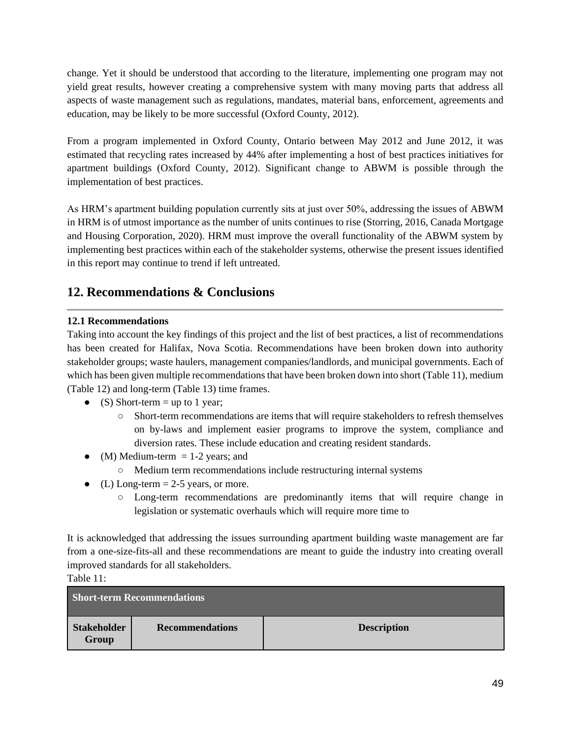change. Yet it should be understood that according to the literature, implementing one program may not yield great results, however creating a comprehensive system with many moving parts that address all aspects of waste management such as regulations, mandates, material bans, enforcement, agreements and education, may be likely to be more successful (Oxford County, 2012).

From a program implemented in Oxford County, Ontario between May 2012 and June 2012, it was estimated that recycling rates increased by 44% after implementing a host of best practices initiatives for apartment buildings (Oxford County, 2012). Significant change to ABWM is possible through the implementation of best practices.

As HRM's apartment building population currently sits at just over 50%, addressing the issues of ABWM in HRM is of utmost importance as the number of units continues to rise (Storring, 2016, Canada Mortgage and Housing Corporation, 2020). HRM must improve the overall functionality of the ABWM system by implementing best practices within each of the stakeholder systems, otherwise the present issues identified in this report may continue to trend if left untreated.

## <span id="page-49-0"></span>**12. Recommendations & Conclusions**

## <span id="page-49-1"></span>**12.1 Recommendations**

Taking into account the key findings of this project and the list of best practices, a list of recommendations has been created for Halifax, Nova Scotia. Recommendations have been broken down into authority stakeholder groups; waste haulers, management companies/landlords, and municipal governments. Each of which has been given multiple recommendations that have been broken down into short (Table 11), medium (Table 12) and long-term (Table 13) time frames.

- (S) Short-term = up to 1 year;
	- Short-term recommendations are items that will require stakeholders to refresh themselves on by-laws and implement easier programs to improve the system, compliance and diversion rates. These include education and creating resident standards.
- (M) Medium-term  $= 1-2$  years; and
	- Medium term recommendations include restructuring internal systems
- (L) Long-term  $= 2-5$  years, or more.
	- Long-term recommendations are predominantly items that will require change in legislation or systematic overhauls which will require more time to

It is acknowledged that addressing the issues surrounding apartment building waste management are far from a one-size-fits-all and these recommendations are meant to guide the industry into creating overall improved standards for all stakeholders.

Table 11:

| <b>Short-term Recommendations</b> |                        |                    |
|-----------------------------------|------------------------|--------------------|
| <b>Stakeholder</b><br>Group       | <b>Recommendations</b> | <b>Description</b> |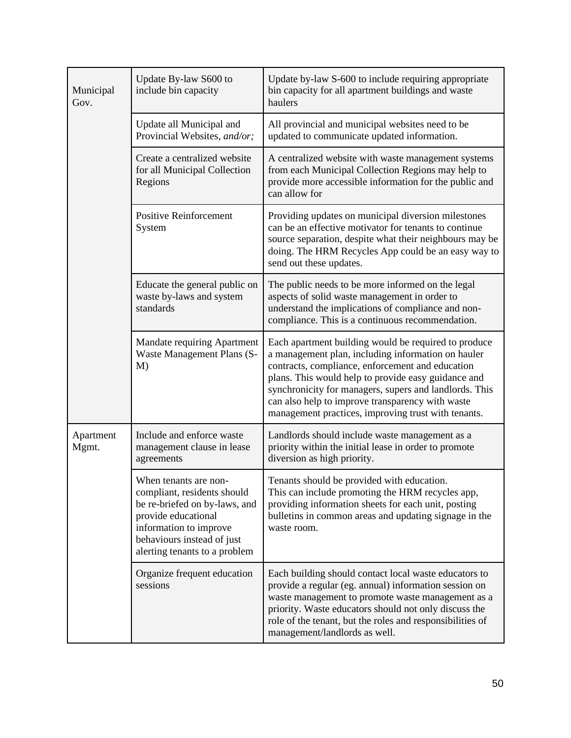| Municipal<br>Gov.  | Update By-law S600 to<br>include bin capacity                                                                                                                                                         | Update by-law S-600 to include requiring appropriate<br>bin capacity for all apartment buildings and waste<br>haulers                                                                                                                                                                                                                                                                      |
|--------------------|-------------------------------------------------------------------------------------------------------------------------------------------------------------------------------------------------------|--------------------------------------------------------------------------------------------------------------------------------------------------------------------------------------------------------------------------------------------------------------------------------------------------------------------------------------------------------------------------------------------|
|                    | Update all Municipal and<br>Provincial Websites, and/or;                                                                                                                                              | All provincial and municipal websites need to be<br>updated to communicate updated information.                                                                                                                                                                                                                                                                                            |
|                    | Create a centralized website<br>for all Municipal Collection<br>Regions                                                                                                                               | A centralized website with waste management systems<br>from each Municipal Collection Regions may help to<br>provide more accessible information for the public and<br>can allow for                                                                                                                                                                                                       |
|                    | <b>Positive Reinforcement</b><br>System                                                                                                                                                               | Providing updates on municipal diversion milestones<br>can be an effective motivator for tenants to continue<br>source separation, despite what their neighbours may be<br>doing. The HRM Recycles App could be an easy way to<br>send out these updates.                                                                                                                                  |
|                    | Educate the general public on<br>waste by-laws and system<br>standards                                                                                                                                | The public needs to be more informed on the legal<br>aspects of solid waste management in order to<br>understand the implications of compliance and non-<br>compliance. This is a continuous recommendation.                                                                                                                                                                               |
|                    | Mandate requiring Apartment<br>Waste Management Plans (S-<br>M)                                                                                                                                       | Each apartment building would be required to produce<br>a management plan, including information on hauler<br>contracts, compliance, enforcement and education<br>plans. This would help to provide easy guidance and<br>synchronicity for managers, supers and landlords. This<br>can also help to improve transparency with waste<br>management practices, improving trust with tenants. |
| Apartment<br>Mgmt. | Include and enforce waste<br>management clause in lease<br>agreements                                                                                                                                 | Landlords should include waste management as a<br>priority within the initial lease in order to promote<br>diversion as high priority.                                                                                                                                                                                                                                                     |
|                    | When tenants are non-<br>compliant, residents should<br>be re-briefed on by-laws, and<br>provide educational<br>information to improve<br>behaviours instead of just<br>alerting tenants to a problem | Tenants should be provided with education.<br>This can include promoting the HRM recycles app,<br>providing information sheets for each unit, posting<br>bulletins in common areas and updating signage in the<br>waste room.                                                                                                                                                              |
|                    | Organize frequent education<br>sessions                                                                                                                                                               | Each building should contact local waste educators to<br>provide a regular (eg. annual) information session on<br>waste management to promote waste management as a<br>priority. Waste educators should not only discuss the<br>role of the tenant, but the roles and responsibilities of<br>management/landlords as well.                                                                 |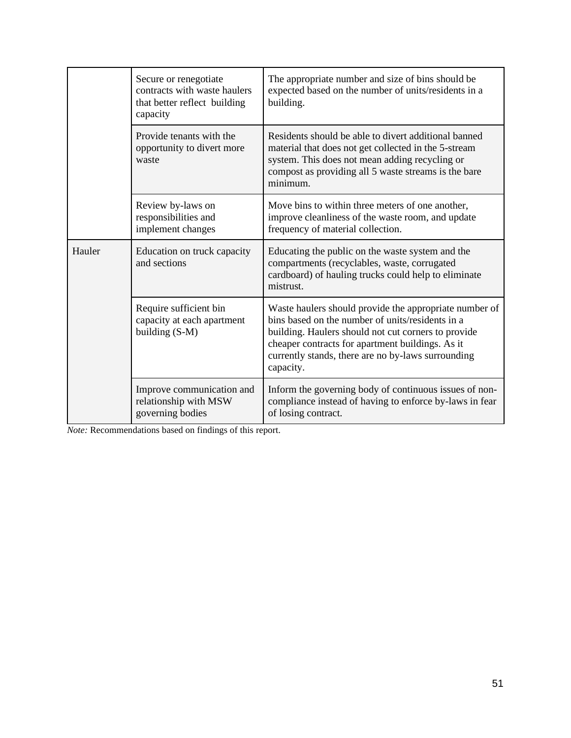|        | Secure or renegotiate<br>contracts with waste haulers<br>that better reflect building<br>capacity | The appropriate number and size of bins should be<br>expected based on the number of units/residents in a<br>building.                                                                                                                                                                   |
|--------|---------------------------------------------------------------------------------------------------|------------------------------------------------------------------------------------------------------------------------------------------------------------------------------------------------------------------------------------------------------------------------------------------|
|        | Provide tenants with the<br>opportunity to divert more<br>waste                                   | Residents should be able to divert additional banned<br>material that does not get collected in the 5-stream<br>system. This does not mean adding recycling or<br>compost as providing all 5 waste streams is the bare<br>minimum.                                                       |
|        | Review by-laws on<br>responsibilities and<br>implement changes                                    | Move bins to within three meters of one another,<br>improve cleanliness of the waste room, and update<br>frequency of material collection.                                                                                                                                               |
| Hauler | Education on truck capacity<br>and sections                                                       | Educating the public on the waste system and the<br>compartments (recyclables, waste, corrugated<br>cardboard) of hauling trucks could help to eliminate<br>mistrust.                                                                                                                    |
|        | Require sufficient bin<br>capacity at each apartment<br>building $(S-M)$                          | Waste haulers should provide the appropriate number of<br>bins based on the number of units/residents in a<br>building. Haulers should not cut corners to provide<br>cheaper contracts for apartment buildings. As it<br>currently stands, there are no by-laws surrounding<br>capacity. |
|        | Improve communication and<br>relationship with MSW<br>governing bodies                            | Inform the governing body of continuous issues of non-<br>compliance instead of having to enforce by-laws in fear<br>of losing contract.                                                                                                                                                 |

*Note:* Recommendations based on findings of this report.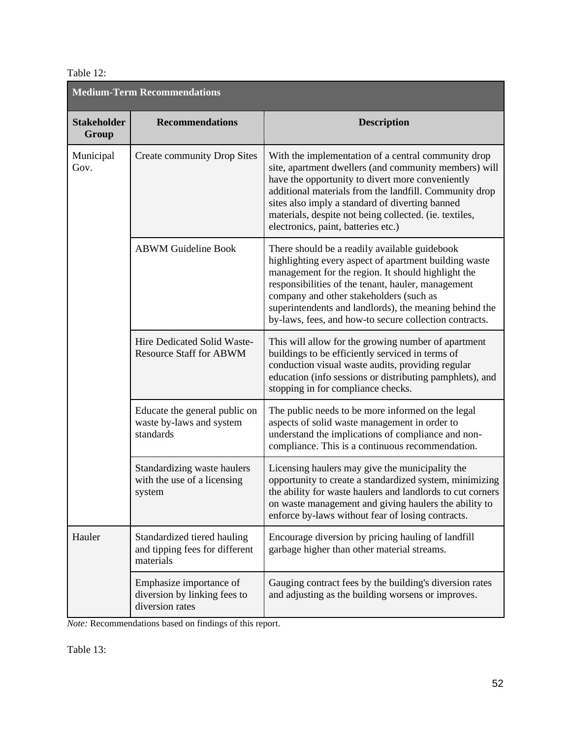## Table 12:

| <b>Medium-Term Recommendations</b> |                                                                            |                                                                                                                                                                                                                                                                                                                                                                                   |  |  |
|------------------------------------|----------------------------------------------------------------------------|-----------------------------------------------------------------------------------------------------------------------------------------------------------------------------------------------------------------------------------------------------------------------------------------------------------------------------------------------------------------------------------|--|--|
| <b>Stakeholder</b><br>Group        | <b>Recommendations</b>                                                     | <b>Description</b>                                                                                                                                                                                                                                                                                                                                                                |  |  |
| Municipal<br>Gov.                  | <b>Create community Drop Sites</b>                                         | With the implementation of a central community drop<br>site, apartment dwellers (and community members) will<br>have the opportunity to divert more conveniently<br>additional materials from the landfill. Community drop<br>sites also imply a standard of diverting banned<br>materials, despite not being collected. (ie. textiles,<br>electronics, paint, batteries etc.)    |  |  |
|                                    | <b>ABWM Guideline Book</b>                                                 | There should be a readily available guidebook<br>highlighting every aspect of apartment building waste<br>management for the region. It should highlight the<br>responsibilities of the tenant, hauler, management<br>company and other stakeholders (such as<br>superintendents and landlords), the meaning behind the<br>by-laws, fees, and how-to secure collection contracts. |  |  |
|                                    | Hire Dedicated Solid Waste-<br><b>Resource Staff for ABWM</b>              | This will allow for the growing number of apartment<br>buildings to be efficiently serviced in terms of<br>conduction visual waste audits, providing regular<br>education (info sessions or distributing pamphlets), and<br>stopping in for compliance checks.                                                                                                                    |  |  |
|                                    | Educate the general public on<br>waste by-laws and system<br>standards     | The public needs to be more informed on the legal<br>aspects of solid waste management in order to<br>understand the implications of compliance and non-<br>compliance. This is a continuous recommendation.                                                                                                                                                                      |  |  |
|                                    | Standardizing waste haulers<br>with the use of a licensing<br>system       | Licensing haulers may give the municipality the<br>opportunity to create a standardized system, minimizing<br>the ability for waste haulers and landlords to cut corners<br>on waste management and giving haulers the ability to<br>enforce by-laws without fear of losing contracts.                                                                                            |  |  |
| Hauler                             | Standardized tiered hauling<br>and tipping fees for different<br>materials | Encourage diversion by pricing hauling of landfill<br>garbage higher than other material streams.                                                                                                                                                                                                                                                                                 |  |  |
|                                    | Emphasize importance of<br>diversion by linking fees to<br>diversion rates | Gauging contract fees by the building's diversion rates<br>and adjusting as the building worsens or improves.                                                                                                                                                                                                                                                                     |  |  |

*Note:* Recommendations based on findings of this report.

Table 13: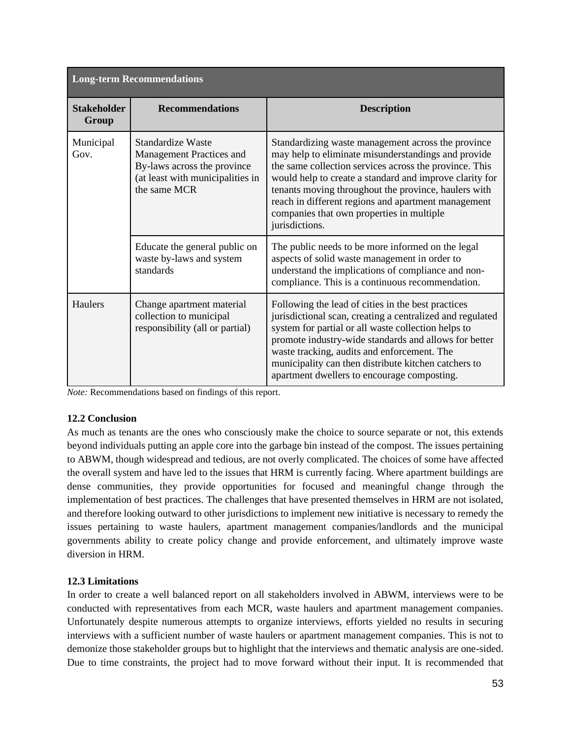| <b>Long-term Recommendations</b> |                                                                                                                                  |                                                                                                                                                                                                                                                                                                                                                                                                              |  |  |
|----------------------------------|----------------------------------------------------------------------------------------------------------------------------------|--------------------------------------------------------------------------------------------------------------------------------------------------------------------------------------------------------------------------------------------------------------------------------------------------------------------------------------------------------------------------------------------------------------|--|--|
| <b>Stakeholder</b><br>Group      | <b>Recommendations</b>                                                                                                           | <b>Description</b>                                                                                                                                                                                                                                                                                                                                                                                           |  |  |
| Municipal<br>Gov.                | Standardize Waste<br>Management Practices and<br>By-laws across the province<br>(at least with municipalities in<br>the same MCR | Standardizing waste management across the province<br>may help to eliminate misunderstandings and provide<br>the same collection services across the province. This<br>would help to create a standard and improve clarity for<br>tenants moving throughout the province, haulers with<br>reach in different regions and apartment management<br>companies that own properties in multiple<br>jurisdictions. |  |  |
|                                  | Educate the general public on<br>waste by-laws and system<br>standards                                                           | The public needs to be more informed on the legal<br>aspects of solid waste management in order to<br>understand the implications of compliance and non-<br>compliance. This is a continuous recommendation.                                                                                                                                                                                                 |  |  |
| Haulers                          | Change apartment material<br>collection to municipal<br>responsibility (all or partial)                                          | Following the lead of cities in the best practices<br>jurisdictional scan, creating a centralized and regulated<br>system for partial or all waste collection helps to<br>promote industry-wide standards and allows for better<br>waste tracking, audits and enforcement. The<br>municipality can then distribute kitchen catchers to<br>apartment dwellers to encourage composting.                        |  |  |

*Note:* Recommendations based on findings of this report.

## <span id="page-53-0"></span>**12.2 Conclusion**

As much as tenants are the ones who consciously make the choice to source separate or not, this extends beyond individuals putting an apple core into the garbage bin instead of the compost. The issues pertaining to ABWM, though widespread and tedious, are not overly complicated. The choices of some have affected the overall system and have led to the issues that HRM is currently facing. Where apartment buildings are dense communities, they provide opportunities for focused and meaningful change through the implementation of best practices. The challenges that have presented themselves in HRM are not isolated, and therefore looking outward to other jurisdictions to implement new initiative is necessary to remedy the issues pertaining to waste haulers, apartment management companies/landlords and the municipal governments ability to create policy change and provide enforcement, and ultimately improve waste diversion in HRM.

## <span id="page-53-1"></span>**12.3 Limitations**

In order to create a well balanced report on all stakeholders involved in ABWM, interviews were to be conducted with representatives from each MCR, waste haulers and apartment management companies. Unfortunately despite numerous attempts to organize interviews, efforts yielded no results in securing interviews with a sufficient number of waste haulers or apartment management companies. This is not to demonize those stakeholder groups but to highlight that the interviews and thematic analysis are one-sided. Due to time constraints, the project had to move forward without their input. It is recommended that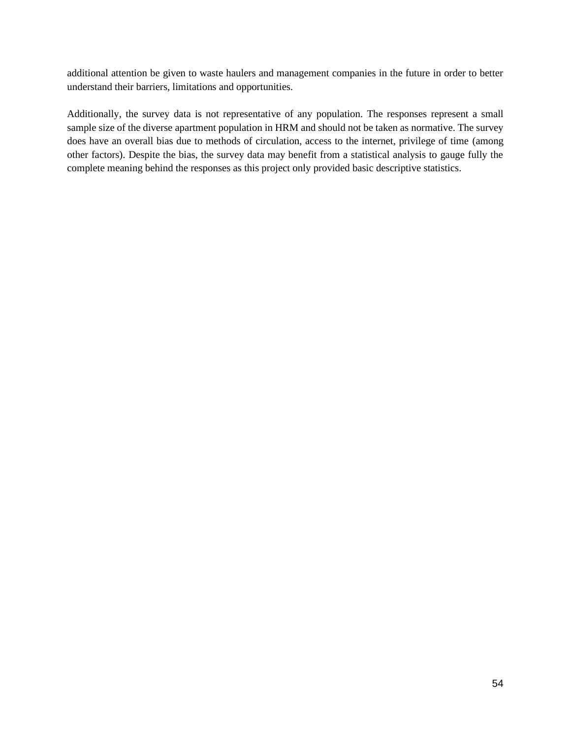additional attention be given to waste haulers and management companies in the future in order to better understand their barriers, limitations and opportunities.

Additionally, the survey data is not representative of any population. The responses represent a small sample size of the diverse apartment population in HRM and should not be taken as normative. The survey does have an overall bias due to methods of circulation, access to the internet, privilege of time (among other factors). Despite the bias, the survey data may benefit from a statistical analysis to gauge fully the complete meaning behind the responses as this project only provided basic descriptive statistics.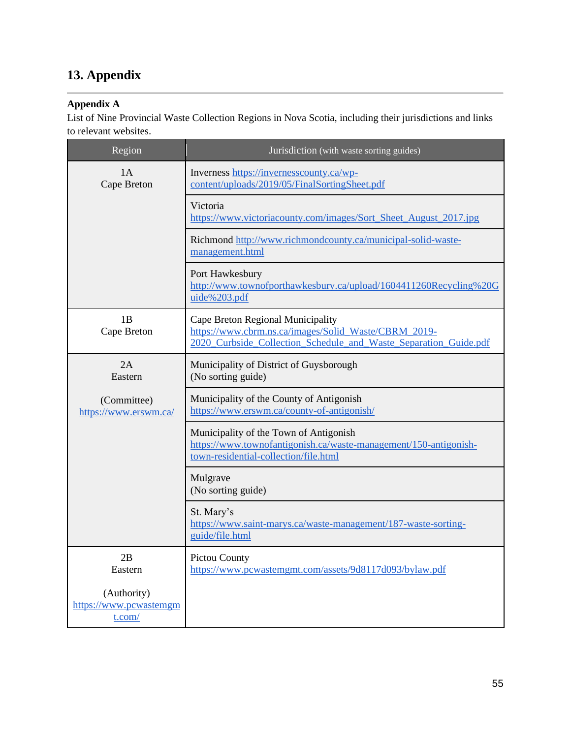# <span id="page-55-0"></span>**13. Appendix**

## **Appendix A**

List of Nine Provincial Waste Collection Regions in Nova Scotia, including their jurisdictions and links to relevant websites.

| Region                                          | Jurisdiction (with waste sorting guides)                                                                                                                      |
|-------------------------------------------------|---------------------------------------------------------------------------------------------------------------------------------------------------------------|
| 1A<br>Cape Breton                               | Inverness https://invernesscounty.ca/wp-<br>content/uploads/2019/05/FinalSortingSheet.pdf                                                                     |
|                                                 | Victoria<br>https://www.victoriacounty.com/images/Sort_Sheet_August_2017.jpg                                                                                  |
|                                                 | Richmond http://www.richmondcounty.ca/municipal-solid-waste-<br>management.html                                                                               |
|                                                 | Port Hawkesbury<br>http://www.townofporthawkesbury.ca/upload/1604411260Recycling%20G<br>uide%203.pdf                                                          |
| 1B<br>Cape Breton                               | Cape Breton Regional Municipality<br>https://www.cbrm.ns.ca/images/Solid Waste/CBRM 2019-<br>2020_Curbside_Collection_Schedule_and_Waste_Separation_Guide.pdf |
| 2A<br>Eastern                                   | Municipality of District of Guysborough<br>(No sorting guide)                                                                                                 |
| (Committee)<br>https://www.erswm.ca/            | Municipality of the County of Antigonish<br>https://www.erswm.ca/county-of-antigonish/                                                                        |
|                                                 | Municipality of the Town of Antigonish<br>https://www.townofantigonish.ca/waste-management/150-antigonish-<br>town-residential-collection/file.html           |
|                                                 | Mulgrave<br>(No sorting guide)                                                                                                                                |
|                                                 | St. Mary's<br>https://www.saint-marys.ca/waste-management/187-waste-sorting-<br>guide/file.html                                                               |
| 2B<br>Eastern                                   | Pictou County<br>https://www.pcwastemgmt.com/assets/9d8117d093/bylaw.pdf                                                                                      |
| (Authority)<br>https://www.pcwastemgm<br>t.com/ |                                                                                                                                                               |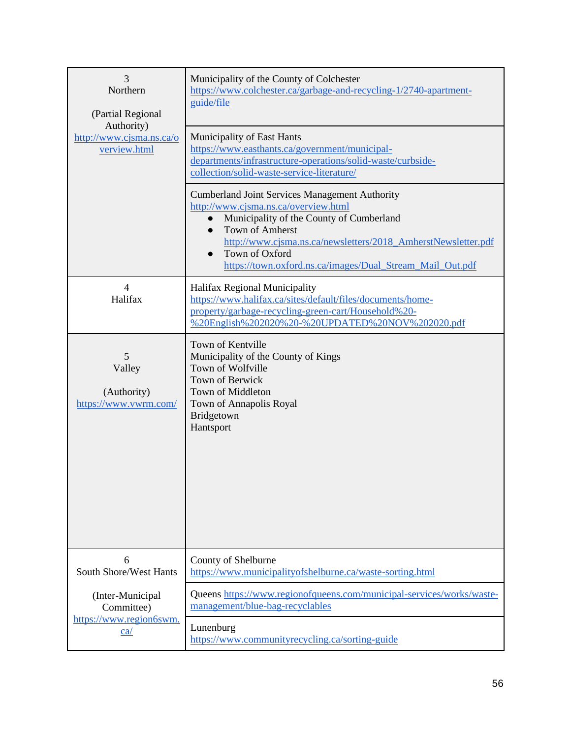| 3                                                      | Municipality of the County of Colchester                                                                                                                                                                                                                                                                                                            |
|--------------------------------------------------------|-----------------------------------------------------------------------------------------------------------------------------------------------------------------------------------------------------------------------------------------------------------------------------------------------------------------------------------------------------|
| Northern                                               | https://www.colchester.ca/garbage-and-recycling-1/2740-apartment-                                                                                                                                                                                                                                                                                   |
| (Partial Regional                                      | guide/file                                                                                                                                                                                                                                                                                                                                          |
| Authority)<br>http://www.cjsma.ns.ca/o<br>verview.html | Municipality of East Hants<br>https://www.easthants.ca/government/municipal-<br>departments/infrastructure-operations/solid-waste/curbside-<br>collection/solid-waste-service-literature/                                                                                                                                                           |
|                                                        | <b>Cumberland Joint Services Management Authority</b><br>http://www.cjsma.ns.ca/overview.html<br>Municipality of the County of Cumberland<br>$\bullet$<br>Town of Amherst<br>$\bullet$<br>http://www.cjsma.ns.ca/newsletters/2018_AmherstNewsletter.pdf<br>Town of Oxford<br>$\bullet$<br>https://town.oxford.ns.ca/images/Dual_Stream_Mail_Out.pdf |
| $\overline{4}$<br>Halifax                              | Halifax Regional Municipality<br>https://www.halifax.ca/sites/default/files/documents/home-<br>property/garbage-recycling-green-cart/Household%20-<br>%20English%202020%20-%20UPDATED%20NOV%202020.pdf                                                                                                                                              |
| 5<br>Valley<br>(Authority)<br>https://www.vwrm.com/    | Town of Kentville<br>Municipality of the County of Kings<br>Town of Wolfville<br><b>Town of Berwick</b><br>Town of Middleton<br>Town of Annapolis Royal<br>Bridgetown<br>Hantsport                                                                                                                                                                  |
| 6                                                      | County of Shelburne                                                                                                                                                                                                                                                                                                                                 |
| <b>South Shore/West Hants</b>                          | https://www.municipalityofshelburne.ca/waste-sorting.html                                                                                                                                                                                                                                                                                           |
| (Inter-Municipal                                       | Queens https://www.regionofqueens.com/municipal-services/works/waste-                                                                                                                                                                                                                                                                               |
| Committee)                                             | management/blue-bag-recyclables                                                                                                                                                                                                                                                                                                                     |
| https://www.region6swm.                                | Lunenburg                                                                                                                                                                                                                                                                                                                                           |
| ca/                                                    | https://www.communityrecycling.ca/sorting-guide                                                                                                                                                                                                                                                                                                     |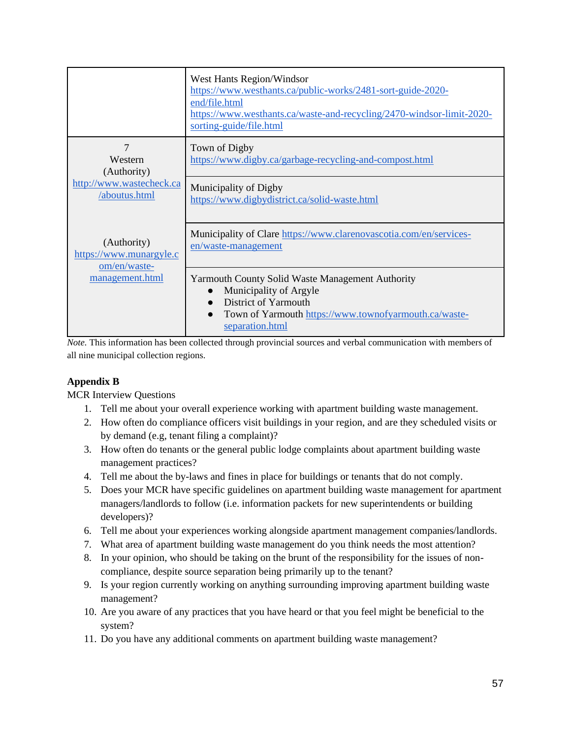|                                                        | West Hants Region/Windsor<br>https://www.westhants.ca/public-works/2481-sort-guide-2020-<br>end/file.html<br>https://www.westhants.ca/waste-and-recycling/2470-windsor-limit-2020-<br>sorting-guide/file.html |
|--------------------------------------------------------|---------------------------------------------------------------------------------------------------------------------------------------------------------------------------------------------------------------|
| 7<br>Western<br>(Authority)                            | Town of Digby<br>https://www.digby.ca/garbage-recycling-and-compost.html                                                                                                                                      |
| http://www.wastecheck.ca<br>/aboutus.html              | Municipality of Digby<br>https://www.digbydistrict.ca/solid-waste.html                                                                                                                                        |
| (Authority)<br>https://www.munargyle.c<br>om/en/waste- | Municipality of Clare https://www.clarenovascotia.com/en/services-<br>en/waste-management                                                                                                                     |
| management.html                                        | <b>Yarmouth County Solid Waste Management Authority</b><br>Municipality of Argyle<br>District of Yarmouth<br>$\bullet$<br>Town of Yarmouth https://www.townofyarmouth.ca/waste-<br>separation.html            |

*Note.* This information has been collected through provincial sources and verbal communication with members of all nine municipal collection regions.

## **Appendix B**

MCR Interview Questions

- 1. Tell me about your overall experience working with apartment building waste management.
- 2. How often do compliance officers visit buildings in your region, and are they scheduled visits or by demand (e.g, tenant filing a complaint)?
- 3. How often do tenants or the general public lodge complaints about apartment building waste management practices?
- 4. Tell me about the by-laws and fines in place for buildings or tenants that do not comply.
- 5. Does your MCR have specific guidelines on apartment building waste management for apartment managers/landlords to follow (i.e. information packets for new superintendents or building developers)?
- 6. Tell me about your experiences working alongside apartment management companies/landlords.
- 7. What area of apartment building waste management do you think needs the most attention?
- 8. In your opinion, who should be taking on the brunt of the responsibility for the issues of noncompliance, despite source separation being primarily up to the tenant?
- 9. Is your region currently working on anything surrounding improving apartment building waste management?
- 10. Are you aware of any practices that you have heard or that you feel might be beneficial to the system?
- 11. Do you have any additional comments on apartment building waste management?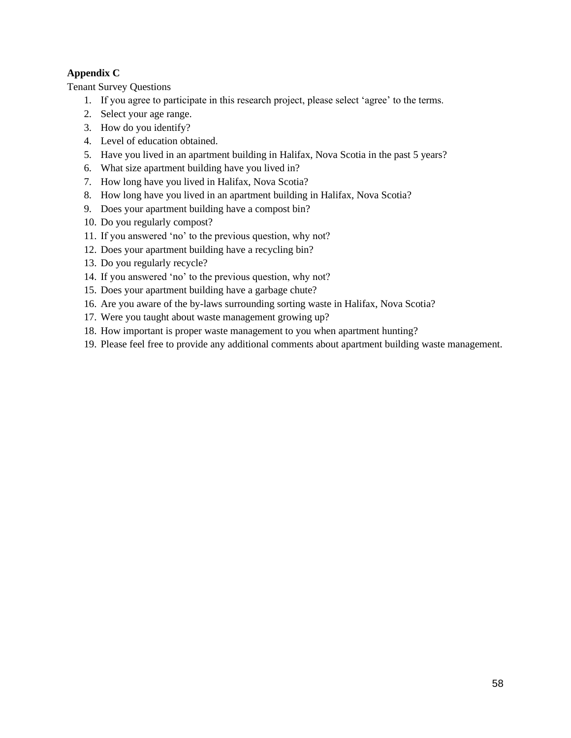## **Appendix C**

Tenant Survey Questions

- 1. If you agree to participate in this research project, please select 'agree' to the terms.
- 2. Select your age range.
- 3. How do you identify?
- 4. Level of education obtained.
- 5. Have you lived in an apartment building in Halifax, Nova Scotia in the past 5 years?
- 6. What size apartment building have you lived in?
- 7. How long have you lived in Halifax, Nova Scotia?
- 8. How long have you lived in an apartment building in Halifax, Nova Scotia?
- 9. Does your apartment building have a compost bin?
- 10. Do you regularly compost?
- 11. If you answered 'no' to the previous question, why not?
- 12. Does your apartment building have a recycling bin?
- 13. Do you regularly recycle?
- 14. If you answered 'no' to the previous question, why not?
- 15. Does your apartment building have a garbage chute?
- 16. Are you aware of the by-laws surrounding sorting waste in Halifax, Nova Scotia?
- 17. Were you taught about waste management growing up?
- 18. How important is proper waste management to you when apartment hunting?
- 19. Please feel free to provide any additional comments about apartment building waste management.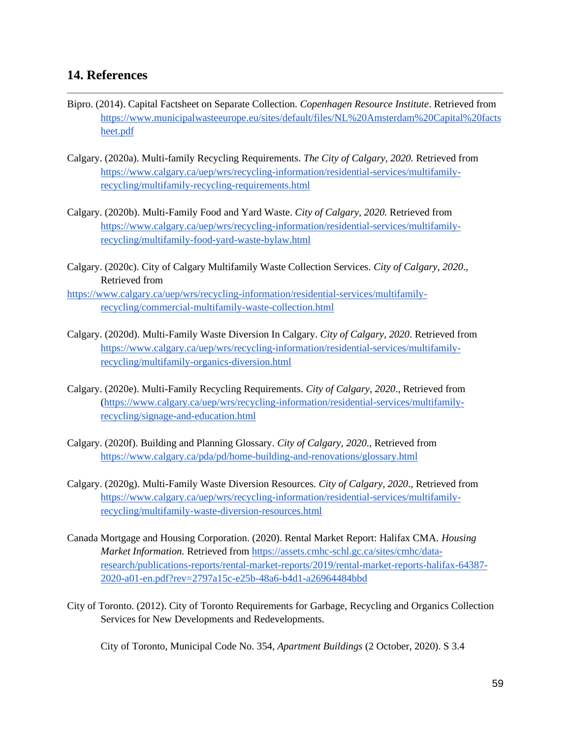## <span id="page-59-0"></span>**14. References**

- Bipro. (2014). Capital Factsheet on Separate Collection. *Copenhagen Resource Institute*. Retrieved from [https://www.municipalwasteeurope.eu/sites/default/files/NL%20Amsterdam%20Capital%20facts](https://www.municipalwasteeurope.eu/sites/default/files/NL%20Amsterdam%20Capital%20factsheet.pdf) [heet.pdf](https://www.municipalwasteeurope.eu/sites/default/files/NL%20Amsterdam%20Capital%20factsheet.pdf)
- Calgary. (2020a). Multi-family Recycling Requirements. *The City of Calgary, 2020.* Retrieved from [https://www.calgary.ca/uep/wrs/recycling-information/residential-services/multifamily](https://www.calgary.ca/uep/wrs/recycling-information/residential-services/multifamily-recycling/multifamily-recycling-requirements.html)[recycling/multifamily-recycling-requirements.html](https://www.calgary.ca/uep/wrs/recycling-information/residential-services/multifamily-recycling/multifamily-recycling-requirements.html)
- Calgary. (2020b). Multi-Family Food and Yard Waste. *City of Calgary, 2020.* Retrieved from [https://www.calgary.ca/uep/wrs/recycling-information/residential-services/multifamily](https://www.calgary.ca/uep/wrs/recycling-information/residential-services/multifamily-recycling/multifamily-food-yard-waste-bylaw.html)[recycling/multifamily-food-yard-waste-bylaw.html](https://www.calgary.ca/uep/wrs/recycling-information/residential-services/multifamily-recycling/multifamily-food-yard-waste-bylaw.html)
- Calgary. (2020c). City of Calgary Multifamily Waste Collection Services. *City of Calgary, 2020*., Retrieved from
- [https://www.calgary.ca/uep/wrs/recycling-information/residential-services/multifamily](https://www.calgary.ca/uep/wrs/recycling-information/residential-services/multifamily-recycling/commercial-multifamily-waste-collection.html)[recycling/commercial-multifamily-waste-collection.html](https://www.calgary.ca/uep/wrs/recycling-information/residential-services/multifamily-recycling/commercial-multifamily-waste-collection.html)
- Calgary. (2020d). Multi-Family Waste Diversion In Calgary. *City of Calgary, 2020*. Retrieved from [https://www.calgary.ca/uep/wrs/recycling-information/residential-services/multifamily](https://www.calgary.ca/uep/wrs/recycling-information/residential-services/multifamily-recycling/multifamily-organics-diversion.html)[recycling/multifamily-organics-diversion.html](https://www.calgary.ca/uep/wrs/recycling-information/residential-services/multifamily-recycling/multifamily-organics-diversion.html)
- Calgary. (2020e). Multi-Family Recycling Requirements. *City of Calgary, 2020*., Retrieved from [\(https://www.calgary.ca/uep/wrs/recycling-information/residential-services/multifamily](https://www.calgary.ca/uep/wrs/recycling-information/residential-services/multifamily-recycling/signage-and-education.html)[recycling/signage-and-education.html](https://www.calgary.ca/uep/wrs/recycling-information/residential-services/multifamily-recycling/signage-and-education.html)
- Calgary. (2020f). Building and Planning Glossary. *City of Calgary, 2020*., Retrieved from <https://www.calgary.ca/pda/pd/home-building-and-renovations/glossary.html>
- Calgary. (2020g). Multi-Family Waste Diversion Resources. *City of Calgary, 2020*., Retrieved from [https://www.calgary.ca/uep/wrs/recycling-information/residential-services/multifamily](https://www.calgary.ca/uep/wrs/recycling-information/residential-services/multifamily-recycling/multifamily-waste-diversion-resources.html)[recycling/multifamily-waste-diversion-resources.html](https://www.calgary.ca/uep/wrs/recycling-information/residential-services/multifamily-recycling/multifamily-waste-diversion-resources.html)
- Canada Mortgage and Housing Corporation. (2020). Rental Market Report: Halifax CMA. *Housing Market Information.* Retrieved from [https://assets.cmhc-schl.gc.ca/sites/cmhc/data](https://assets.cmhc-schl.gc.ca/sites/cmhc/data-research/publications-reports/rental-market-reports/2019/rental-market-reports-halifax-64387-2020-a01-en.pdf?rev=2797a15c-e25b-48a6-b4d1-a26964484bbd)[research/publications-reports/rental-market-reports/2019/rental-market-reports-halifax-64387-](https://assets.cmhc-schl.gc.ca/sites/cmhc/data-research/publications-reports/rental-market-reports/2019/rental-market-reports-halifax-64387-2020-a01-en.pdf?rev=2797a15c-e25b-48a6-b4d1-a26964484bbd) [2020-a01-en.pdf?rev=2797a15c-e25b-48a6-b4d1-a26964484bbd](https://assets.cmhc-schl.gc.ca/sites/cmhc/data-research/publications-reports/rental-market-reports/2019/rental-market-reports-halifax-64387-2020-a01-en.pdf?rev=2797a15c-e25b-48a6-b4d1-a26964484bbd)
- City of Toronto. (2012). City of Toronto Requirements for Garbage, Recycling and Organics Collection Services for New Developments and Redevelopments.

City of Toronto, Municipal Code No. 354, *Apartment Buildings* (2 October, 2020). S 3.4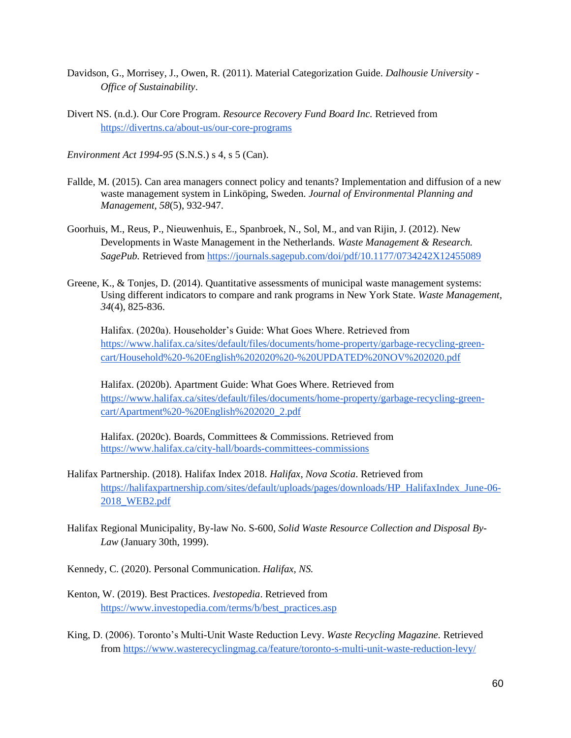- Davidson, G., Morrisey, J., Owen, R. (2011). Material Categorization Guide. *Dalhousie University - Office of Sustainability*.
- Divert NS. (n.d.). Our Core Program. *Resource Recovery Fund Board Inc.* Retrieved from <https://divertns.ca/about-us/our-core-programs>

*Environment Act 1994-95* (S.N.S.) s 4, s 5 (Can).

- Fallde, M. (2015). Can area managers connect policy and tenants? Implementation and diffusion of a new waste management system in Linköping, Sweden. *Journal of Environmental Planning and Management, 58*(5), 932-947.
- Goorhuis, M., Reus, P., Nieuwenhuis, E., Spanbroek, N., Sol, M., and van Rijin, J. (2012). New Developments in Waste Management in the Netherlands. *Waste Management & Research. SagePub.* Retrieved from<https://journals.sagepub.com/doi/pdf/10.1177/0734242X12455089>
- Greene, K., & Tonjes, D. (2014). Quantitative assessments of municipal waste management systems: Using different indicators to compare and rank programs in New York State. *Waste Management, 34*(4), 825-836.

Halifax. (2020a). Householder's Guide: What Goes Where. Retrieved from [https://www.halifax.ca/sites/default/files/documents/home-property/garbage-recycling-green](https://www.halifax.ca/sites/default/files/documents/home-property/garbage-recycling-green-cart/Household%20-%20English%202020%20-%20UPDATED%20NOV%202020.pdf)[cart/Household%20-%20English%202020%20-%20UPDATED%20NOV%202020.pdf](https://www.halifax.ca/sites/default/files/documents/home-property/garbage-recycling-green-cart/Household%20-%20English%202020%20-%20UPDATED%20NOV%202020.pdf)

Halifax. (2020b). Apartment Guide: What Goes Where. Retrieved from [https://www.halifax.ca/sites/default/files/documents/home-property/garbage-recycling-green](https://www.halifax.ca/sites/default/files/documents/home-property/garbage-recycling-green-cart/Apartment%20-%20English%202020_2.pdf)[cart/Apartment%20-%20English%202020\\_2.pdf](https://www.halifax.ca/sites/default/files/documents/home-property/garbage-recycling-green-cart/Apartment%20-%20English%202020_2.pdf)

Halifax. (2020c). Boards, Committees & Commissions. Retrieved from <https://www.halifax.ca/city-hall/boards-committees-commissions>

- Halifax Partnership. (2018). Halifax Index 2018. *Halifax, Nova Scotia*. Retrieved from [https://halifaxpartnership.com/sites/default/uploads/pages/downloads/HP\\_HalifaxIndex\\_June-06-](https://halifaxpartnership.com/sites/default/uploads/pages/downloads/HP_HalifaxIndex_June-06-2018_WEB2.pdf) [2018\\_WEB2.pdf](https://halifaxpartnership.com/sites/default/uploads/pages/downloads/HP_HalifaxIndex_June-06-2018_WEB2.pdf)
- Halifax Regional Municipality, By-law No. S-600, *Solid Waste Resource Collection and Disposal By-Law* (January 30th, 1999).
- Kennedy, C. (2020). Personal Communication. *Halifax, NS.*
- Kenton, W. (2019). Best Practices. *Ivestopedia*. Retrieved from [https://www.investopedia.com/terms/b/best\\_practices.asp](https://www.investopedia.com/terms/b/best_practices.asp)
- King, D. (2006). Toronto's Multi-Unit Waste Reduction Levy. *Waste Recycling Magazine.* Retrieved from<https://www.wasterecyclingmag.ca/feature/toronto-s-multi-unit-waste-reduction-levy/>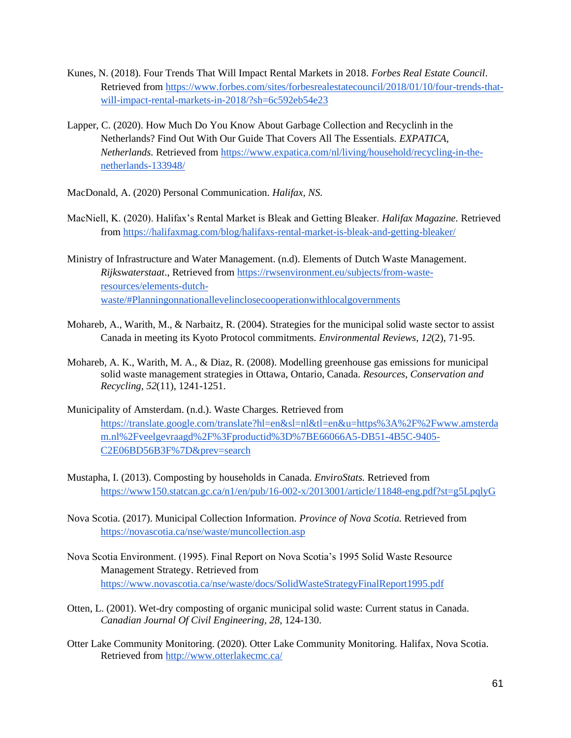- Kunes, N. (2018). Four Trends That Will Impact Rental Markets in 2018. *Forbes Real Estate Council*. Retrieved from [https://www.forbes.com/sites/forbesrealestatecouncil/2018/01/10/four-trends-that](https://www.forbes.com/sites/forbesrealestatecouncil/2018/01/10/four-trends-that-will-impact-rental-markets-in-2018/?sh=6c592eb54e23)[will-impact-rental-markets-in-2018/?sh=6c592eb54e23](https://www.forbes.com/sites/forbesrealestatecouncil/2018/01/10/four-trends-that-will-impact-rental-markets-in-2018/?sh=6c592eb54e23)
- Lapper, C. (2020). How Much Do You Know About Garbage Collection and Recyclinh in the Netherlands? Find Out With Our Guide That Covers All The Essentials. *EXPATICA, Netherlands.* Retrieved from [https://www.expatica.com/nl/living/household/recycling-in-the](https://www.expatica.com/nl/living/household/recycling-in-the-netherlands-133948/)[netherlands-133948/](https://www.expatica.com/nl/living/household/recycling-in-the-netherlands-133948/)
- MacDonald, A. (2020) Personal Communication. *Halifax, NS.*
- MacNiell, K. (2020). Halifax's Rental Market is Bleak and Getting Bleaker. *Halifax Magazine.* Retrieved from<https://halifaxmag.com/blog/halifaxs-rental-market-is-bleak-and-getting-bleaker/>
- Ministry of Infrastructure and Water Management. (n.d). Elements of Dutch Waste Management. *Rijkswaterstaat*., Retrieved from [https://rwsenvironment.eu/subjects/from-waste](https://rwsenvironment.eu/subjects/from-waste-resources/elements-dutch-waste/#Planningonnationallevelinclosecooperationwithlocalgovernments)[resources/elements-dutch](https://rwsenvironment.eu/subjects/from-waste-resources/elements-dutch-waste/#Planningonnationallevelinclosecooperationwithlocalgovernments)[waste/#Planningonnationallevelinclosecooperationwithlocalgovernments](https://rwsenvironment.eu/subjects/from-waste-resources/elements-dutch-waste/#Planningonnationallevelinclosecooperationwithlocalgovernments)
- Mohareb, A., Warith, M., & Narbaitz, R. (2004). Strategies for the municipal solid waste sector to assist Canada in meeting its Kyoto Protocol commitments. *Environmental Reviews, 12*(2), 71-95.
- Mohareb, A. K., Warith, M. A., & Diaz, R. (2008). Modelling greenhouse gas emissions for municipal solid waste management strategies in Ottawa, Ontario, Canada. *Resources, Conservation and Recycling*, *52*(11), 1241-1251.
- Municipality of Amsterdam. (n.d.). Waste Charges. Retrieved from [https://translate.google.com/translate?hl=en&sl=nl&tl=en&u=https%3A%2F%2Fwww.amsterda](https://translate.google.com/translate?hl=en&sl=nl&tl=en&u=https%3A%2F%2Fwww.amsterdam.nl%2Fveelgevraagd%2F%3Fproductid%3D%7BE66066A5-DB51-4B5C-9405-C2E06BD56B3F%7D&prev=search) [m.nl%2Fveelgevraagd%2F%3Fproductid%3D%7BE66066A5-DB51-4B5C-9405-](https://translate.google.com/translate?hl=en&sl=nl&tl=en&u=https%3A%2F%2Fwww.amsterdam.nl%2Fveelgevraagd%2F%3Fproductid%3D%7BE66066A5-DB51-4B5C-9405-C2E06BD56B3F%7D&prev=search) [C2E06BD56B3F%7D&prev=search](https://translate.google.com/translate?hl=en&sl=nl&tl=en&u=https%3A%2F%2Fwww.amsterdam.nl%2Fveelgevraagd%2F%3Fproductid%3D%7BE66066A5-DB51-4B5C-9405-C2E06BD56B3F%7D&prev=search)
- Mustapha, I. (2013). Composting by households in Canada. *EnviroStats.* Retrieved from <https://www150.statcan.gc.ca/n1/en/pub/16-002-x/2013001/article/11848-eng.pdf?st=g5LpqlyG>
- Nova Scotia. (2017). Municipal Collection Information. *Province of Nova Scotia.* Retrieved from <https://novascotia.ca/nse/waste/muncollection.asp>
- Nova Scotia Environment. (1995). Final Report on Nova Scotia's 1995 Solid Waste Resource Management Strategy. Retrieved from <https://www.novascotia.ca/nse/waste/docs/SolidWasteStrategyFinalReport1995.pdf>
- Otten, L. (2001). Wet-dry composting of organic municipal solid waste: Current status in Canada. *Canadian Journal Of Civil Engineering, 28*, 124-130.
- Otter Lake Community Monitoring. (2020). Otter Lake Community Monitoring. Halifax, Nova Scotia. Retrieved from<http://www.otterlakecmc.ca/>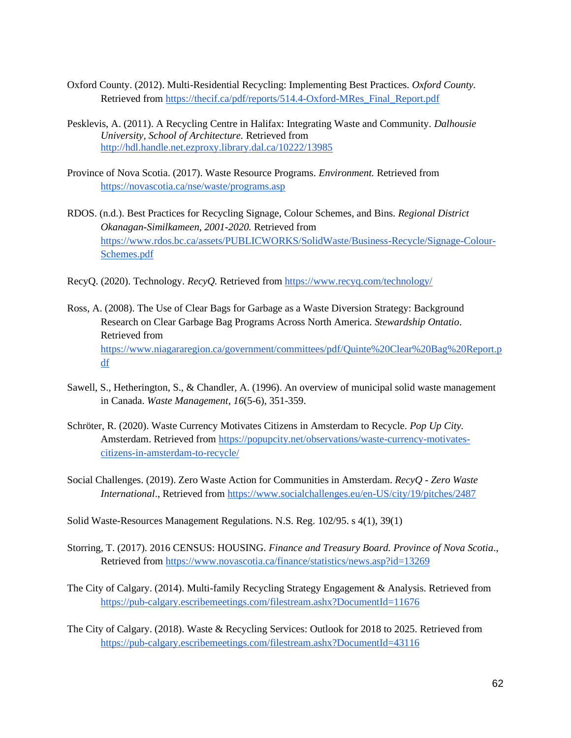- Oxford County. (2012). Multi-Residential Recycling: Implementing Best Practices. *Oxford County.*  Retrieved from [https://thecif.ca/pdf/reports/514.4-Oxford-MRes\\_Final\\_Report.pdf](https://thecif.ca/pdf/reports/514.4-Oxford-MRes_Final_Report.pdf)
- Pesklevis, A. (2011). A Recycling Centre in Halifax: Integrating Waste and Community. *Dalhousie University, School of Architecture.* Retrieved from <http://hdl.handle.net.ezproxy.library.dal.ca/10222/13985>
- Province of Nova Scotia. (2017). Waste Resource Programs. *Environment.* Retrieved from <https://novascotia.ca/nse/waste/programs.asp>
- RDOS. (n.d.). Best Practices for Recycling Signage, Colour Schemes, and Bins. *Regional District Okanagan-Similkameen, 2001-2020.* Retrieved from [https://www.rdos.bc.ca/assets/PUBLICWORKS/SolidWaste/Business-Recycle/Signage-Colour-](https://www.rdos.bc.ca/assets/PUBLICWORKS/SolidWaste/Business-Recycle/Signage-Colour-Schemes.pdf)[Schemes.pdf](https://www.rdos.bc.ca/assets/PUBLICWORKS/SolidWaste/Business-Recycle/Signage-Colour-Schemes.pdf)
- RecyQ. (2020). Technology. *RecyQ.* Retrieved from<https://www.recyq.com/technology/>
- Ross, A. (2008). The Use of Clear Bags for Garbage as a Waste Diversion Strategy: Background Research on Clear Garbage Bag Programs Across North America. *Stewardship Ontatio*. Retrieved from [https://www.niagararegion.ca/government/committees/pdf/Quinte%20Clear%20Bag%20Report.p](https://www.niagararegion.ca/government/committees/pdf/Quinte%20Clear%20Bag%20Report.pdf) [df](https://www.niagararegion.ca/government/committees/pdf/Quinte%20Clear%20Bag%20Report.pdf)
- Sawell, S., Hetherington, S., & Chandler, A. (1996). An overview of municipal solid waste management in Canada. *Waste Management, 16*(5-6), 351-359.
- Schröter, R. (2020). Waste Currency Motivates Citizens in Amsterdam to Recycle. *Pop Up City.*  Amsterdam. Retrieved from [https://popupcity.net/observations/waste-currency-motivates](https://popupcity.net/observations/waste-currency-motivates-citizens-in-amsterdam-to-recycle/)[citizens-in-amsterdam-to-recycle/](https://popupcity.net/observations/waste-currency-motivates-citizens-in-amsterdam-to-recycle/)
- Social Challenges. (2019). Zero Waste Action for Communities in Amsterdam. *RecyQ - Zero Waste International*., Retrieved from<https://www.socialchallenges.eu/en-US/city/19/pitches/2487>
- Solid Waste-Resources Management Regulations. N.S. Reg. 102/95. s 4(1), 39(1)
- Storring, T. (2017). 2016 CENSUS: HOUSING. *Finance and Treasury Board. Province of Nova Scotia*., Retrieved from<https://www.novascotia.ca/finance/statistics/news.asp?id=13269>
- The City of Calgary. (2014). Multi-family Recycling Strategy Engagement & Analysis. Retrieved from <https://pub-calgary.escribemeetings.com/filestream.ashx?DocumentId=11676>
- The City of Calgary. (2018). Waste & Recycling Services: Outlook for 2018 to 2025. Retrieved from <https://pub-calgary.escribemeetings.com/filestream.ashx?DocumentId=43116>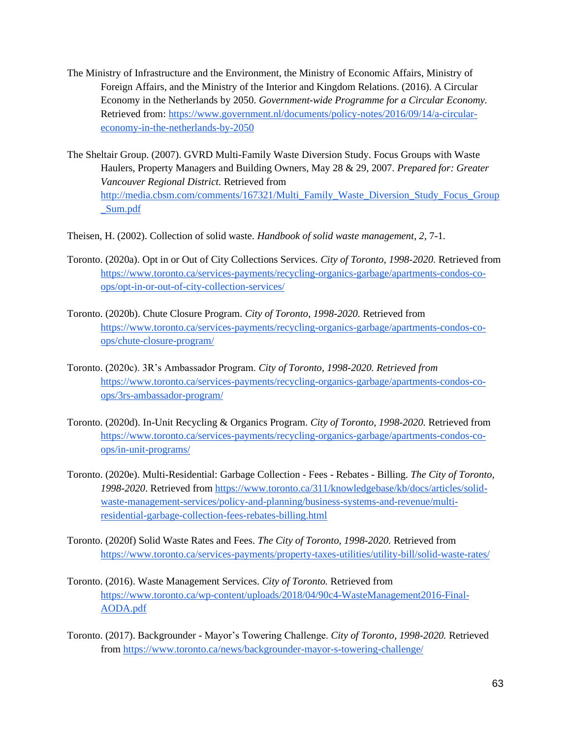- The Ministry of Infrastructure and the Environment, the Ministry of Economic Affairs, Ministry of Foreign Affairs, and the Ministry of the Interior and Kingdom Relations. (2016). A Circular Economy in the Netherlands by 2050. *Government-wide Programme for a Circular Economy.*  Retrieved from[: https://www.government.nl/documents/policy-notes/2016/09/14/a-circular](https://www.government.nl/documents/policy-notes/2016/09/14/a-circular-economy-in-the-netherlands-by-2050)[economy-in-the-netherlands-by-2050](https://www.government.nl/documents/policy-notes/2016/09/14/a-circular-economy-in-the-netherlands-by-2050)
- The Sheltair Group. (2007). GVRD Multi-Family Waste Diversion Study. Focus Groups with Waste Haulers, Property Managers and Building Owners, May 28 & 29, 2007. *Prepared for: Greater Vancouver Regional District.* Retrieved from [http://media.cbsm.com/comments/167321/Multi\\_Family\\_Waste\\_Diversion\\_Study\\_Focus\\_Group](http://media.cbsm.com/comments/167321/Multi_Family_Waste_Diversion_Study_Focus_Group_Sum.pdf) [\\_Sum.pdf](http://media.cbsm.com/comments/167321/Multi_Family_Waste_Diversion_Study_Focus_Group_Sum.pdf)
- Theisen, H. (2002). Collection of solid waste. *Handbook of solid waste management*, *2*, 7-1.
- Toronto. (2020a). Opt in or Out of City Collections Services. *City of Toronto, 1998-2020.* Retrieved from [https://www.toronto.ca/services-payments/recycling-organics-garbage/apartments-condos-co](https://www.toronto.ca/services-payments/recycling-organics-garbage/apartments-condos-co-ops/opt-in-or-out-of-city-collection-services/)[ops/opt-in-or-out-of-city-collection-services/](https://www.toronto.ca/services-payments/recycling-organics-garbage/apartments-condos-co-ops/opt-in-or-out-of-city-collection-services/)
- Toronto. (2020b). Chute Closure Program. *City of Toronto, 1998-2020.* Retrieved from [https://www.toronto.ca/services-payments/recycling-organics-garbage/apartments-condos-co](https://www.toronto.ca/services-payments/recycling-organics-garbage/apartments-condos-co-ops/chute-closure-program/)[ops/chute-closure-program/](https://www.toronto.ca/services-payments/recycling-organics-garbage/apartments-condos-co-ops/chute-closure-program/)
- Toronto. (2020c). 3R's Ambassador Program. *City of Toronto, 1998-2020. Retrieved from*  [https://www.toronto.ca/services-payments/recycling-organics-garbage/apartments-condos-co](https://www.toronto.ca/services-payments/recycling-organics-garbage/apartments-condos-co-ops/3rs-ambassador-program/)[ops/3rs-ambassador-program/](https://www.toronto.ca/services-payments/recycling-organics-garbage/apartments-condos-co-ops/3rs-ambassador-program/)
- Toronto. (2020d). In-Unit Recycling & Organics Program. *City of Toronto, 1998-2020.* Retrieved from [https://www.toronto.ca/services-payments/recycling-organics-garbage/apartments-condos-co](https://www.toronto.ca/services-payments/recycling-organics-garbage/apartments-condos-co-ops/in-unit-programs/)[ops/in-unit-programs/](https://www.toronto.ca/services-payments/recycling-organics-garbage/apartments-condos-co-ops/in-unit-programs/)
- Toronto. (2020e). Multi-Residential: Garbage Collection Fees Rebates Billing. *The City of Toronto, 1998-2020*. Retrieved from [https://www.toronto.ca/311/knowledgebase/kb/docs/articles/solid](https://www.toronto.ca/311/knowledgebase/kb/docs/articles/solid-waste-management-services/policy-and-planning/business-systems-and-revenue/multi-residential-garbage-collection-fees-rebates-billing.html)[waste-management-services/policy-and-planning/business-systems-and-revenue/multi](https://www.toronto.ca/311/knowledgebase/kb/docs/articles/solid-waste-management-services/policy-and-planning/business-systems-and-revenue/multi-residential-garbage-collection-fees-rebates-billing.html)[residential-garbage-collection-fees-rebates-billing.html](https://www.toronto.ca/311/knowledgebase/kb/docs/articles/solid-waste-management-services/policy-and-planning/business-systems-and-revenue/multi-residential-garbage-collection-fees-rebates-billing.html)
- Toronto. (2020f) Solid Waste Rates and Fees. *The City of Toronto, 1998-2020.* Retrieved from <https://www.toronto.ca/services-payments/property-taxes-utilities/utility-bill/solid-waste-rates/>
- Toronto. (2016). Waste Management Services. *City of Toronto.* Retrieved from [https://www.toronto.ca/wp-content/uploads/2018/04/90c4-WasteManagement2016-Final-](https://www.toronto.ca/wp-content/uploads/2018/04/90c4-WasteManagement2016-Final-AODA.pdf)[AODA.pdf](https://www.toronto.ca/wp-content/uploads/2018/04/90c4-WasteManagement2016-Final-AODA.pdf)
- Toronto. (2017). Backgrounder Mayor's Towering Challenge. *City of Toronto*, *1998-2020.* Retrieved from<https://www.toronto.ca/news/backgrounder-mayor-s-towering-challenge/>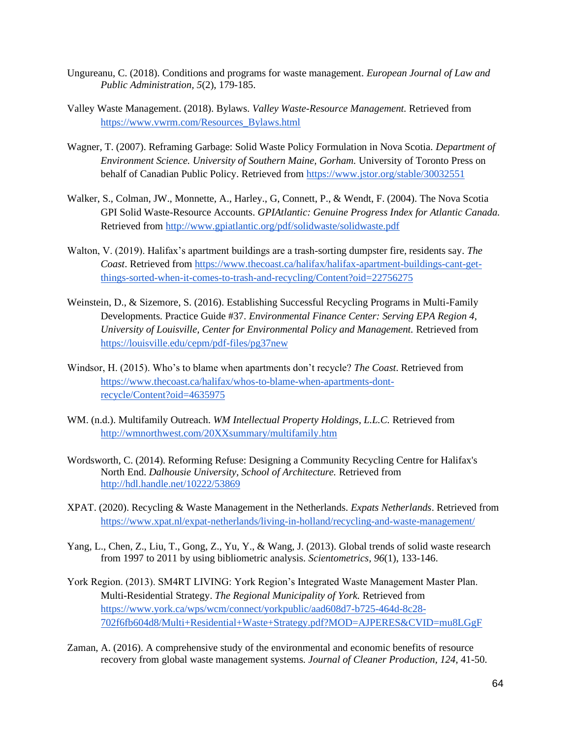- Ungureanu, C. (2018). Conditions and programs for waste management. *European Journal of Law and Public Administration, 5*(2), 179-185.
- Valley Waste Management. (2018). Bylaws. *Valley Waste-Resource Management.* Retrieved from [https://www.vwrm.com/Resources\\_Bylaws.html](https://www.vwrm.com/Resources_Bylaws.html)
- Wagner, T. (2007). Reframing Garbage: Solid Waste Policy Formulation in Nova Scotia. *Department of Environment Science. University of Southern Maine, Gorham.* University of Toronto Press on behalf of Canadian Public Policy. Retrieved from<https://www.jstor.org/stable/30032551>
- Walker, S., Colman, JW., Monnette, A., Harley., G, Connett, P., & Wendt, F. (2004). The Nova Scotia GPI Solid Waste-Resource Accounts. *GPIAtlantic: Genuine Progress Index for Atlantic Canada.* Retrieved from<http://www.gpiatlantic.org/pdf/solidwaste/solidwaste.pdf>
- Walton, V. (2019). Halifax's apartment buildings are a trash-sorting dumpster fire, residents say. *The Coast*. Retrieved from [https://www.thecoast.ca/halifax/halifax-apartment-buildings-cant-get](https://www.thecoast.ca/halifax/halifax-apartment-buildings-cant-get-things-sorted-when-it-comes-to-trash-and-recycling/Content?oid=22756275)[things-sorted-when-it-comes-to-trash-and-recycling/Content?oid=22756275](https://www.thecoast.ca/halifax/halifax-apartment-buildings-cant-get-things-sorted-when-it-comes-to-trash-and-recycling/Content?oid=22756275)
- Weinstein, D., & Sizemore, S. (2016). Establishing Successful Recycling Programs in Multi-Family Developments. Practice Guide #37. *Environmental Finance Center: Serving EPA Region 4, University of Louisville, Center for Environmental Policy and Management.* Retrieved from <https://louisville.edu/cepm/pdf-files/pg37new>
- Windsor, H. (2015). Who's to blame when apartments don't recycle? *The Coast*. Retrieved from [https://www.thecoast.ca/halifax/whos-to-blame-when-apartments-dont](https://www.thecoast.ca/halifax/whos-to-blame-when-apartments-dont-recycle/Content?oid=4635975)[recycle/Content?oid=4635975](https://www.thecoast.ca/halifax/whos-to-blame-when-apartments-dont-recycle/Content?oid=4635975)
- WM. (n.d.). Multifamily Outreach. *WM Intellectual Property Holdings, L.L.C.* Retrieved from <http://wmnorthwest.com/20XXsummary/multifamily.htm>
- Wordsworth, C. (2014). Reforming Refuse: Designing a Community Recycling Centre for Halifax's North End. *Dalhousie University, School of Architecture.* Retrieved from <http://hdl.handle.net/10222/53869>
- XPAT. (2020). Recycling & Waste Management in the Netherlands. *Expats Netherlands*. Retrieved from <https://www.xpat.nl/expat-netherlands/living-in-holland/recycling-and-waste-management/>
- Yang, L., Chen, Z., Liu, T., Gong, Z., Yu, Y., & Wang, J. (2013). Global trends of solid waste research from 1997 to 2011 by using bibliometric analysis. *Scientometrics, 96*(1), 133-146.
- York Region. (2013). SM4RT LIVING: York Region's Integrated Waste Management Master Plan. Multi-Residential Strategy. *The Regional Municipality of York.* Retrieved from [https://www.york.ca/wps/wcm/connect/yorkpublic/aad608d7-b725-464d-8c28-](https://www.york.ca/wps/wcm/connect/yorkpublic/aad608d7-b725-464d-8c28-702f6fb604d8/Multi+Residential+Waste+Strategy.pdf?MOD=AJPERES&CVID=mu8LGgF) [702f6fb604d8/Multi+Residential+Waste+Strategy.pdf?MOD=AJPERES&CVID=mu8LGgF](https://www.york.ca/wps/wcm/connect/yorkpublic/aad608d7-b725-464d-8c28-702f6fb604d8/Multi+Residential+Waste+Strategy.pdf?MOD=AJPERES&CVID=mu8LGgF)
- Zaman, A. (2016). A comprehensive study of the environmental and economic benefits of resource recovery from global waste management systems. *Journal of Cleaner Production, 124*, 41-50.